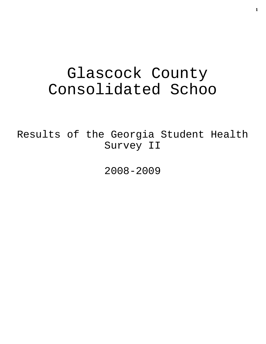# Glascock County Consolidated Schoo

Results of the Georgia Student Health Survey II

2008-2009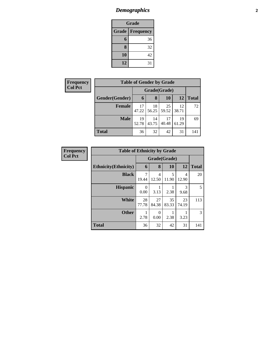# *Demographics* **2**

| <b>Grade</b>                     |    |  |  |  |  |  |
|----------------------------------|----|--|--|--|--|--|
| <b>Grade</b><br><b>Frequency</b> |    |  |  |  |  |  |
| 6                                | 36 |  |  |  |  |  |
| 8                                | 32 |  |  |  |  |  |
| 10                               | 42 |  |  |  |  |  |
| 12                               | 31 |  |  |  |  |  |

| <b>Frequency</b> | <b>Table of Gender by Grade</b> |              |                     |             |             |              |  |
|------------------|---------------------------------|--------------|---------------------|-------------|-------------|--------------|--|
| <b>Col Pct</b>   |                                 | Grade(Grade) |                     |             |             |              |  |
|                  | Gender(Gender)                  | 6            | 8                   | 10          | 12          | <b>Total</b> |  |
|                  | <b>Female</b>                   | 17<br>47.22  | 18<br>$56.25$ 59.52 | 25          | 12<br>38.71 | 72           |  |
|                  | <b>Male</b>                     | 19<br>52.78  | 14<br>43.75         | 17<br>40.48 | 19<br>61.29 | 69           |  |
|                  | <b>Total</b>                    | 36           | 32                  | 42          | 31          | 141          |  |

| <b>Frequency</b> | <b>Table of Ethnicity by Grade</b> |              |             |             |             |              |  |
|------------------|------------------------------------|--------------|-------------|-------------|-------------|--------------|--|
| <b>Col Pct</b>   |                                    | Grade(Grade) |             |             |             |              |  |
|                  | <b>Ethnicity</b> (Ethnicity)       | 6            | 8           | 10          | 12          | <b>Total</b> |  |
|                  | <b>Black</b>                       | 7<br>19.44   | 4<br>12.50  | 5<br>11.90  | 4<br>12.90  | 20           |  |
|                  | <b>Hispanic</b>                    | 0<br>0.00    | 3.13        | 2.38        | 3<br>9.68   | 5            |  |
|                  | <b>White</b>                       | 28<br>77.78  | 27<br>84.38 | 35<br>83.33 | 23<br>74.19 | 113          |  |
|                  | <b>Other</b>                       | 2.78         | ∩<br>0.00   | 2.38        | 3.23        | 3            |  |
|                  | <b>Total</b>                       | 36           | 32          | 42          | 31          | 141          |  |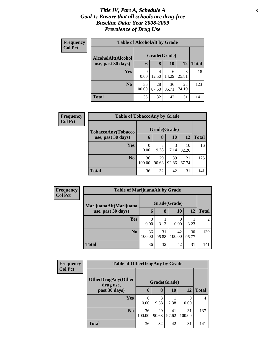#### *Title IV, Part A, Schedule A* **3** *Goal 1: Ensure that all schools are drug-free Baseline Data: Year 2008-2009 Prevalence of Drug Use*

| Frequency<br><b>Col Pct</b> | <b>Table of AlcoholAlt by Grade</b> |              |             |             |             |              |  |  |  |
|-----------------------------|-------------------------------------|--------------|-------------|-------------|-------------|--------------|--|--|--|
|                             | AlcoholAlt(Alcohol                  | Grade(Grade) |             |             |             |              |  |  |  |
|                             | use, past 30 days)                  | 6            | 8           | 10          | 12          | <b>Total</b> |  |  |  |
|                             | <b>Yes</b>                          | 0<br>0.00    | 4<br>12.50  | 6<br>14.29  | 8<br>25.81  | 18           |  |  |  |
|                             | N <sub>0</sub>                      | 36<br>100.00 | 28<br>87.50 | 36<br>85.71 | 23<br>74.19 | 123          |  |  |  |
|                             | <b>Total</b>                        | 36           | 32          | 42          | 31          | 141          |  |  |  |

| Frequency<br><b>Col Pct</b> | <b>Table of TobaccoAny by Grade</b> |              |              |             |             |              |  |
|-----------------------------|-------------------------------------|--------------|--------------|-------------|-------------|--------------|--|
|                             | TobaccoAny(Tobacco                  |              | Grade(Grade) |             |             |              |  |
|                             | use, past 30 days)                  | 6            | 8            | 10          | 12          | <b>Total</b> |  |
|                             | Yes                                 | 0.00         | 3<br>9.38    | 3<br>7.14   | 10<br>32.26 | 16           |  |
|                             | N <sub>0</sub>                      | 36<br>100.00 | 29<br>90.63  | 39<br>92.86 | 21<br>67.74 | 125          |  |
|                             | <b>Total</b>                        | 36           | 32           | 42          | 31          | 141          |  |

| Frequency<br><b>Col Pct</b> |                        | <b>Table of MarijuanaAlt by Grade</b> |             |                          |             |              |  |  |
|-----------------------------|------------------------|---------------------------------------|-------------|--------------------------|-------------|--------------|--|--|
|                             | MarijuanaAlt(Marijuana | Grade(Grade)                          |             |                          |             |              |  |  |
|                             | use, past 30 days)     | 6                                     | 8           | 10                       | 12          | <b>Total</b> |  |  |
|                             | <b>Yes</b>             | 0.00                                  | 3.13        | $\left( \right)$<br>0.00 | 3.23        | 2            |  |  |
|                             | N <sub>0</sub>         | 36<br>100.00                          | 31<br>96.88 | 42<br>100.00             | 30<br>96.77 | 139          |  |  |
|                             | <b>Total</b>           | 36                                    | 32          | 42                       | 31          | 141          |  |  |

| <b>Frequency</b> | <b>Table of OtherDrugAny by Grade</b>  |              |             |             |              |              |
|------------------|----------------------------------------|--------------|-------------|-------------|--------------|--------------|
| <b>Col Pct</b>   | <b>OtherDrugAny(Other</b><br>drug use, | Grade(Grade) |             |             |              |              |
|                  | past 30 days)                          | 6            | 8           | 10          | 12           | <b>Total</b> |
|                  | Yes                                    | 0.00         | 3<br>9.38   | 2.38        | 0.00         | 4            |
|                  | N <sub>o</sub>                         | 36<br>100.00 | 29<br>90.63 | 41<br>97.62 | 31<br>100.00 | 137          |
|                  | <b>Total</b>                           | 36           | 32          | 42          | 31           | 141          |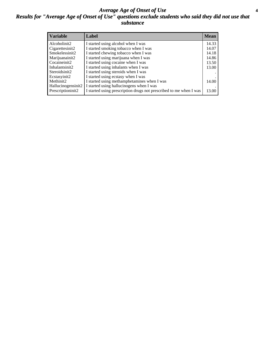#### *Average Age of Onset of Use* **4** *Results for "Average Age of Onset of Use" questions exclude students who said they did not use that substance*

| <b>Variable</b>       | Label                                                              | <b>Mean</b> |
|-----------------------|--------------------------------------------------------------------|-------------|
| Alcoholinit2          | I started using alcohol when I was                                 | 14.33       |
| Cigarettesinit2       | I started smoking tobacco when I was                               | 14.07       |
| Smokelessinit2        | I started chewing tobacco when I was                               | 14.18       |
| Marijuanainit2        | I started using marijuana when I was                               | 14.86       |
| Cocaineinit2          | I started using cocaine when I was                                 | 13.50       |
| Inhalantsinit2        | I started using inhalants when I was                               | 13.00       |
| Steroidsinit2         | I started using steroids when I was                                |             |
| Ecstasyinit2          | I started using ecstasy when I was                                 |             |
| Methinit <sub>2</sub> | I started using methamphetamines when I was                        | 14.00       |
| Hallucinogensinit2    | I started using hallucinogens when I was                           |             |
| Prescriptioninit2     | I started using prescription drugs not prescribed to me when I was | 13.00       |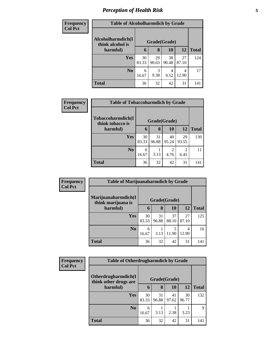## *Perception of Health Risk* **5**

| <b>Frequency</b> | <b>Table of Alcoholharmdich by Grade</b> |             |              |             |             |              |  |
|------------------|------------------------------------------|-------------|--------------|-------------|-------------|--------------|--|
| <b>Col Pct</b>   | Alcoholharmdich(I<br>think alcohol is    |             | Grade(Grade) |             |             |              |  |
|                  | harmful)                                 | 6           | 8            | 10          | 12          | <b>Total</b> |  |
|                  | <b>Yes</b>                               | 30<br>83.33 | 29<br>90.63  | 38<br>90.48 | 27<br>87.10 | 124          |  |
|                  | N <sub>0</sub>                           | 6<br>16.67  | 3<br>9.38    | 4<br>9.52   | 4<br>12.90  | 17           |  |
|                  | <b>Total</b>                             | 36          | 32           | 42          | 31          | 141          |  |

| Frequency      | <b>Table of Tobaccoharmdich by Grade</b> |             |              |             |             |              |  |
|----------------|------------------------------------------|-------------|--------------|-------------|-------------|--------------|--|
| <b>Col Pct</b> | Tobaccoharmdich(I                        |             | Grade(Grade) |             |             |              |  |
|                | think tobacco is<br>harmful)             | 6           | 8            | 10          | 12          | <b>Total</b> |  |
|                | <b>Yes</b>                               | 30<br>83.33 | 31<br>96.88  | 40<br>95.24 | 29<br>93.55 | 130          |  |
|                | N <sub>0</sub>                           | 6<br>16.67  | 3.13         | 2<br>4.76   | 6.45        | 11           |  |
|                | <b>Total</b>                             | 36          | 32           | 42          | 31          | 141          |  |

| Frequency      | <b>Table of Marijuanaharmdich by Grade</b> |             |              |             |             |              |
|----------------|--------------------------------------------|-------------|--------------|-------------|-------------|--------------|
| <b>Col Pct</b> | Marijuanaharmdich(I<br>think marijuana is  |             | Grade(Grade) |             |             |              |
|                | harmful)                                   | 6           | 8            | 10          | <b>12</b>   | <b>Total</b> |
|                | <b>Yes</b>                                 | 30<br>83.33 | 31<br>96.88  | 37<br>88.10 | 27<br>87.10 | 125          |
|                | N <sub>0</sub>                             | 6<br>16.67  | 3.13         | 5<br>11.90  | 4<br>12.90  | 16           |
|                | <b>Total</b>                               | 36          | 32           | 42          | 31          | 141          |

| Frequency      | <b>Table of Otherdrugharmdich by Grade</b>   |             |              |             |             |              |
|----------------|----------------------------------------------|-------------|--------------|-------------|-------------|--------------|
| <b>Col Pct</b> | Otherdrugharmdich(I<br>think other drugs are |             | Grade(Grade) |             |             |              |
|                | harmful)                                     | 6           | 8            | 10          | 12          | <b>Total</b> |
|                | <b>Yes</b>                                   | 30<br>83.33 | 31<br>96.88  | 41<br>97.62 | 30<br>96.77 | 132          |
|                | No.                                          | 6<br>16.67  | 3.13         | 2.38        | 3.23        | 9            |
|                | <b>Total</b>                                 | 36          | 32           | 42          | 31          | 141          |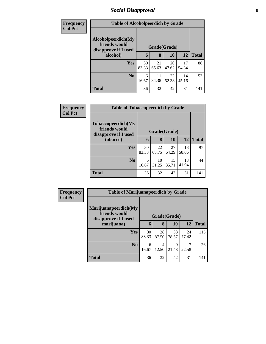#### *Social Disapproval* **6**

| <b>Frequency</b> | <b>Table of Alcoholpeerdich by Grade</b>                    |             |              |             |             |              |  |  |
|------------------|-------------------------------------------------------------|-------------|--------------|-------------|-------------|--------------|--|--|
| <b>Col Pct</b>   |                                                             |             |              |             |             |              |  |  |
|                  | Alcoholpeerdich(My<br>friends would<br>disapprove if I used |             | Grade(Grade) |             |             |              |  |  |
|                  | alcohol)                                                    | 6           | 8            | <b>10</b>   | 12          | <b>Total</b> |  |  |
|                  | Yes                                                         | 30<br>83.33 | 21<br>65.63  | 20<br>47.62 | 17<br>54.84 | 88           |  |  |
|                  | N <sub>0</sub>                                              | 6<br>16.67  | 11<br>34.38  | 22<br>52.38 | 14<br>45.16 | 53           |  |  |
|                  | <b>Total</b>                                                | 36          | 32           | 42          | 31          | 141          |  |  |

| <b>Frequency</b> |                                                                     | <b>Table of Tobaccopeerdich by Grade</b> |              |             |             |              |  |
|------------------|---------------------------------------------------------------------|------------------------------------------|--------------|-------------|-------------|--------------|--|
| <b>Col Pct</b>   | <b>Tobaccopeerdich</b> (My<br>friends would<br>disapprove if I used |                                          | Grade(Grade) |             |             |              |  |
|                  | tobacco)                                                            | 6                                        | 8            | 10          | <b>12</b>   | <b>Total</b> |  |
|                  | <b>Yes</b>                                                          | 30<br>83.33                              | 22<br>68.75  | 27<br>64.29 | 18<br>58.06 | 97           |  |
|                  | N <sub>0</sub>                                                      | 6<br>16.67                               | 10<br>31.25  | 15<br>35.71 | 13<br>41.94 | 44           |  |
|                  | <b>Total</b>                                                        | 36                                       | 32           | 42          | 31          | 141          |  |

| Frequency      | <b>Table of Marijuanapeerdich by Grade</b>                    |             |              |             |             |              |  |
|----------------|---------------------------------------------------------------|-------------|--------------|-------------|-------------|--------------|--|
| <b>Col Pct</b> | Marijuanapeerdich(My<br>friends would<br>disapprove if I used |             | Grade(Grade) |             |             |              |  |
|                | marijuana)                                                    | 6           | 8            | 10          | <b>12</b>   | <b>Total</b> |  |
|                | <b>Yes</b>                                                    | 30<br>83.33 | 28<br>87.50  | 33<br>78.57 | 24<br>77.42 | 115          |  |
|                | N <sub>o</sub>                                                | 6<br>16.67  | 4<br>12.50   | 9<br>21.43  | 22.58       | 26           |  |
|                | <b>Total</b>                                                  | 36          | 32           | 42          | 31          | 141          |  |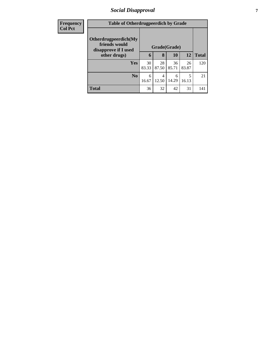### *Social Disapproval* **7**

| <b>Frequency</b> | <b>Table of Otherdrugpeerdich by Grade</b>                    |             |              |             |             |              |
|------------------|---------------------------------------------------------------|-------------|--------------|-------------|-------------|--------------|
| <b>Col Pct</b>   | Otherdrugpeerdich(My<br>friends would<br>disapprove if I used |             | Grade(Grade) |             |             |              |
|                  | other drugs)                                                  | 6           | 8            | <b>10</b>   | <b>12</b>   | <b>Total</b> |
|                  | Yes                                                           | 30<br>83.33 | 28<br>87.50  | 36<br>85.71 | 26<br>83.87 | 120          |
|                  | N <sub>0</sub>                                                | 6<br>16.67  | 4<br>12.50   | 6<br>14.29  | 5<br>16.13  | 21           |
|                  | <b>Total</b>                                                  | 36          | 32           | 42          | 31          | 141          |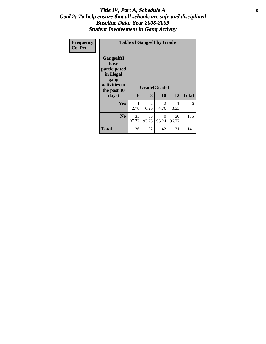#### Title IV, Part A, Schedule A **8** *Goal 2: To help ensure that all schools are safe and disciplined Baseline Data: Year 2008-2009 Student Involvement in Gang Activity*

| Frequency<br><b>Col Pct</b> | <b>Table of Gangself by Grade</b>                                                                 |                   |              |             |             |     |
|-----------------------------|---------------------------------------------------------------------------------------------------|-------------------|--------------|-------------|-------------|-----|
|                             | Gangself(I<br>have<br>participated<br>in illegal<br>gang<br>activities in<br>the past 30<br>days) | Grade(Grade)<br>6 | <b>Total</b> |             |             |     |
|                             | Yes                                                                                               | 2.78              | 2<br>6.25    | 2<br>4.76   | 3.23        | 6   |
|                             | N <sub>0</sub>                                                                                    | 35<br>97.22       | 30<br>93.75  | 40<br>95.24 | 30<br>96.77 | 135 |
|                             | <b>Total</b>                                                                                      | 36                | 32           | 42          | 31          | 141 |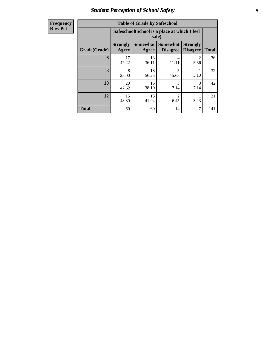## *Student Perception of School Safety* **9**

| <b>Frequency</b> |
|------------------|
| <b>Row Pct</b>   |

| <b>Table of Grade by Safeschool</b> |                          |                                                       |                                    |                                     |              |  |  |  |  |  |
|-------------------------------------|--------------------------|-------------------------------------------------------|------------------------------------|-------------------------------------|--------------|--|--|--|--|--|
|                                     |                          | Safeschool(School is a place at which I feel<br>safe) |                                    |                                     |              |  |  |  |  |  |
| Grade(Grade)                        | <b>Strongly</b><br>Agree | <b>Somewhat</b><br>Agree                              | <b>Somewhat</b><br><b>Disagree</b> | <b>Strongly</b><br><b>Disagree</b>  | <b>Total</b> |  |  |  |  |  |
| 6                                   | 17<br>47.22              | 13<br>36.11                                           | 4<br>11.11                         | $\mathcal{D}_{\mathcal{A}}$<br>5.56 | 36           |  |  |  |  |  |
| 8                                   | 8<br>25.00               | 18<br>56.25                                           | 5<br>15.63                         | 3.13                                | 32           |  |  |  |  |  |
| 10                                  | 20<br>47.62              | 16<br>38.10                                           | 3<br>7.14                          | 3<br>7.14                           | 42           |  |  |  |  |  |
| 12                                  | 15<br>48.39              | 13<br>$\mathfrak{D}$<br>41.94<br>6.45<br>3.23         |                                    |                                     |              |  |  |  |  |  |
| <b>Total</b>                        | 60                       | 60                                                    | 14                                 | 7                                   | 141          |  |  |  |  |  |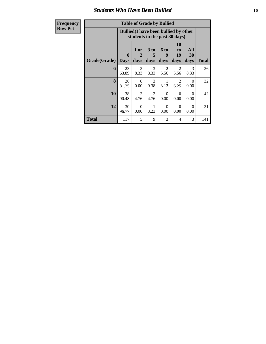#### *Students Who Have Been Bullied* **10**

| n<br>ш.<br>a l | £<br>ו ו |
|----------------|----------|
| к<br>٠         |          |
|                |          |

#### **Table of Grade by Bullied**

| <b>Frequency</b> | <b>Table of Grade by Bullied</b>                                              |                             |                        |                        |                        |                               |                   |              |  |  |
|------------------|-------------------------------------------------------------------------------|-----------------------------|------------------------|------------------------|------------------------|-------------------------------|-------------------|--------------|--|--|
| <b>Row Pct</b>   | <b>Bullied</b> (I have been bullied by other<br>students in the past 30 days) |                             |                        |                        |                        |                               |                   |              |  |  |
|                  | Grade(Grade)                                                                  | $\mathbf{0}$<br><b>Days</b> | 1 or<br>2<br>days      | 3 to<br>5<br>days      | 6 to<br>9<br>days      | <b>10</b><br>to<br>19<br>days | All<br>30<br>days | <b>Total</b> |  |  |
|                  | 6                                                                             | 23<br>63.89                 | 3<br>8.33              | 3<br>8.33              | $\overline{2}$<br>5.56 | $\overline{2}$<br>5.56        | 3<br>8.33         | 36           |  |  |
|                  | 8                                                                             | 26<br>81.25                 | $\Omega$<br>0.00       | $\mathcal{E}$<br>9.38  | 1<br>3.13              | $\mathfrak{D}$<br>6.25        | $\Omega$<br>0.00  | 32           |  |  |
|                  | 10                                                                            | 38<br>90.48                 | $\overline{2}$<br>4.76 | $\overline{2}$<br>4.76 | $\Omega$<br>0.00       | $\Omega$<br>0.00              | $\Omega$<br>0.00  | 42           |  |  |
|                  | 12                                                                            | 30<br>96.77                 | $\Omega$<br>0.00       | 3.23                   | $\Omega$<br>0.00       | $\Omega$<br>0.00              | $\Omega$<br>0.00  | 31           |  |  |
|                  | Total                                                                         | 117                         | 5                      | 9                      | 3                      | $\overline{4}$                | 3                 | 141          |  |  |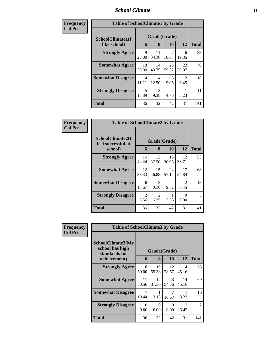#### *School Climate* **11**

| Frequency      | <b>Table of SchoolClimate1 by Grade</b> |                         |                         |                        |             |              |  |  |  |
|----------------|-----------------------------------------|-------------------------|-------------------------|------------------------|-------------|--------------|--|--|--|
| <b>Col Pct</b> | SchoolClimate1(I                        | Grade(Grade)            |                         |                        |             |              |  |  |  |
|                | like school)                            | 6                       | 8                       | 10                     | 12          | <b>Total</b> |  |  |  |
|                | <b>Strongly Agree</b>                   | $\mathbf Q$<br>25.00    | 11<br>34.38             | 16.67                  | 6<br>19.35  | 33           |  |  |  |
|                | <b>Somewhat Agree</b>                   | 18<br>50.00             | 14<br>43.75             | 25<br>59.52            | 22<br>70.97 | 79           |  |  |  |
|                | <b>Somewhat Disagree</b>                | $\overline{4}$<br>11.11 | $\overline{4}$<br>12.50 | 8<br>19.05             | 2<br>6.45   | 18           |  |  |  |
|                | <b>Strongly Disagree</b>                | 5<br>13.89              | 3<br>9.38               | $\mathfrak{D}$<br>4.76 | 3.23        | 11           |  |  |  |
|                | <b>Total</b>                            | 36                      | 32                      | 42                     | 31          | 141          |  |  |  |

| Frequency      | <b>Table of SchoolClimate2 by Grade</b>           |             |                   |             |                        |              |
|----------------|---------------------------------------------------|-------------|-------------------|-------------|------------------------|--------------|
| <b>Col Pct</b> | SchoolClimate2(I<br>feel successful at<br>school) | 6           | Grade(Grade)<br>8 | 10          | 12                     | <b>Total</b> |
|                | <b>Strongly Agree</b>                             | 16<br>44.44 | 12<br>37.50       | 13<br>30.95 | 12<br>38.71            | 53           |
|                | <b>Somewhat Agree</b>                             | 12<br>33.33 | 15<br>46.88       | 24<br>57.14 | 17<br>54.84            | 68           |
|                | <b>Somewhat Disagree</b>                          | 6<br>16.67  | 3<br>9.38         | 4<br>9.52   | $\mathfrak{D}$<br>6.45 | 15           |
|                | <b>Strongly Disagree</b>                          | 2<br>5.56   | 2<br>6.25         | 2.38        | ∩<br>0.00              | 5            |
|                | Total                                             | 36          | 32                | 42          | 31                     | 141          |

| <b>Frequency</b> | <b>Table of SchoolClimate3 by Grade</b>               |                  |                   |             |                        |                |  |  |  |
|------------------|-------------------------------------------------------|------------------|-------------------|-------------|------------------------|----------------|--|--|--|
| <b>Col Pct</b>   | SchoolClimate3(My<br>school has high<br>standards for | 6                | Grade(Grade)<br>8 | 10          | 12                     | <b>Total</b>   |  |  |  |
| achievement)     |                                                       |                  |                   |             |                        |                |  |  |  |
|                  | <b>Strongly Agree</b>                                 | 18<br>50.00      | 19<br>59.38       | 12<br>28.57 | 14<br>45.16            | 63             |  |  |  |
|                  | <b>Somewhat Agree</b>                                 | 11<br>30.56      | 12<br>37.50       | 23<br>54.76 | 14<br>45.16            | 60             |  |  |  |
|                  | <b>Somewhat Disagree</b>                              | 7<br>19.44       | 1<br>3.13         | 7<br>16.67  | 3.23                   | 16             |  |  |  |
|                  | <b>Strongly Disagree</b>                              | $\Omega$<br>0.00 | 0<br>0.00         | 0<br>0.00   | $\mathfrak{D}$<br>6.45 | $\overline{2}$ |  |  |  |
|                  | Total                                                 | 36               | 32                | 42          | 31                     | 141            |  |  |  |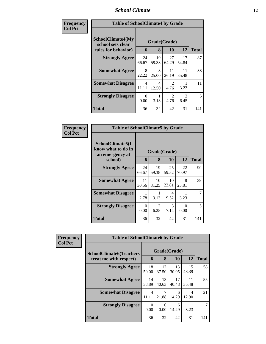#### *School Climate* **12**

 $\overline{\phantom{a}}$ 

| Frequency      | <b>Table of SchoolClimate4 by Grade</b>                              |                  |                         |                        |                        |              |
|----------------|----------------------------------------------------------------------|------------------|-------------------------|------------------------|------------------------|--------------|
| <b>Col Pct</b> | <b>SchoolClimate4(My</b><br>school sets clear<br>rules for behavior) | 6                | Grade(Grade)<br>8       | <b>10</b>              | 12                     | <b>Total</b> |
|                | <b>Strongly Agree</b>                                                | 24<br>66.67      | 19<br>59.38             | 27<br>64.29            | 17<br>54.84            | 87           |
|                | <b>Somewhat Agree</b>                                                | 8<br>22.22       | 8<br>25.00              | 11<br>26.19            | 11<br>35.48            | 38           |
|                | <b>Somewhat Disagree</b>                                             | 4<br>11.11       | $\overline{4}$<br>12.50 | $\mathfrak{D}$<br>4.76 | 3.23                   | 11           |
|                | <b>Strongly Disagree</b>                                             | $\Omega$<br>0.00 | 3.13                    | $\mathfrak{D}$<br>4.76 | $\mathfrak{D}$<br>6.45 | 5            |
|                | <b>Total</b>                                                         | 36               | 32                      | 42                     | 31                     | 141          |

| Frequency      |                                                           | <b>Table of SchoolClimate5 by Grade</b> |              |             |             |                |  |
|----------------|-----------------------------------------------------------|-----------------------------------------|--------------|-------------|-------------|----------------|--|
| <b>Col Pct</b> | SchoolClimate5(I<br>know what to do in<br>an emergency at |                                         | Grade(Grade) |             |             |                |  |
|                | school)                                                   | 6                                       | 8            | 10          | 12          | <b>Total</b>   |  |
|                | <b>Strongly Agree</b>                                     | 24<br>66.67                             | 19<br>59.38  | 25<br>59.52 | 22<br>70.97 | 90             |  |
|                | <b>Somewhat Agree</b>                                     | 11<br>30.56                             | 10<br>31.25  | 10<br>23.81 | 8<br>25.81  | 39             |  |
|                | <b>Somewhat Disagree</b>                                  | 2.78                                    | 3.13         | 4<br>9.52   | 3.23        | $\overline{7}$ |  |
|                | <b>Strongly Disagree</b>                                  | $\Omega$<br>0.00                        | 2<br>6.25    | 3<br>7.14   | 0<br>0.00   | 5              |  |
|                | Total                                                     | 36                                      | 32           | 42          | 31          | 141            |  |

| <b>Frequency</b> | <b>Table of SchoolClimate6 by Grade</b> |                         |                           |             |             |              |
|------------------|-----------------------------------------|-------------------------|---------------------------|-------------|-------------|--------------|
| <b>Col Pct</b>   | <b>SchoolClimate6(Teachers</b>          | Grade(Grade)            |                           |             |             |              |
|                  | treat me with respect)                  | 6                       | 8                         | 10          | 12          | <b>Total</b> |
|                  | <b>Strongly Agree</b>                   | 18<br>50.00             | 12<br>37.50               | 13<br>30.95 | 15<br>48.39 | 58           |
|                  | <b>Somewhat Agree</b>                   | 14<br>38.89             | 13<br>40.63               | 17<br>40.48 | 11<br>35.48 | 55           |
|                  | <b>Somewhat Disagree</b>                | $\overline{4}$<br>11.11 | 21.88                     | 6<br>14.29  | 4<br>12.90  | 21           |
|                  | <b>Strongly Disagree</b>                | $\Omega$<br>0.00        | $\mathbf{\Omega}$<br>0.00 | 6<br>14.29  | 3.23        |              |
|                  | <b>Total</b>                            | 36                      | 32                        | 42          | 31          | 141          |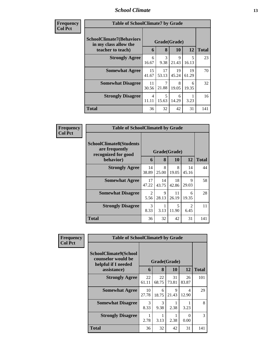# *School Climate* **13**

| <b>Frequency</b> |
|------------------|
| <b>Col Pct</b>   |

 $\mathbf{I}$ 

| ncy | <b>Table of SchoolClimate7 by Grade</b>                                       |             |             |                    |             |              |  |
|-----|-------------------------------------------------------------------------------|-------------|-------------|--------------------|-------------|--------------|--|
|     | <b>SchoolClimate7(Behaviors</b><br>in my class allow the<br>teacher to teach) | 6           | 8           | Grade(Grade)<br>10 | 12          | <b>Total</b> |  |
|     | <b>Strongly Agree</b>                                                         | 6           | 3           | 9                  | 5           | 23           |  |
|     |                                                                               | 16.67       | 9.38        | 21.43              | 16.13       |              |  |
|     | <b>Somewhat Agree</b>                                                         | 15<br>41.67 | 17<br>53.13 | 19<br>45.24        | 19<br>61.29 | 70           |  |
|     | <b>Somewhat Disagree</b>                                                      | 11<br>30.56 | 7<br>21.88  | 8<br>19.05         | 6<br>19.35  | 32           |  |
|     | <b>Strongly Disagree</b>                                                      | 4<br>11.11  | 5<br>15.63  | 6<br>14.29         | 3.23        | 16           |  |
|     | <b>Total</b>                                                                  | 36          | 32          | 42                 | 31          | 141          |  |

| Frequency      | <b>Table of SchoolClimate8 by Grade</b>                                              |             |                   |             |                        |              |
|----------------|--------------------------------------------------------------------------------------|-------------|-------------------|-------------|------------------------|--------------|
| <b>Col Pct</b> | <b>SchoolClimate8(Students</b><br>are frequently<br>recognized for good<br>behavior) | 6           | Grade(Grade)<br>8 | 10          | 12                     | <b>Total</b> |
|                | <b>Strongly Agree</b>                                                                | 14          | 8                 | 8           | 14                     | 44           |
|                |                                                                                      | 38.89       | 25.00             | 19.05       | 45.16                  |              |
|                | <b>Somewhat Agree</b>                                                                | 17<br>47.22 | 14<br>43.75       | 18<br>42.86 | 9<br>29.03             | 58           |
|                | <b>Somewhat Disagree</b>                                                             | 2<br>5.56   | 9<br>28.13        | 11<br>26.19 | 6<br>19.35             | 28           |
|                | <b>Strongly Disagree</b>                                                             | 3<br>8.33   | 3.13              | 5<br>11.90  | $\mathfrak{D}$<br>6.45 | 11           |
|                | <b>Total</b>                                                                         | 36          | 32                | 42          | 31                     | 141          |

| Frequency      | <b>Table of SchoolClimate9 by Grade</b>                            |             |              |             |             |              |
|----------------|--------------------------------------------------------------------|-------------|--------------|-------------|-------------|--------------|
| <b>Col Pct</b> | SchoolClimate9(School<br>counselor would be<br>helpful if I needed |             | Grade(Grade) |             |             |              |
|                | assistance)                                                        | 6           | 8            | 10          | 12          | <b>Total</b> |
|                | <b>Strongly Agree</b>                                              | 22<br>61.11 | 22<br>68.75  | 31<br>73.81 | 26<br>83.87 | 101          |
|                | <b>Somewhat Agree</b>                                              | 10<br>27.78 | 6<br>18.75   | 9<br>21.43  | 4<br>12.90  | 29           |
|                | <b>Somewhat Disagree</b>                                           | 3<br>8.33   | 3<br>9.38    | 2.38        | 3.23        | 8            |
|                | <b>Strongly Disagree</b>                                           | 2.78        | 3.13         | 2.38        | 0<br>0.00   | 3            |
|                | <b>Total</b>                                                       | 36          | 32           | 42          | 31          | 141          |

٦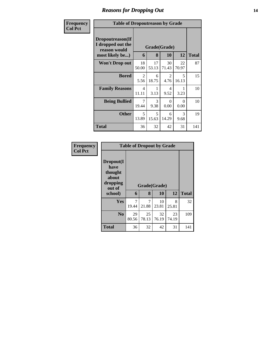## *Reasons for Dropping Out* **14**

| <b>Frequency</b><br><b>Col Pct</b> | <b>Table of Dropoutreason by Grade</b>                                   |                         |             |                           |             |              |
|------------------------------------|--------------------------------------------------------------------------|-------------------------|-------------|---------------------------|-------------|--------------|
|                                    | Dropoutreason(If<br>I dropped out the<br>reason would<br>most likely be) | 6                       | 8           | Grade(Grade)<br><b>10</b> | 12          | <b>Total</b> |
|                                    | <b>Won't Drop out</b>                                                    | 18<br>50.00             | 17<br>53.13 | 30<br>71.43               | 22<br>70.97 | 87           |
|                                    | <b>Bored</b>                                                             | 2<br>5.56               | 6<br>18.75  | 2<br>4.76                 | 5<br>16.13  | 15           |
|                                    | <b>Family Reasons</b>                                                    | $\overline{4}$<br>11.11 | 1<br>3.13   | 4<br>9.52                 | 1<br>3.23   | 10           |
|                                    | <b>Being Bullied</b>                                                     | $\overline{7}$<br>19.44 | 3<br>9.38   | 0<br>0.00                 | 0<br>0.00   | 10           |
|                                    | <b>Other</b>                                                             | 5<br>13.89              | 5<br>15.63  | 6<br>14.29                | 3<br>9.68   | 19           |
|                                    | Total                                                                    | 36                      | 32          | 42                        | 31          | 141          |

| Frequency<br><b>Col Pct</b> |                                                             |                         | <b>Table of Dropout by Grade</b> |             |             |              |  |  |  |
|-----------------------------|-------------------------------------------------------------|-------------------------|----------------------------------|-------------|-------------|--------------|--|--|--|
|                             | Dropout(I<br>have<br>thought<br>about<br>dropping<br>out of |                         | Grade(Grade)                     |             |             |              |  |  |  |
|                             | school)                                                     | 6                       | 8                                | 10          | 12          | <b>Total</b> |  |  |  |
|                             | Yes                                                         | $\overline{7}$<br>19.44 | 7<br>21.88                       | 10<br>23.81 | 8<br>25.81  | 32           |  |  |  |
|                             | N <sub>0</sub>                                              | 29<br>80.56             | 25<br>78.13                      | 32<br>76.19 | 23<br>74.19 | 109          |  |  |  |
|                             | <b>Total</b>                                                | 36                      | 32                               | 42          | 31          | 141          |  |  |  |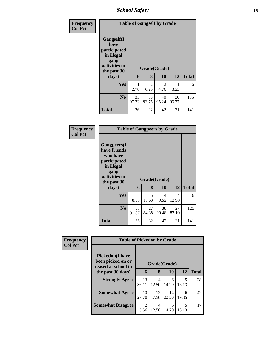*School Safety* **15**

| Frequency<br><b>Col Pct</b> |                                                                                          | <b>Table of Gangself by Grade</b> |             |              |             |              |  |  |
|-----------------------------|------------------------------------------------------------------------------------------|-----------------------------------|-------------|--------------|-------------|--------------|--|--|
|                             | Gangself(I<br>have<br>participated<br>in illegal<br>gang<br>activities in<br>the past 30 |                                   |             | Grade(Grade) |             |              |  |  |
|                             | days)                                                                                    | 6                                 | 8           | 10           | 12          | <b>Total</b> |  |  |
|                             | Yes                                                                                      | 2.78                              | 2<br>6.25   | 2<br>4.76    | 3.23        | 6            |  |  |
|                             | N <sub>0</sub>                                                                           | 35<br>97.22                       | 30<br>93.75 | 40<br>95.24  | 30<br>96.77 | 135          |  |  |
|                             | <b>Total</b>                                                                             | 36                                | 32          | 42           | 31          | 141          |  |  |

| Frequency<br>Col Pct |
|----------------------|
|                      |

| <b>Table of Gangpeers by Grade</b>                                                                                    |             |             |              |             |              |  |  |
|-----------------------------------------------------------------------------------------------------------------------|-------------|-------------|--------------|-------------|--------------|--|--|
| <b>Gangpeers</b> (I<br>have friends<br>who have<br>participated<br>in illegal<br>gang<br>activities in<br>the past 30 |             |             | Grade(Grade) |             |              |  |  |
| days)                                                                                                                 | 6           | 8           | 10           | 12          | <b>Total</b> |  |  |
|                                                                                                                       |             |             |              |             |              |  |  |
| Yes                                                                                                                   | 3<br>8.33   | 5<br>15.63  | 4<br>9.52    | 4<br>12.90  | 16           |  |  |
| N <sub>0</sub>                                                                                                        | 33<br>91.67 | 27<br>84.38 | 38<br>90.48  | 27<br>87.10 | 125          |  |  |

| Frequency<br><b>Col Pct</b> | <b>Table of Pickedon by Grade</b>                                   |                                     |             |             |            |              |
|-----------------------------|---------------------------------------------------------------------|-------------------------------------|-------------|-------------|------------|--------------|
|                             | <b>Pickedon</b> (I have<br>been picked on or<br>teased at school in | Grade(Grade)                        |             |             |            |              |
|                             | the past 30 days)                                                   | 6                                   | 8           | 10          | 12         | <b>Total</b> |
|                             | <b>Strongly Agree</b>                                               | 13<br>36.11                         | 4<br>12.50  | 6<br>14.29  | 5<br>16.13 | 28           |
|                             | <b>Somewhat Agree</b>                                               | 10<br>27.78                         | 12<br>37.50 | 14<br>33.33 | 6<br>19.35 | 42           |
|                             | <b>Somewhat Disagree</b>                                            | $\mathcal{D}_{\mathcal{L}}$<br>5.56 | 4<br>12.50  | 6<br>14.29  | 5<br>16.13 | 17           |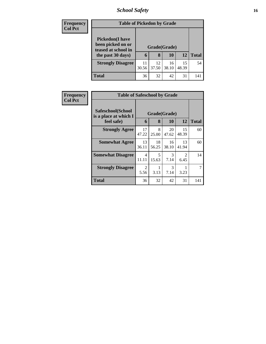### *School Safety* **16**

| Frequency      |                                              | <b>Table of Pickedon by Grade</b> |       |       |       |              |  |  |  |  |
|----------------|----------------------------------------------|-----------------------------------|-------|-------|-------|--------------|--|--|--|--|
| <b>Col Pct</b> | <b>Pickedon</b> (I have<br>been picked on or |                                   |       |       |       |              |  |  |  |  |
|                | teased at school in                          | Grade(Grade)                      |       |       |       |              |  |  |  |  |
|                | the past 30 days)                            | 6                                 | 8     | 10    | 12    | <b>Total</b> |  |  |  |  |
|                | <b>Strongly Disagree</b>                     | 11                                | 12    | 16    | 15    | 54           |  |  |  |  |
|                |                                              | 30.56                             | 37.50 | 38.10 | 48.39 |              |  |  |  |  |
|                | <b>Total</b>                                 | 36                                | 32    | 42    | 31    | 141          |  |  |  |  |

| Frequency      | <b>Table of Safeschool by Grade</b>        |             |              |             |                        |              |  |
|----------------|--------------------------------------------|-------------|--------------|-------------|------------------------|--------------|--|
| <b>Col Pct</b> | Safeschool(School<br>is a place at which I |             | Grade(Grade) |             |                        |              |  |
|                | feel safe)                                 | 6           | 8            | 10          | 12                     | <b>Total</b> |  |
|                | <b>Strongly Agree</b>                      | 17<br>47.22 | 8<br>25.00   | 20<br>47.62 | 15<br>48.39            | 60           |  |
|                | <b>Somewhat Agree</b>                      | 13<br>36.11 | 18<br>56.25  | 16<br>38.10 | 13<br>41.94            | 60           |  |
|                | <b>Somewhat Disagree</b>                   | 4<br>11.11  | 5<br>15.63   | 3<br>7.14   | $\mathfrak{D}$<br>6.45 | 14           |  |
|                | <b>Strongly Disagree</b>                   | 2<br>5.56   | 3.13         | 3<br>7.14   | 3.23                   |              |  |
|                | Total                                      | 36          | 32           | 42          | 31                     | 141          |  |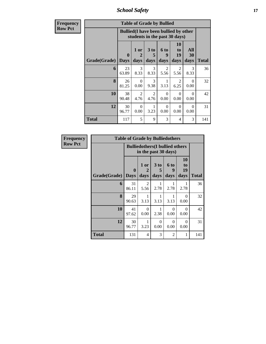*School Safety* **17**

| <b>Frequency</b> |                     |              |                                                                               |                              |                          |                               |                   |              |
|------------------|---------------------|--------------|-------------------------------------------------------------------------------|------------------------------|--------------------------|-------------------------------|-------------------|--------------|
| <b>Row Pct</b>   |                     |              | <b>Bullied</b> (I have been bullied by other<br>students in the past 30 days) |                              |                          |                               |                   |              |
|                  | Grade(Grade)   Days | $\mathbf{0}$ | 1 or<br>2<br>days                                                             | 3 <sub>to</sub><br>5<br>days | <b>6 to</b><br>9<br>days | <b>10</b><br>to<br>19<br>days | All<br>30<br>days | <b>Total</b> |
|                  | 6                   | 23<br>63.89  | 3<br>8.33                                                                     | 3<br>8.33                    | $\overline{2}$<br>5.56   | 2<br>5.56                     | 3<br>8.33         | 36           |
|                  | 8                   | 26<br>81.25  | $\Omega$<br>0.00                                                              | 3<br>9.38                    | 3.13                     | 2<br>6.25                     | $\Omega$<br>0.00  | 32           |
|                  | 10                  | 38<br>90.48  | $\overline{2}$<br>4.76                                                        | $\mathfrak{D}$<br>4.76       | $\Omega$<br>0.00         | $\Omega$<br>0.00              | $\Omega$<br>0.00  | 42           |
|                  | 12                  | 30<br>96.77  | $\Omega$<br>0.00                                                              | 3.23                         | $\Omega$<br>0.00         | $\Omega$<br>0.00              | $\Omega$<br>0.00  | 31           |
|                  | <b>Total</b>        | 117          | 5                                                                             | 9                            | 3                        | 4                             | 3                 | 141          |

| <b>Frequency</b> |              | <b>Table of Grade by Bulliedothers</b> |                                                                |                   |                   |                        |              |
|------------------|--------------|----------------------------------------|----------------------------------------------------------------|-------------------|-------------------|------------------------|--------------|
| <b>Row Pct</b>   |              |                                        | <b>Bulliedothers</b> (I bullied others<br>in the past 30 days) |                   |                   |                        |              |
|                  | Grade(Grade) | 0<br><b>Days</b>                       | 1 or<br>2<br>days                                              | 3 to<br>5<br>days | 6 to<br>9<br>days | 10<br>to<br>19<br>days | <b>Total</b> |
|                  | 6            | 31<br>86.11                            | 2<br>5.56                                                      | 2.78              | 2.78              | 2.78                   | 36           |
|                  | 8            | 29<br>90.63                            | 3.13                                                           | 1<br>3.13         | 3.13              | $\Omega$<br>0.00       | 32           |
|                  | 10           | 41<br>97.62                            | $\Omega$<br>0.00                                               | 2.38              | $\Omega$<br>0.00  | $\Omega$<br>0.00       | 42           |
|                  | 12           | 30<br>96.77                            | 1<br>3.23                                                      | $\Omega$<br>0.00  | $\Omega$<br>0.00  | $\Omega$<br>0.00       | 31           |
|                  | <b>Total</b> | 131                                    | $\overline{4}$                                                 | 3                 | $\overline{2}$    | 1                      | 141          |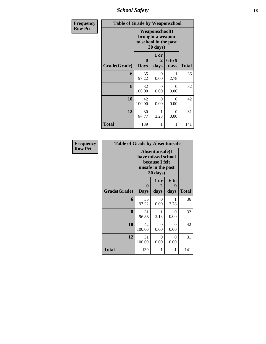*School Safety* **18**

| Frequency      | <b>Table of Grade by Weaponschool</b> |                                                                                 |                                |                |              |
|----------------|---------------------------------------|---------------------------------------------------------------------------------|--------------------------------|----------------|--------------|
| <b>Row Pct</b> |                                       | <b>Weaponschool</b> (I<br>brought a weapon<br>to school in the past<br>30 days) |                                |                |              |
|                | Grade(Grade)                          | $\bf{0}$<br><b>Days</b>                                                         | 1 or<br>$\overline{2}$<br>days | 6 to 9<br>days | <b>Total</b> |
|                | 6                                     | 35<br>97.22                                                                     | 0<br>0.00                      | 2.78           | 36           |
|                | 8                                     | 32<br>100.00                                                                    | $\theta$<br>0.00               | 0<br>0.00      | 32           |
|                | 10                                    | 42<br>100.00                                                                    | $\theta$<br>0.00               | 0<br>0.00      | 42           |
|                | 12                                    | 30<br>96.77                                                                     | 1<br>3.23                      | 0<br>0.00      | 31           |
|                | Total                                 | 139                                                                             | 1                              | 1              | 141          |

| <b>Frequency</b> | <b>Table of Grade by Absentunsafe</b> |                                                                                           |                  |                      |              |  |  |  |  |
|------------------|---------------------------------------|-------------------------------------------------------------------------------------------|------------------|----------------------|--------------|--|--|--|--|
| <b>Row Pct</b>   |                                       | Absentunsafe(I)<br>have missed school<br>because I felt<br>unsafe in the past<br>30 days) |                  |                      |              |  |  |  |  |
|                  |                                       | $\mathbf{0}$                                                                              | 1 or<br>2        | 6 <sub>to</sub><br>9 |              |  |  |  |  |
|                  | Grade(Grade)                          | <b>Days</b>                                                                               | days             | days                 | <b>Total</b> |  |  |  |  |
|                  | 6                                     | 35<br>97.22                                                                               | 0<br>0.00        | 2.78                 | 36           |  |  |  |  |
|                  | 8                                     | 31<br>96.88                                                                               | 1<br>3.13        | $\Omega$<br>0.00     | 32           |  |  |  |  |
|                  | 10                                    | 42<br>100.00                                                                              | $\Omega$<br>0.00 | $\Omega$<br>0.00     | 42           |  |  |  |  |
|                  | 12                                    | 31<br>100.00                                                                              | $\Omega$<br>0.00 | $\Omega$<br>0.00     | 31           |  |  |  |  |
|                  | <b>Total</b>                          | 139                                                                                       | 1                | 1                    | 141          |  |  |  |  |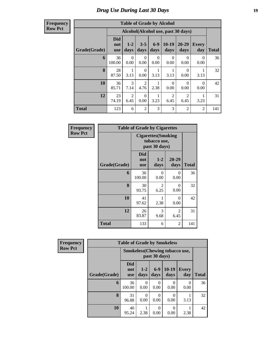#### **Frequency Row Pct**

| <b>Table of Grade by Alcohol</b> |                                 |                                    |                        |                  |                        |                        |                     |              |  |  |  |
|----------------------------------|---------------------------------|------------------------------------|------------------------|------------------|------------------------|------------------------|---------------------|--------------|--|--|--|
|                                  |                                 | Alcohol(Alcohol use, past 30 days) |                        |                  |                        |                        |                     |              |  |  |  |
| Grade(Grade)                     | <b>Did</b><br>not<br><b>use</b> | $1 - 2$<br>days                    | $3 - 5$<br>days        | $6 - 9$<br>days  | $10-19$<br>days        | 20-29<br>days          | <b>Every</b><br>day | <b>Total</b> |  |  |  |
| 6                                | 36<br>100.00                    | $\Omega$<br>0.00                   | 0<br>0.00              | $\Omega$<br>0.00 | $\theta$<br>0.00       | 0<br>0.00              | $\Omega$<br>0.00    | 36           |  |  |  |
| 8                                | 28<br>87.50                     | 1<br>3.13                          | 0<br>0.00              | 3.13             | 1<br>3.13              | 0<br>0.00              | 3.13                | 32           |  |  |  |
| 10                               | 36<br>85.71                     | 3<br>7.14                          | $\overline{2}$<br>4.76 | 2.38             | $\Omega$<br>0.00       | $\Omega$<br>0.00       | $\Omega$<br>0.00    | 42           |  |  |  |
| 12                               | 23<br>74.19                     | 2<br>6.45                          | $\Omega$<br>0.00       | 3.23             | $\overline{2}$<br>6.45 | $\overline{2}$<br>6.45 | 3.23                | 31           |  |  |  |
| <b>Total</b>                     | 123                             | 6                                  | $\overline{2}$         | 3                | 3                      | $\overline{c}$         | $\overline{2}$      | 141          |  |  |  |

| Frequency      |              | <b>Table of Grade by Cigarettes</b> |                                                             |                  |              |  |  |
|----------------|--------------|-------------------------------------|-------------------------------------------------------------|------------------|--------------|--|--|
| <b>Row Pct</b> |              |                                     | <b>Cigarettes</b> (Smoking<br>tobacco use,<br>past 30 days) |                  |              |  |  |
|                | Grade(Grade) | Did<br>not<br><b>use</b>            | $1 - 2$<br>days                                             | 20-29<br>days    | <b>Total</b> |  |  |
|                | 6            | 36<br>100.00                        | 0<br>0.00                                                   | $\Omega$<br>0.00 | 36           |  |  |
|                | 8            | 30<br>93.75                         | 2<br>6.25                                                   | 0<br>0.00        | 32           |  |  |
|                | 10           | 41<br>97.62                         | 1<br>2.38                                                   | 0<br>0.00        | 42           |  |  |
|                | 12           | 26<br>83.87                         | 3<br>9.68                                                   | 2<br>6.45        | 31           |  |  |
|                | <b>Total</b> | 133                                 | 6                                                           | $\overline{c}$   | 141          |  |  |

| Frequency      |              | <b>Table of Grade by Smokeless</b>                     |                 |                  |                 |                          |              |  |  |  |
|----------------|--------------|--------------------------------------------------------|-----------------|------------------|-----------------|--------------------------|--------------|--|--|--|
| <b>Row Pct</b> |              | <b>Smokeless</b> (Chewing tobaccouse,<br>past 30 days) |                 |                  |                 |                          |              |  |  |  |
|                | Grade(Grade) | <b>Did</b><br>not<br><b>use</b>                        | $1 - 2$<br>days | $6 - 9$<br>days  | $10-19$<br>days | <b>Every</b><br>day      | <b>Total</b> |  |  |  |
|                | 6            | 36<br>100.00                                           | 0.00            | $\Omega$<br>0.00 | 0.00            | $\left( \right)$<br>0.00 | 36           |  |  |  |
|                | 8            | 31<br>96.88                                            | 0.00            | 0<br>0.00        | 0.00            | 3.13                     | 32           |  |  |  |
|                | 10           | 40<br>95.24                                            | 2.38            | 0<br>0.00        | 0<br>0.00       | 2.38                     | 42           |  |  |  |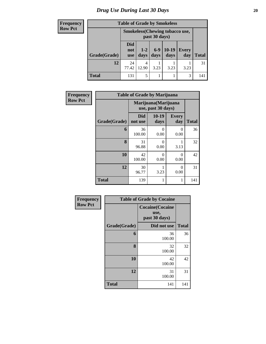#### *Drug Use During Last 30 Days* 20

#### **Frequency Row Pct**

| <b>Table of Grade by Smokeless</b> |                                 |                                                        |                 |                 |              |              |  |  |  |
|------------------------------------|---------------------------------|--------------------------------------------------------|-----------------|-----------------|--------------|--------------|--|--|--|
|                                    |                                 | <b>Smokeless</b> (Chewing tobaccouse,<br>past 30 days) |                 |                 |              |              |  |  |  |
| Grade(Grade)                       | <b>Did</b><br>not<br><b>use</b> | $1 - 2$<br>days                                        | $6 - 9$<br>days | $10-19$<br>days | Every<br>day | <b>Total</b> |  |  |  |
| 12                                 | 24<br>77.42                     | 4<br>12.90                                             | 3.23            | 3.23            | 3.23         | 31           |  |  |  |
| <b>Total</b>                       | 131                             | 5                                                      |                 |                 | 3            | 141          |  |  |  |

| Frequency      |              | <b>Table of Grade by Marijuana</b>         |                 |                     |              |
|----------------|--------------|--------------------------------------------|-----------------|---------------------|--------------|
| <b>Row Pct</b> |              | Marijuana (Marijuana<br>use, past 30 days) |                 |                     |              |
|                | Grade(Grade) | <b>Did</b><br>not use                      | $10-19$<br>days | <b>Every</b><br>day | <b>Total</b> |
|                | 6            | 36<br>100.00                               | ∩<br>0.00       | 0<br>0.00           | 36           |
|                | 8            | 31<br>96.88                                | 0<br>0.00       | 3.13                | 32           |
|                | 10           | 42<br>100.00                               | 0<br>0.00       | 0<br>0.00           | 42           |
|                | 12           | 30<br>96.77                                | 3.23            | 0<br>0.00           | 31           |
|                | <b>Total</b> | 139                                        | 1               |                     | 141          |

| <b>Frequency</b> | <b>Table of Grade by Cocaine</b> |                                                 |              |  |
|------------------|----------------------------------|-------------------------------------------------|--------------|--|
| <b>Row Pct</b>   |                                  | <b>Cocaine(Cocaine</b><br>use,<br>past 30 days) |              |  |
|                  | Grade(Grade)                     | Did not use                                     | <b>Total</b> |  |
|                  | 6                                | 36<br>100.00                                    | 36           |  |
|                  | 8                                | 32<br>100.00                                    | 32           |  |
|                  | 10                               | 42<br>100.00                                    | 42           |  |
|                  | 12                               | 31<br>100.00                                    | 31           |  |
|                  | <b>Total</b>                     | 141                                             | 141          |  |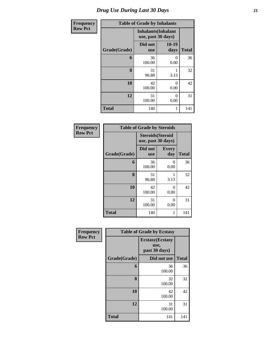| Frequency      | <b>Table of Grade by Inhalants</b> |                                                  |                  |              |  |  |
|----------------|------------------------------------|--------------------------------------------------|------------------|--------------|--|--|
| <b>Row Pct</b> |                                    | <b>Inhalants</b> (Inhalant<br>use, past 30 days) |                  |              |  |  |
|                | Grade(Grade)                       | Did not<br><b>use</b>                            | $10-19$<br>days  | <b>Total</b> |  |  |
|                | 6                                  | 36<br>100.00                                     | 0<br>0.00        | 36           |  |  |
|                | 8                                  | 31<br>96.88                                      | 3.13             | 32           |  |  |
|                | 10                                 | 42<br>100.00                                     | $\Omega$<br>0.00 | 42           |  |  |
|                | 12                                 | 31<br>100.00                                     | $\Omega$<br>0.00 | 31           |  |  |
|                | <b>Total</b>                       | 140                                              |                  | 141          |  |  |

| Frequency      | <b>Table of Grade by Steroids</b> |                                                |                     |              |  |  |
|----------------|-----------------------------------|------------------------------------------------|---------------------|--------------|--|--|
| <b>Row Pct</b> |                                   | <b>Steroids</b> (Steroid<br>use, past 30 days) |                     |              |  |  |
|                | Grade(Grade)                      | Did not<br><b>use</b>                          | <b>Every</b><br>day | <b>Total</b> |  |  |
|                | 6                                 | 36<br>100.00                                   | 0<br>0.00           | 36           |  |  |
|                | 8                                 | 31<br>96.88                                    | 3.13                | 32           |  |  |
|                | 10                                | 42<br>100.00                                   | 0<br>0.00           | 42           |  |  |
|                | 12                                | 31<br>100.00                                   | 0<br>0.00           | 31           |  |  |
|                | <b>Total</b>                      | 140                                            | 1                   | 141          |  |  |

| Frequency      | <b>Table of Grade by Ecstasy</b> |                                                  |              |  |
|----------------|----------------------------------|--------------------------------------------------|--------------|--|
| <b>Row Pct</b> |                                  | <b>Ecstasy</b> (Ecstasy<br>use,<br>past 30 days) |              |  |
|                | Grade(Grade)                     | Did not use                                      | <b>Total</b> |  |
|                | 6                                | 36<br>100.00                                     | 36           |  |
|                | 8                                | 32<br>100.00                                     | 32           |  |
|                | 10                               | 42<br>100.00                                     | 42           |  |
|                | 12                               | 31<br>100.00                                     | 31           |  |
|                | <b>Total</b>                     | 141                                              | 141          |  |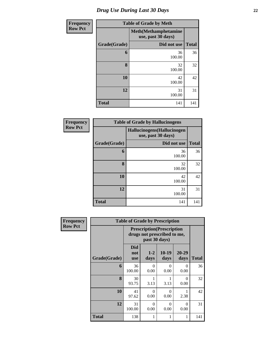| <b>Frequency</b> | <b>Table of Grade by Meth</b> |                                                    |              |  |
|------------------|-------------------------------|----------------------------------------------------|--------------|--|
| <b>Row Pct</b>   |                               | <b>Meth</b> (Methamphetamine<br>use, past 30 days) |              |  |
|                  | Grade(Grade)                  | Did not use                                        | <b>Total</b> |  |
|                  | 6                             | 36<br>100.00                                       | 36           |  |
|                  | 8                             | 32<br>100.00                                       | 32           |  |
|                  | 10                            | 42<br>100.00                                       | 42           |  |
|                  | 12                            | 31<br>100.00                                       | 31           |  |
|                  | <b>Total</b>                  | 141                                                | 141          |  |

| Frequency      | <b>Table of Grade by Hallucinogens</b> |                                                  |              |  |  |  |
|----------------|----------------------------------------|--------------------------------------------------|--------------|--|--|--|
| <b>Row Pct</b> |                                        | Hallucinogens(Hallucinogen<br>use, past 30 days) |              |  |  |  |
|                | Grade(Grade)                           | Did not use                                      | <b>Total</b> |  |  |  |
|                | 6                                      | 36<br>100.00                                     | 36           |  |  |  |
|                | 8                                      | 32<br>100.00                                     | 32           |  |  |  |
|                | 10                                     | 42<br>100.00                                     | 42           |  |  |  |
|                | 12                                     | 31<br>100.00                                     | 31           |  |  |  |
|                | <b>Total</b>                           | 141                                              | 141          |  |  |  |

| <b>Frequency</b> | <b>Table of Grade by Prescription</b> |                                 |                                                                                   |                  |                   |              |  |  |
|------------------|---------------------------------------|---------------------------------|-----------------------------------------------------------------------------------|------------------|-------------------|--------------|--|--|
| <b>Row Pct</b>   |                                       |                                 | <b>Prescription</b> (Prescription<br>drugs not prescribed to me,<br>past 30 days) |                  |                   |              |  |  |
|                  | Grade(Grade)                          | <b>Did</b><br>not<br><b>use</b> | $1 - 2$<br>days                                                                   | $10-19$<br>days  | $20 - 29$<br>days | <b>Total</b> |  |  |
|                  | 6                                     | 36<br>100.00                    | 0<br>0.00                                                                         | $\Omega$<br>0.00 | 0<br>0.00         | 36           |  |  |
|                  | 8                                     | 30<br>93.75                     | 3.13                                                                              | 3.13             | 0<br>0.00         | 32           |  |  |
|                  | 10                                    | 41<br>97.62                     | $\Omega$<br>0.00                                                                  | $\Omega$<br>0.00 | 2.38              | 42           |  |  |
|                  | 12                                    | 31<br>100.00                    | $\Omega$<br>0.00                                                                  | $\Omega$<br>0.00 | 0<br>0.00         | 31           |  |  |
|                  | Total                                 | 138                             | 1                                                                                 |                  |                   | 141          |  |  |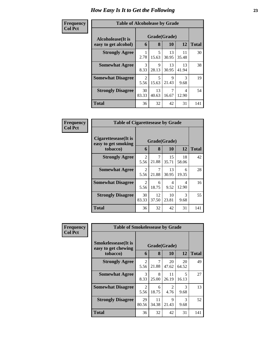#### **Frequency Col Pct**

| <b>ncy</b> | <b>Table of Alcoholease by Grade</b> |              |             |             |             |              |  |  |  |
|------------|--------------------------------------|--------------|-------------|-------------|-------------|--------------|--|--|--|
|            | Alcoholease(It is                    | Grade(Grade) |             |             |             |              |  |  |  |
|            | easy to get alcohol)                 | 6            | 8           | 10          | 12          | <b>Total</b> |  |  |  |
|            | <b>Strongly Agree</b>                | 2.78         | 5<br>15.63  | 13<br>30.95 | 11<br>35.48 | 30           |  |  |  |
|            | <b>Somewhat Agree</b>                | 3<br>8.33    | 9<br>28.13  | 13<br>30.95 | 13<br>41.94 | 38           |  |  |  |
|            | <b>Somewhat Disagree</b>             | 2<br>5.56    | 5<br>15.63  | 9<br>21.43  | 3<br>9.68   | 19           |  |  |  |
|            | <b>Strongly Disagree</b>             | 30<br>83.33  | 13<br>40.63 | 16.67       | 4<br>12.90  | 54           |  |  |  |
|            | <b>Total</b>                         | 36           | 32          | 42          | 31          | 141          |  |  |  |

| Frequency      | <b>Table of Cigarettesease by Grade</b>                 |                        |             |                    |             |              |
|----------------|---------------------------------------------------------|------------------------|-------------|--------------------|-------------|--------------|
| <b>Col Pct</b> | Cigarettesease(It is<br>easy to get smoking<br>tobacco) | 6                      | 8           | Grade(Grade)<br>10 | 12          | <b>Total</b> |
|                | <b>Strongly Agree</b>                                   | 2<br>5.56              | 21.88       | 15<br>35.71        | 18<br>58.06 | 42           |
|                | <b>Somewhat Agree</b>                                   | $\mathfrak{D}$<br>5.56 | 7<br>21.88  | 13<br>30.95        | 6<br>19.35  | 28           |
|                | <b>Somewhat Disagree</b>                                | 2<br>5.56              | 6<br>18.75  | 4<br>9.52          | 4<br>12.90  | 16           |
|                | <b>Strongly Disagree</b>                                | 30<br>83.33            | 12<br>37.50 | 10<br>23.81        | 3<br>9.68   | 55           |
|                | Total                                                   | 36                     | 32          | 42                 | 31          | 141          |

| <b>Frequency</b> | <b>Table of Smokelessease by Grade</b>                         |                        |             |                    |                       |              |
|------------------|----------------------------------------------------------------|------------------------|-------------|--------------------|-----------------------|--------------|
| <b>Col Pct</b>   | <b>Smokelessease</b> (It is<br>easy to get chewing<br>tobacco) | 6                      | 8           | Grade(Grade)<br>10 | 12                    | <b>Total</b> |
|                  | <b>Strongly Agree</b>                                          | $\overline{2}$<br>5.56 | 7<br>21.88  | 20<br>47.62        | 20<br>64.52           | 49           |
|                  | <b>Somewhat Agree</b>                                          | 3<br>8.33              | 8<br>25.00  | 11<br>26.19        | 5<br>16.13            | 27           |
|                  | <b>Somewhat Disagree</b>                                       | 2<br>5.56              | 6<br>18.75  | 2<br>4.76          | 3<br>9.68             | 13           |
|                  | <b>Strongly Disagree</b>                                       | 29<br>80.56            | 11<br>34.38 | 9<br>21.43         | $\mathcal{R}$<br>9.68 | 52           |
|                  | <b>Total</b>                                                   | 36                     | 32          | 42                 | 31                    | 141          |

٦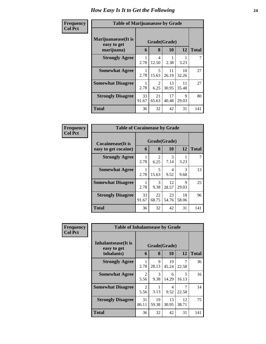| Frequency<br><b>Col Pct</b> | <b>Table of Marijuanaease by Grade</b>           |             |             |                    |             |              |
|-----------------------------|--------------------------------------------------|-------------|-------------|--------------------|-------------|--------------|
|                             | Marijuanaease(It is<br>easy to get<br>marijuana) | 6           | 8           | Grade(Grade)<br>10 | 12          | <b>Total</b> |
|                             | <b>Strongly Agree</b>                            |             | 4           |                    |             | 7            |
|                             |                                                  | 2.78        | 12.50       | 2.38               | 3.23        |              |
|                             | <b>Somewhat Agree</b>                            | 2.78        | 5<br>15.63  | 11<br>26.19        | 10<br>32.26 | 27           |
|                             | <b>Somewhat Disagree</b>                         | 2.78        | 2<br>6.25   | 13<br>30.95        | 11<br>35.48 | 27           |
|                             | <b>Strongly Disagree</b>                         | 33<br>91.67 | 21<br>65.63 | 17<br>40.48        | 9<br>29.03  | 80           |
|                             | <b>Total</b>                                     | 36          | 32          | 42                 | 31          | 141          |

| Frequency      | <b>Table of Cocaineease by Grade</b>              |             |                        |             |                       |              |
|----------------|---------------------------------------------------|-------------|------------------------|-------------|-----------------------|--------------|
| <b>Col Pct</b> | <b>Cocaineease</b> (It is<br>easy to get cocaine) | 6           | Grade(Grade)<br>8      | 10          | 12                    | <b>Total</b> |
|                | <b>Strongly Agree</b>                             | 2.78        | $\overline{2}$<br>6.25 | 3<br>7.14   | 3.23                  |              |
|                | <b>Somewhat Agree</b>                             | 2.78        | 5<br>15.63             | 4<br>9.52   | $\mathcal{R}$<br>9.68 | 13           |
|                | <b>Somewhat Disagree</b>                          | 2.78        | 3<br>9.38              | 12<br>28.57 | Q<br>29.03            | 25           |
|                | <b>Strongly Disagree</b>                          | 33<br>91.67 | 22<br>68.75            | 23<br>54.76 | 18<br>58.06           | 96           |
|                | <b>Total</b>                                      | 36          | 32                     | 42          | 31                    | 141          |

| <b>Frequency</b> | <b>Table of Inhalantsease by Grade</b>           |             |                   |             |                                  |              |  |  |  |  |  |  |
|------------------|--------------------------------------------------|-------------|-------------------|-------------|----------------------------------|--------------|--|--|--|--|--|--|
| <b>Col Pct</b>   | Inhalantsease(It is<br>easy to get<br>inhalants) | 6           | Grade(Grade)<br>8 | 10          | 12                               | <b>Total</b> |  |  |  |  |  |  |
|                  | <b>Strongly Agree</b>                            | 2.78        | 9<br>28.13        | 19<br>45.24 | 7<br>22.58                       | 36           |  |  |  |  |  |  |
|                  | <b>Somewhat Agree</b>                            | 2<br>5.56   | 3<br>9.38         | 6<br>14.29  | $\overline{\mathbf{z}}$<br>16.13 | 16           |  |  |  |  |  |  |
|                  | <b>Somewhat Disagree</b>                         | 2<br>5.56   | 3.13              | 4<br>9.52   | 7<br>22.58                       | 14           |  |  |  |  |  |  |
|                  | <b>Strongly Disagree</b>                         | 31<br>86.11 | 19<br>59.38       | 13<br>30.95 | 12<br>38.71                      | 75           |  |  |  |  |  |  |
|                  | <b>Total</b>                                     | 36          | 32                | 42          | 31                               | 141          |  |  |  |  |  |  |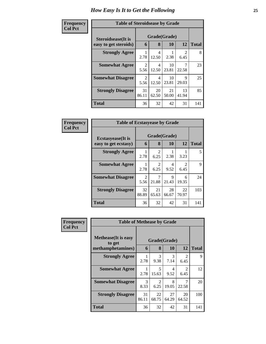| Frequency      | <b>Table of Steroidsease by Grade</b>               |             |                   |             |                        |              |  |  |  |  |  |  |
|----------------|-----------------------------------------------------|-------------|-------------------|-------------|------------------------|--------------|--|--|--|--|--|--|
| <b>Col Pct</b> | <b>Steroidsease</b> (It is<br>easy to get steroids) | 6           | Grade(Grade)<br>8 | 10          | 12                     | <b>Total</b> |  |  |  |  |  |  |
|                | <b>Strongly Agree</b>                               | 2.78        | 4<br>12.50        | 2.38        | $\mathfrak{D}$<br>6.45 | 8            |  |  |  |  |  |  |
|                | <b>Somewhat Agree</b>                               | 2<br>5.56   | 4<br>12.50        | 10<br>23.81 | 22.58                  | 23           |  |  |  |  |  |  |
|                | <b>Somewhat Disagree</b>                            | 2<br>5.56   | 4<br>12.50        | 10<br>23.81 | Q<br>29.03             | 25           |  |  |  |  |  |  |
|                | <b>Strongly Disagree</b>                            | 31<br>86.11 | 20<br>62.50       | 21<br>50.00 | 13<br>41.94            | 85           |  |  |  |  |  |  |
|                | <b>Total</b>                                        | 36          | 32                | 42          | 31                     | 141          |  |  |  |  |  |  |

| Frequency      | <b>Table of Ecstasyease by Grade</b>              |             |                        |                    |                                     |              |  |  |  |  |  |  |
|----------------|---------------------------------------------------|-------------|------------------------|--------------------|-------------------------------------|--------------|--|--|--|--|--|--|
| <b>Col Pct</b> | <b>Ecstasyease</b> (It is<br>easy to get ecstasy) | 6           | 8                      | Grade(Grade)<br>10 | 12                                  | <b>Total</b> |  |  |  |  |  |  |
|                | <b>Strongly Agree</b>                             | 2.78        | 6.25                   | 2.38               | 3.23                                | 5            |  |  |  |  |  |  |
|                | <b>Somewhat Agree</b>                             | 2.78        | $\mathfrak{D}$<br>6.25 | 4<br>9.52          | $\mathcal{D}_{\mathcal{L}}$<br>6.45 | 9            |  |  |  |  |  |  |
|                | <b>Somewhat Disagree</b>                          | 2<br>5.56   | 21.88                  | 9<br>21.43         | 6<br>19.35                          | 24           |  |  |  |  |  |  |
|                | <b>Strongly Disagree</b>                          | 32<br>88.89 | 21<br>65.63            | 28<br>66.67        | 22<br>70.97                         | 103          |  |  |  |  |  |  |
|                | Total                                             | 36          | 32                     | 42                 | 31                                  | 141          |  |  |  |  |  |  |

| <b>Frequency</b> | <b>Table of Methease by Grade</b>                          |             |                       |             |                        |     |
|------------------|------------------------------------------------------------|-------------|-----------------------|-------------|------------------------|-----|
| <b>Col Pct</b>   | <b>Methease</b> (It is easy<br>to get<br>methamphetamines) | 6           | Grade(Grade)<br>8     | 12          | <b>Total</b>           |     |
|                  | <b>Strongly Agree</b>                                      | 1<br>2.78   | $\mathcal{R}$<br>9.38 | 3<br>7.14   | $\mathfrak{D}$<br>6.45 | 9   |
|                  | <b>Somewhat Agree</b>                                      | 1<br>2.78   | 5<br>15.63            | 4<br>9.52   | $\mathfrak{D}$<br>6.45 | 12  |
|                  | <b>Somewhat Disagree</b>                                   | 3<br>8.33   | 2<br>6.25             | 8<br>19.05  | 22.58                  | 20  |
|                  | <b>Strongly Disagree</b>                                   | 31<br>86.11 | 22<br>68.75           | 27<br>64.29 | 20<br>64.52            | 100 |
|                  | <b>Total</b>                                               | 36          | 32                    | 42          | 31                     | 141 |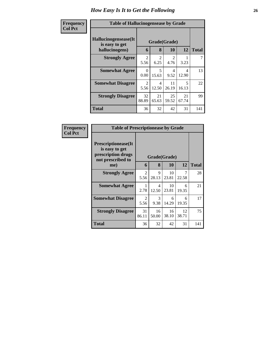| <b>Frequency</b> | <b>Table of Hallucinogensease by Grade</b>               |                        |                        |                        |                                   |              |  |  |  |  |  |
|------------------|----------------------------------------------------------|------------------------|------------------------|------------------------|-----------------------------------|--------------|--|--|--|--|--|
| <b>Col Pct</b>   | Hallucinogensease(It<br>is easy to get<br>hallucinogens) | 6                      | Grade(Grade)<br>8      | <b>10</b>              | 12                                | <b>Total</b> |  |  |  |  |  |
|                  | <b>Strongly Agree</b>                                    | $\mathfrak{D}$<br>5.56 | $\mathfrak{D}$<br>6.25 | $\mathfrak{D}$<br>4.76 | 3.23                              |              |  |  |  |  |  |
|                  | <b>Somewhat Agree</b>                                    | $\Omega$<br>0.00       | 5<br>15.63             | 4<br>9.52              | 4<br>12.90                        | 13           |  |  |  |  |  |
|                  | <b>Somewhat Disagree</b>                                 | $\mathfrak{D}$<br>5.56 | 4<br>12.50             | 11<br>26.19            | $\overline{\mathcal{L}}$<br>16.13 | 22           |  |  |  |  |  |
|                  | <b>Strongly Disagree</b>                                 | 32<br>88.89            | 21<br>65.63            | 25<br>59.52            | 21<br>67.74                       | 99           |  |  |  |  |  |
|                  | <b>Total</b>                                             | 36                     | 32                     | 42                     | 31                                | 141          |  |  |  |  |  |

| Frequency<br><b>Col Pct</b> | <b>Table of Prescriptionease by Grade</b>                                                |                       |             |             |             |              |
|-----------------------------|------------------------------------------------------------------------------------------|-----------------------|-------------|-------------|-------------|--------------|
|                             | <b>Prescriptionease</b> (It<br>is easy to get<br>prescription drugs<br>not prescribed to | Grade(Grade)          |             |             |             |              |
|                             | me)                                                                                      | 6                     | 8           | 10          | 12          | <b>Total</b> |
|                             | <b>Strongly Agree</b>                                                                    | 2<br>5.56             | 9<br>28.13  | 10<br>23.81 | 22.58       | 28           |
|                             | <b>Somewhat Agree</b>                                                                    | 1<br>2.78             | 4<br>12.50  | 10<br>23.81 | 6<br>19.35  | 21           |
|                             | <b>Somewhat Disagree</b>                                                                 | $\mathcal{L}$<br>5.56 | 3<br>9.38   | 6<br>14.29  | 6<br>19.35  | 17           |
|                             | <b>Strongly Disagree</b>                                                                 | 31<br>86.11           | 16<br>50.00 | 16<br>38.10 | 12<br>38.71 | 75           |
|                             | Total                                                                                    | 36                    | 32          | 42          | 31          | 141          |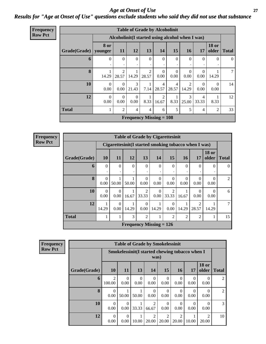#### *Age at Onset of Use* **27** *Results for "Age at Onset of Use" questions exclude students who said they did not use that substance*

| <b>Frequency</b> |
|------------------|
| <b>Row Pct</b>   |

|              | <b>Table of Grade by Alcoholinit</b> |                                                  |                  |                                |                         |                         |                         |                  |                       |              |  |  |  |
|--------------|--------------------------------------|--------------------------------------------------|------------------|--------------------------------|-------------------------|-------------------------|-------------------------|------------------|-----------------------|--------------|--|--|--|
|              |                                      | Alcoholinit (I started using alcohol when I was) |                  |                                |                         |                         |                         |                  |                       |              |  |  |  |
| Grade(Grade) | 8 or<br>younger                      | <b>11</b>                                        | <b>12</b>        | 13                             | <b>14</b>               | 15                      | <b>16</b>               | 17               | <b>18 or</b><br>older | <b>Total</b> |  |  |  |
| 6            | $\theta$                             | $\Omega$<br>٠                                    | $\Omega$         | $\Omega$                       | $\Omega$                | $\Omega$                | $\Omega$                | $\Omega$         | $\Omega$              | $\left($     |  |  |  |
| 8            | 14.29                                | 2<br>28.57                                       | 14.29            | 2<br>28.57                     | $\Omega$<br>0.00        | $\Omega$<br>0.00        | $\Omega$<br>0.00        | $\Omega$<br>0.00 | 14.29                 |              |  |  |  |
| <b>10</b>    | $\Omega$<br>0.00                     | $\Omega$<br>0.00                                 | 3<br>21.43       | 7.14                           | $\overline{4}$<br>28.57 | $\overline{4}$<br>28.57 | $\mathfrak{D}$<br>14.29 | $\Omega$<br>0.00 | $\Omega$<br>0.00      | 14           |  |  |  |
| 12           | $\Omega$<br>0.00                     | $\Omega$<br>0.00                                 | $\Omega$<br>0.00 | 8.33                           | 2<br>16.67              | 1<br>8.33               | 3<br>25.00              | 4<br>33.33       | 8.33                  | 12           |  |  |  |
| <b>Total</b> | 1                                    | $\overline{2}$                                   | $\overline{4}$   | $\overline{4}$                 | 6                       | 5                       | 5                       | 4                | $\overline{c}$        | 33           |  |  |  |
|              |                                      |                                                  |                  | <b>Frequency Missing = 108</b> |                         |                         |                         |                  |                       |              |  |  |  |

**Frequency Row Pct**

| <b>Table of Grade by Cigarettesinit</b> |                  |                                                      |                                |                         |                  |                         |                  |                  |                       |              |  |  |  |
|-----------------------------------------|------------------|------------------------------------------------------|--------------------------------|-------------------------|------------------|-------------------------|------------------|------------------|-----------------------|--------------|--|--|--|
|                                         |                  | Cigarettesinit(I started smoking tobacco when I was) |                                |                         |                  |                         |                  |                  |                       |              |  |  |  |
| Grade(Grade)                            | <b>10</b>        | <b>11</b>                                            | 12                             | 13                      | <b>14</b>        | 15                      | <b>16</b>        | 17               | <b>18 or</b><br>older | <b>Total</b> |  |  |  |
| 6                                       | $\Omega$         | $\Omega$                                             | $\Omega$                       | $\Omega$                | $\Omega$         | $\Omega$                | $\Omega$         | $\Omega$         | $\left( \right)$      | $\Omega$     |  |  |  |
| 8                                       | $\Omega$<br>0.00 | 50.00                                                | 50.00                          | 0<br>0.00               | $\Omega$<br>0.00 | $\Omega$<br>0.00        | $\Omega$<br>0.00 | $\Omega$<br>0.00 | 0.00                  | 2            |  |  |  |
| 10                                      | $\Omega$<br>0.00 | $\Omega$<br>0.00                                     | 16.67                          | $\mathfrak{D}$<br>33.33 | $\Omega$<br>0.00 | $\mathfrak{D}$<br>33.33 | 16.67            | 0<br>0.00        | 0.00                  | 6            |  |  |  |
| 12                                      | 14.29            | $\Omega$<br>0.00                                     | 14.29                          | $\mathcal{O}$<br>0.00   | 14.29            | $\Omega$<br>0.00        | 14.29            | 2<br>28.57       | 14.29                 | 7            |  |  |  |
| Total                                   |                  |                                                      | 3                              | $\overline{2}$          |                  | $\overline{2}$          | $\overline{2}$   | $\overline{2}$   |                       | 15           |  |  |  |
|                                         |                  |                                                      | <b>Frequency Missing = 126</b> |                         |                  |                         |                  |                  |                       |              |  |  |  |

| <b>Frequency</b> | <b>Table of Grade by Smokelessinit</b> |                          |                                                         |                  |                  |                         |                         |                  |                         |                |  |  |
|------------------|----------------------------------------|--------------------------|---------------------------------------------------------|------------------|------------------|-------------------------|-------------------------|------------------|-------------------------|----------------|--|--|
| <b>Row Pct</b>   |                                        |                          | Smokelessinit (I started chewing tobacco when I<br>was) |                  |                  |                         |                         |                  |                         |                |  |  |
|                  | Grade(Grade)                           | <b>10</b>                | <b>11</b>                                               | <b>13</b>        | 14               | <b>15</b>               | <b>16</b>               | <b>17</b>        | <b>18 or</b><br>older   | <b>Total</b>   |  |  |
|                  | 6                                      | $\overline{2}$<br>100.00 | $\theta$<br>0.00                                        | $\theta$<br>0.00 | $\Omega$<br>0.00 | $\theta$<br>0.00        | $\theta$<br>0.00        | $\Omega$<br>0.00 | 0<br>0.00               | $\overline{2}$ |  |  |
|                  | 8                                      | $\theta$<br>0.00         | 50.00                                                   | 50.00            | $\Omega$<br>0.00 | $\theta$<br>0.00        | $\Omega$<br>0.00        | $\Omega$<br>0.00 | 0<br>0.00               | $\overline{2}$ |  |  |
|                  | 10                                     | $\Omega$<br>0.00         | $\Omega$<br>0.00                                        | 33.33            | 2<br>66.67       | $\theta$<br>0.00        | $\Omega$<br>0.00        | $\Omega$<br>0.00 | 0<br>0.00               | 3              |  |  |
|                  | 12                                     | $\Omega$<br>0.00         | $\Omega$<br>0.00                                        | 10.00            | 2<br>20.00       | $\overline{2}$<br>20.00 | $\overline{2}$<br>20.00 | 10.00            | $\mathfrak{D}$<br>20.00 | 10             |  |  |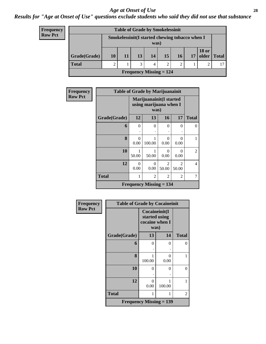#### *Age at Onset of Use* **28**

#### *Results for "Age at Onset of Use" questions exclude students who said they did not use that substance*

| <b>Frequency</b> |  |
|------------------|--|
| <b>Row Pct</b>   |  |

| <b>Table of Grade by Smokelessinit</b>      |    |                                                         |    |    |    |    |    |                       |              |  |  |
|---------------------------------------------|----|---------------------------------------------------------|----|----|----|----|----|-----------------------|--------------|--|--|
|                                             |    | Smokelessinit (I started chewing tobacco when I<br>was) |    |    |    |    |    |                       |              |  |  |
| Grade(Grade)                                | 10 | 11                                                      | 13 | 14 | 15 | 16 | 17 | <b>18 or</b><br>older | <b>Total</b> |  |  |
| <b>Total</b>                                | 2  |                                                         | 3  | 4  | 2  | 2  |    | ∍                     | 17           |  |  |
| <b>Frequency Missing <math>= 124</math></b> |    |                                                         |    |    |    |    |    |                       |              |  |  |

| Frequency      | <b>Table of Grade by Marijuanainit</b> |                                                    |                                             |                         |                           |                |
|----------------|----------------------------------------|----------------------------------------------------|---------------------------------------------|-------------------------|---------------------------|----------------|
| <b>Row Pct</b> |                                        | Marijuanainit (I started<br>using marijuana when I |                                             |                         |                           |                |
|                | Grade(Grade)                           | 12                                                 | 13                                          | 16                      | 17                        | <b>Total</b>   |
|                | 6                                      | $\Omega$                                           | $\Omega$                                    | $\Omega$                | 0                         | $\Omega$       |
|                |                                        |                                                    |                                             |                         |                           |                |
|                | 8                                      | 0<br>0.00                                          | 100.00                                      | 0<br>0.00               | $\mathbf{\Omega}$<br>0.00 | 1              |
|                | 10                                     | 50.00                                              | 50.00                                       | 0<br>0.00               | 0<br>0.00                 | $\overline{2}$ |
|                | 12                                     | $\Omega$<br>0.00                                   | 0<br>0.00                                   | $\mathfrak{D}$<br>50.00 | 2<br>50.00                | $\overline{4}$ |
|                | <b>Total</b>                           | 1                                                  | 2                                           | 2                       | 2                         | 7              |
|                |                                        |                                                    | <b>Frequency Missing <math>= 134</math></b> |                         |                           |                |

| <b>Frequency</b> | <b>Table of Grade by Cocaineinit</b> |                        |                                |              |
|------------------|--------------------------------------|------------------------|--------------------------------|--------------|
| <b>Row Pct</b>   |                                      | cocaine when I<br>was) | Cocaineinit(I<br>started using |              |
|                  | Grade(Grade)                         | 13                     | 14                             | <b>Total</b> |
|                  | 6                                    | 0                      | 0                              | $\theta$     |
|                  | 8                                    | 100.00                 | 0<br>0.00                      | 1            |
|                  | 10                                   | 0                      | 0                              | $\theta$     |
|                  | 12                                   | 0<br>0.00              | 100.00                         | 1            |
|                  | <b>Total</b>                         | 1                      | 1                              | 2            |
|                  | <b>Frequency Missing = 139</b>       |                        |                                |              |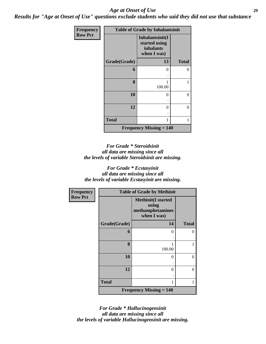#### *Age at Onset of Use* **29**

*Results for "Age at Onset of Use" questions exclude students who said they did not use that substance*

| Frequency      |              | <b>Table of Grade by Inhalantsinit</b>                       |              |
|----------------|--------------|--------------------------------------------------------------|--------------|
| <b>Row Pct</b> |              | Inhalantsinit(I<br>started using<br>inhalants<br>when I was) |              |
|                | Grade(Grade) | 13                                                           | <b>Total</b> |
|                | 6            | 0                                                            | 0            |
|                |              |                                                              |              |
|                | 8            | 1<br>100.00                                                  |              |
|                | 10           | $\theta$                                                     | 0            |
|                | 12           | 0                                                            | 0            |
|                | <b>Total</b> | 1                                                            |              |
|                |              | <b>Frequency Missing <math>= 140</math></b>                  |              |

*For Grade \* Steroidsinit all data are missing since all the levels of variable Steroidsinit are missing.*

*For Grade \* Ecstasyinit all data are missing since all the levels of variable Ecstasyinit are missing.*

| Frequency      |              | <b>Table of Grade by Methinit</b>                                     |                |
|----------------|--------------|-----------------------------------------------------------------------|----------------|
| <b>Row Pct</b> |              | <b>Methinit(I started</b><br>using<br>methamphetamines<br>when I was) |                |
|                | Grade(Grade) | 14                                                                    | <b>Total</b>   |
|                | 6            | 0                                                                     | $\theta$       |
|                | 8            | 1<br>100.00                                                           | 1              |
|                | 10           | $\theta$                                                              | $\theta$       |
|                | 12           | 0                                                                     | $\overline{0}$ |
|                | <b>Total</b> | 1                                                                     | 1              |
|                |              | <b>Frequency Missing <math>= 140</math></b>                           |                |

*For Grade \* Hallucinogensinit all data are missing since all the levels of variable Hallucinogensinit are missing.*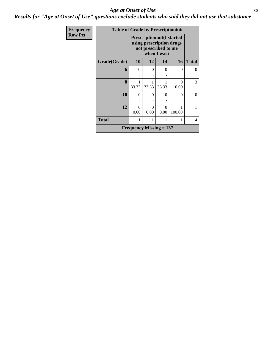#### Age at Onset of Use **30**

*Results for "Age at Onset of Use" questions exclude students who said they did not use that substance*

| Frequency      | <b>Table of Grade by Prescriptioninit</b>                  |                                                                                       |       |                           |           |              |  |  |  |
|----------------|------------------------------------------------------------|---------------------------------------------------------------------------------------|-------|---------------------------|-----------|--------------|--|--|--|
| <b>Row Pct</b> |                                                            | <b>Prescriptioninit(I started</b><br>using prescription drugs<br>not prescribed to me |       |                           |           |              |  |  |  |
|                | Grade(Grade)                                               | 10                                                                                    | 12    | 14                        | 16        | <b>Total</b> |  |  |  |
|                | 6                                                          | 0                                                                                     | 0     | 0                         | $\theta$  | 0            |  |  |  |
|                | 8                                                          | 1<br>33.33                                                                            | 33.33 | 33.33                     | 0<br>0.00 | 3            |  |  |  |
|                | 10                                                         | $\Omega$                                                                              | 0     | 0                         | $\Omega$  | $\Omega$     |  |  |  |
|                | 12<br>$\Omega$<br>0<br>0<br>0.00<br>0.00<br>0.00<br>100.00 |                                                                                       |       |                           |           |              |  |  |  |
|                | <b>Total</b><br>1<br>1<br>1<br>1                           |                                                                                       |       |                           |           |              |  |  |  |
|                |                                                            |                                                                                       |       | Frequency Missing $= 137$ |           |              |  |  |  |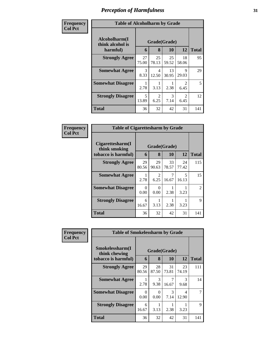| Frequency<br><b>Col Pct</b> | <b>Table of Alcoholharm by Grade</b>          |                       |                        |             |                        |              |
|-----------------------------|-----------------------------------------------|-----------------------|------------------------|-------------|------------------------|--------------|
|                             | Alcoholharm(I<br>think alcohol is<br>harmful) | 6                     | Grade(Grade)<br>8      | <b>10</b>   | 12                     | <b>Total</b> |
|                             | <b>Strongly Agree</b>                         | 27<br>75.00           | 25<br>78.13            | 25<br>59.52 | 18<br>58.06            | 95           |
|                             | <b>Somewhat Agree</b>                         | $\mathcal{R}$<br>8.33 | 4<br>12.50             | 13<br>30.95 | 9<br>29.03             | 29           |
|                             | <b>Somewhat Disagree</b>                      | 2.78                  | 3.13                   | 2.38        | $\mathfrak{D}$<br>6.45 | 5            |
|                             | <b>Strongly Disagree</b>                      | 5<br>13.89            | $\mathfrak{D}$<br>6.25 | 3<br>7.14   | $\mathfrak{D}$<br>6.45 | 12           |
|                             | Total                                         | 36                    | 32                     | 42          | 31                     | 141          |

| Frequency      | <b>Table of Cigarettesharm by Grade</b>                  |             |                        |                    |                                   |              |
|----------------|----------------------------------------------------------|-------------|------------------------|--------------------|-----------------------------------|--------------|
| <b>Col Pct</b> | Cigarettesharm(I<br>think smoking<br>tobacco is harmful) | 6           | 8                      | Grade(Grade)<br>10 | 12                                | <b>Total</b> |
|                | <b>Strongly Agree</b>                                    | 29<br>80.56 | 29<br>90.63            | 33<br>78.57        | 24<br>77.42                       | 115          |
|                | <b>Somewhat Agree</b>                                    | 2.78        | $\mathfrak{D}$<br>6.25 | 7<br>16.67         | $\overline{\phantom{0}}$<br>16.13 | 15           |
|                | <b>Somewhat Disagree</b>                                 | 0<br>0.00   | 0<br>0.00              | 2.38               | 3.23                              | 2            |
|                | <b>Strongly Disagree</b>                                 | 6<br>16.67  | 3.13                   | 2.38               | 3.23                              | 9            |
|                | <b>Total</b>                                             | 36          | 32                     | 42                 | 31                                | 141          |

| Frequency<br><b>Col Pct</b> | <b>Table of Smokelessharm by Grade</b> |             |              |             |                       |              |
|-----------------------------|----------------------------------------|-------------|--------------|-------------|-----------------------|--------------|
|                             | Smokelessharm(I<br>think chewing       |             | Grade(Grade) |             |                       |              |
|                             | tobacco is harmful)                    | 6           | 8            | 10          | 12                    | <b>Total</b> |
|                             | <b>Strongly Agree</b>                  | 29<br>80.56 | 28<br>87.50  | 31<br>73.81 | 23<br>74.19           | 111          |
|                             | <b>Somewhat Agree</b>                  | 2.78        | 3<br>9.38    | 16.67       | $\mathcal{R}$<br>9.68 | 14           |
|                             | <b>Somewhat Disagree</b>               | 0<br>0.00   | 0<br>0.00    | 3<br>7.14   | 4<br>12.90            |              |
|                             | <b>Strongly Disagree</b>               | 6<br>16.67  | 3.13         | 2.38        | 3.23                  | 9            |
|                             | <b>Total</b>                           | 36          | 32           | 42          | 31                    | 141          |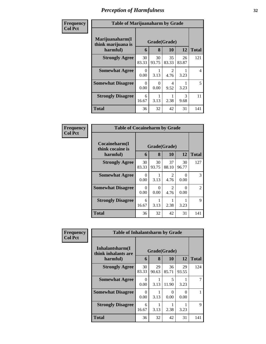| Frequency      | <b>Table of Marijuanaharm by Grade</b>            |             |                   |                        |                       |                |
|----------------|---------------------------------------------------|-------------|-------------------|------------------------|-----------------------|----------------|
| <b>Col Pct</b> | Marijuanaharm(I<br>think marijuana is<br>harmful) | 6           | Grade(Grade)<br>8 | 10                     | 12                    | <b>Total</b>   |
|                | <b>Strongly Agree</b>                             | 30<br>83.33 | 30<br>93.75       | 35<br>83.33            | 26<br>83.87           | 121            |
|                | <b>Somewhat Agree</b>                             | 0<br>0.00   | 3.13              | $\mathfrak{D}$<br>4.76 | 3.23                  | $\overline{4}$ |
|                | <b>Somewhat Disagree</b>                          | 0<br>0.00   | 0<br>0.00         | 4<br>9.52              | 3.23                  | 5              |
|                | <b>Strongly Disagree</b>                          | 6<br>16.67  | 3.13              | 2.38                   | $\mathcal{R}$<br>9.68 | 11             |
|                | <b>Total</b>                                      | 36          | 32                | 42                     | 31                    | 141            |

| Frequency      | <b>Table of Cocaineharm by Grade</b>          |             |                   |                        |             |               |
|----------------|-----------------------------------------------|-------------|-------------------|------------------------|-------------|---------------|
| <b>Col Pct</b> | Cocaineharm(I<br>think cocaine is<br>harmful) | 6           | Grade(Grade)<br>8 | 10                     | 12          | <b>Total</b>  |
|                | <b>Strongly Agree</b>                         | 30<br>83.33 | 30<br>93.75       | 37<br>88.10            | 30<br>96.77 | 127           |
|                | <b>Somewhat Agree</b>                         | 0<br>0.00   | 3.13              | $\mathfrak{D}$<br>4.76 | 0.00        | $\mathcal{R}$ |
|                | <b>Somewhat Disagree</b>                      | 0<br>0.00   | 0<br>0.00         | 2<br>4.76              | 0.00        | 2             |
|                | <b>Strongly Disagree</b>                      | 6<br>16.67  | 3.13              | 2.38                   | 3.23        | $\mathbf Q$   |
|                | Total                                         | 36          | 32                | 42                     | 31          | 141           |

| Frequency      | <b>Table of Inhalantsharm by Grade</b>  |             |              |             |                           |              |
|----------------|-----------------------------------------|-------------|--------------|-------------|---------------------------|--------------|
| <b>Col Pct</b> | Inhalantsharm(I)<br>think inhalants are |             | Grade(Grade) |             |                           |              |
|                | harmful)                                | 6           | 8            | 10          | 12                        | <b>Total</b> |
|                | <b>Strongly Agree</b>                   | 30<br>83.33 | 29<br>90.63  | 36<br>85.71 | 29<br>93.55               | 124          |
|                | <b>Somewhat Agree</b>                   | 0<br>0.00   | 3.13         | 5<br>11.90  | 3.23                      |              |
|                | <b>Somewhat Disagree</b>                | 0<br>0.00   | 3.13         | 0<br>0.00   | $\mathbf{\Omega}$<br>0.00 |              |
|                | <b>Strongly Disagree</b>                | 6<br>16.67  | 3.13         | 2.38        | 3.23                      | 9            |
|                | <b>Total</b>                            | 36          | 32           | 42          | 31                        | 141          |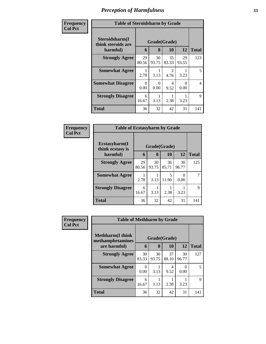| Frequency      | <b>Table of Steroidsharm by Grade</b>            |             |                   |                       |             |              |
|----------------|--------------------------------------------------|-------------|-------------------|-----------------------|-------------|--------------|
| <b>Col Pct</b> | Steroidsharm(I<br>think steroids are<br>harmful) | 6           | Grade(Grade)<br>8 | <b>10</b>             | 12          | <b>Total</b> |
|                | <b>Strongly Agree</b>                            | 29<br>80.56 | 30<br>93.75       | 35<br>83.33           | 29<br>93.55 | 123          |
|                | <b>Somewhat Agree</b>                            | 2.78        | 3.13              | $\mathcal{D}$<br>4.76 | 3.23        | 5            |
|                | <b>Somewhat Disagree</b>                         | 0<br>0.00   | 0<br>0.00         | 4<br>9.52             | 0<br>0.00   | 4            |
|                | <b>Strongly Disagree</b>                         | 6<br>16.67  | 3.13              | 2.38                  | 3.23        | 9            |
|                | Total                                            | 36          | 32                | 42                    | 31          | 141          |

| Frequency      | <b>Table of Ecstasyharm by Grade</b> |              |             |             |                  |              |  |  |  |
|----------------|--------------------------------------|--------------|-------------|-------------|------------------|--------------|--|--|--|
| <b>Col Pct</b> | Ecstasyharm(I<br>think ecstasy is    | Grade(Grade) |             |             |                  |              |  |  |  |
|                | harmful)                             | 6            | 8           | 10          | 12               | <b>Total</b> |  |  |  |
|                | <b>Strongly Agree</b>                | 29<br>80.56  | 30<br>93.75 | 36<br>85.71 | 30<br>96.77      | 125          |  |  |  |
|                | <b>Somewhat Agree</b>                | 2.78         | 3.13        | 5<br>11.90  | $\Omega$<br>0.00 | 7            |  |  |  |
|                | <b>Strongly Disagree</b>             | 6<br>16.67   | 3.13        | 2.38        | 3.23             | 9            |  |  |  |
|                | <b>Total</b>                         | 36           | 32          | 42          | 31               | 141          |  |  |  |

| <b>Frequency</b> | <b>Table of Methharm by Grade</b>            |                  |             |             |             |              |  |  |  |
|------------------|----------------------------------------------|------------------|-------------|-------------|-------------|--------------|--|--|--|
| <b>Col Pct</b>   | <b>Methharm</b> (I think<br>methamphetamines | Grade(Grade)     |             |             |             |              |  |  |  |
|                  | are harmful)                                 | 6                | 8           | 10          | 12          | <b>Total</b> |  |  |  |
|                  | <b>Strongly Agree</b>                        | 30<br>83.33      | 30<br>93.75 | 37<br>88.10 | 30<br>96.77 | 127          |  |  |  |
|                  | <b>Somewhat Agree</b>                        | $\theta$<br>0.00 | 3.13        | 4<br>9.52   | 0.00        | 5            |  |  |  |
|                  | <b>Strongly Disagree</b>                     | 6<br>16.67       | 3.13        | 2.38        | 3.23        | 9            |  |  |  |
|                  | <b>Total</b>                                 | 36               | 32          | 42          | 31          | 141          |  |  |  |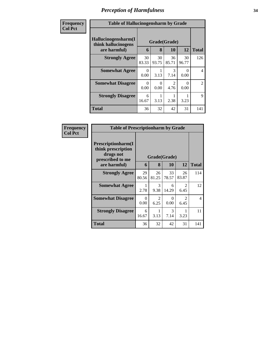| Frequency<br><b>Col Pct</b> | <b>Table of Hallucinogensharm by Grade</b>                                                                       |             |             |                        |             |                |  |  |  |
|-----------------------------|------------------------------------------------------------------------------------------------------------------|-------------|-------------|------------------------|-------------|----------------|--|--|--|
|                             | Hallucinogensharm(I<br>Grade(Grade)<br>think hallucinogens<br>12<br>10<br><b>Total</b><br>are harmful)<br>8<br>6 |             |             |                        |             |                |  |  |  |
|                             | <b>Strongly Agree</b>                                                                                            | 30<br>83.33 | 30<br>93.75 | 36<br>85.71            | 30<br>96.77 | 126            |  |  |  |
|                             | <b>Somewhat Agree</b>                                                                                            | 0<br>0.00   | 3.13        | 3<br>7.14              | ∩<br>0.00   | 4              |  |  |  |
|                             | <b>Somewhat Disagree</b>                                                                                         | 0<br>0.00   | 0.00        | $\mathfrak{D}$<br>4.76 | 0.00        | $\overline{2}$ |  |  |  |
|                             | <b>Strongly Disagree</b>                                                                                         | 6<br>16.67  | 3.13        | 2.38                   | 3.23        | 9              |  |  |  |
|                             | <b>Total</b>                                                                                                     | 36          | 32          | 42                     | 31          | 141            |  |  |  |

| Frequency      | <b>Table of Prescriptionharm by Grade</b>                                         |              |             |             |                        |                     |  |  |  |
|----------------|-----------------------------------------------------------------------------------|--------------|-------------|-------------|------------------------|---------------------|--|--|--|
| <b>Col Pct</b> | <b>Prescriptionharm(I)</b><br>think prescription<br>drugs not<br>prescribed to me | Grade(Grade) |             |             |                        |                     |  |  |  |
|                | are harmful)                                                                      | 6            | 8           | <b>10</b>   | 12                     | <b>Total</b><br>114 |  |  |  |
|                | <b>Strongly Agree</b>                                                             | 29<br>80.56  | 26<br>81.25 | 33<br>78.57 | 26<br>83.87            |                     |  |  |  |
|                | <b>Somewhat Agree</b>                                                             | 2.78         | 3<br>9.38   | 6<br>14.29  | $\mathfrak{D}$<br>6.45 | 12                  |  |  |  |
|                | <b>Somewhat Disagree</b>                                                          | 0<br>0.00    | 2<br>6.25   | 0<br>0.00   | $\mathfrak{D}$<br>6.45 | $\overline{4}$      |  |  |  |
|                | <b>Strongly Disagree</b>                                                          | 6<br>16.67   | 3.13        | 3<br>7.14   | 3.23                   | 11                  |  |  |  |
|                | Total                                                                             | 36           | 32          | 42          | 31                     | 141                 |  |  |  |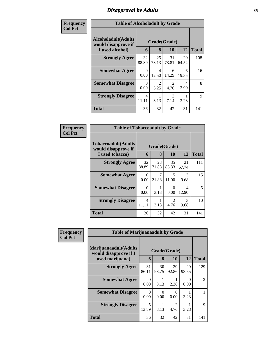## *Disapproval by Adults* **35**

| <b>Frequency</b> | <b>Table of Alcoholadult by Grade</b>              |                         |                        |                       |             |              |  |
|------------------|----------------------------------------------------|-------------------------|------------------------|-----------------------|-------------|--------------|--|
| <b>Col Pct</b>   | <b>Alcoholadult</b> (Adults<br>would disapprove if | Grade(Grade)            |                        |                       |             |              |  |
|                  | I used alcohol)                                    | 6                       | 8                      | 10                    | 12          | <b>Total</b> |  |
|                  | <b>Strongly Agree</b>                              | 32<br>88.89             | 25<br>78.13            | 31<br>73.81           | 20<br>64.52 | 108          |  |
|                  | <b>Somewhat Agree</b>                              | $\Omega$<br>0.00        | 4<br>12.50             | 6<br>14.29            | 6<br>19.35  | 16           |  |
|                  | <b>Somewhat Disagree</b>                           | 0<br>0.00               | $\mathfrak{D}$<br>6.25 | $\mathcal{D}$<br>4.76 | 4<br>12.90  | 8            |  |
|                  | <b>Strongly Disagree</b>                           | $\overline{4}$<br>11.11 | 3.13                   | 3<br>7.14             | 3.23        | 9            |  |
|                  | <b>Total</b>                                       | 36                      | 32                     | 42                    | 31          | 141          |  |

| Frequency      | <b>Table of Tobaccoadult by Grade</b>                                |                   |              |             |             |     |  |  |
|----------------|----------------------------------------------------------------------|-------------------|--------------|-------------|-------------|-----|--|--|
| <b>Col Pct</b> | <b>Tobaccoadult(Adults</b><br>would disapprove if<br>I used tobacco) | Grade(Grade)<br>6 | <b>Total</b> |             |             |     |  |  |
|                | <b>Strongly Agree</b>                                                | 32<br>88.89       | 23<br>71.88  | 35<br>83.33 | 21<br>67.74 | 111 |  |  |
|                | <b>Somewhat Agree</b>                                                | 0<br>0.00         | 21.88        | 5<br>11.90  | 3<br>9.68   | 15  |  |  |
|                | <b>Somewhat Disagree</b>                                             | 0<br>0.00         | 3.13         | 0<br>0.00   | 4<br>12.90  | 5   |  |  |
|                | <b>Strongly Disagree</b>                                             | 4<br>11.11        | 3.13         | 2<br>4.76   | 3<br>9.68   | 10  |  |  |
|                | <b>Total</b>                                                         | 36                | 32           | 42          | 31          | 141 |  |  |

| Frequency      | <b>Table of Marijuanaadult by Grade</b>        |                                   |             |                        |                  |                |  |
|----------------|------------------------------------------------|-----------------------------------|-------------|------------------------|------------------|----------------|--|
| <b>Col Pct</b> | Marijuanaadult(Adults<br>would disapprove if I | Grade(Grade)                      |             |                        |                  |                |  |
|                | used marijuana)                                | 6                                 | 8           | 10                     | 12               | <b>Total</b>   |  |
|                | <b>Strongly Agree</b>                          | 31<br>86.11                       | 30<br>93.75 | 39<br>92.86            | 29<br>93.55      | 129            |  |
|                | <b>Somewhat Agree</b>                          | $\Omega$<br>0.00                  | 3.13        | 2.38                   | $\theta$<br>0.00 | $\overline{2}$ |  |
|                | <b>Somewhat Disagree</b>                       | 0<br>0.00                         | 0<br>0.00   | $\Omega$<br>0.00       | 3.23             |                |  |
|                | <b>Strongly Disagree</b>                       | $\overline{\phantom{0}}$<br>13.89 | 3.13        | $\overline{2}$<br>4.76 | 3.23             | 9              |  |
|                | <b>Total</b>                                   | 36                                | 32          | 42                     | 31               | 141            |  |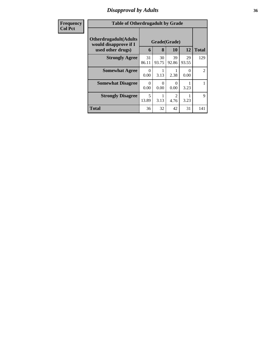### *Disapproval by Adults* **36**

| <b>Frequency</b> | <b>Table of Otherdrugadult by Grade</b>                |             |                  |             |                  |                |
|------------------|--------------------------------------------------------|-------------|------------------|-------------|------------------|----------------|
| <b>Col Pct</b>   | <b>Otherdrugadult</b> (Adults<br>would disapprove if I |             | Grade(Grade)     |             |                  |                |
|                  | used other drugs)                                      | 6           | 8                | 10          | 12               | <b>Total</b>   |
|                  | <b>Strongly Agree</b>                                  | 31<br>86.11 | 30<br>93.75      | 39<br>92.86 | 29<br>93.55      | 129            |
|                  | <b>Somewhat Agree</b>                                  | 0<br>0.00   | 3.13             | 2.38        | $\Omega$<br>0.00 | $\overline{2}$ |
|                  | <b>Somewhat Disagree</b>                               | 0<br>0.00   | $\Omega$<br>0.00 | 0.00        | 3.23             |                |
|                  | <b>Strongly Disagree</b>                               | 5<br>13.89  | 3.13             | っ<br>4.76   | 3.23             | 9              |
|                  | <b>Total</b>                                           | 36          | 32               | 42          | 31               | 141            |
|                  |                                                        |             |                  |             |                  |                |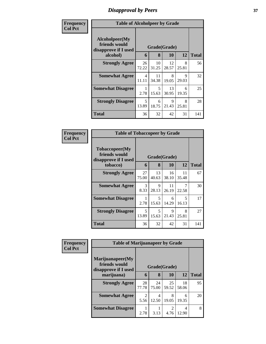# *Disapproval by Peers* **37**

| Frequency      | <b>Table of Alcoholpeer by Grade</b>                    |                                   |             |             |            |              |
|----------------|---------------------------------------------------------|-----------------------------------|-------------|-------------|------------|--------------|
| <b>Col Pct</b> | Alcoholpeer(My<br>friends would<br>disapprove if I used | Grade(Grade)                      |             |             |            |              |
|                | alcohol)                                                | 6                                 | 8           | 10          | 12         | <b>Total</b> |
|                | <b>Strongly Agree</b>                                   | 26<br>72.22                       | 10<br>31.25 | 12<br>28.57 | 8<br>25.81 | 56           |
|                | <b>Somewhat Agree</b>                                   | 4<br>11.11                        | 11<br>34.38 | 8<br>19.05  | 9<br>29.03 | 32           |
|                | <b>Somewhat Disagree</b>                                | 2.78                              | 5<br>15.63  | 13<br>30.95 | 6<br>19.35 | 25           |
|                | <b>Strongly Disagree</b>                                | $\overline{\mathcal{L}}$<br>13.89 | 6<br>18.75  | 9<br>21.43  | 8<br>25.81 | 28           |
|                | Total                                                   | 36                                | 32          | 42          | 31         | 141          |

| Frequency      | <b>Table of Tobaccopeer by Grade</b>                    |                       |             |             |                                   |              |
|----------------|---------------------------------------------------------|-----------------------|-------------|-------------|-----------------------------------|--------------|
| <b>Col Pct</b> | Tobaccopeer(My<br>friends would<br>disapprove if I used | Grade(Grade)          |             |             |                                   |              |
|                | tobacco)                                                | 6                     | 8           | 10          | 12                                | <b>Total</b> |
|                | <b>Strongly Agree</b>                                   | 27<br>75.00           | 13<br>40.63 | 16<br>38.10 | 11<br>35.48                       | 67           |
|                | <b>Somewhat Agree</b>                                   | $\mathcal{E}$<br>8.33 | 9<br>28.13  | 11<br>26.19 | 7<br>22.58                        | 30           |
|                | <b>Somewhat Disagree</b>                                | 2.78                  | 5<br>15.63  | 6<br>14.29  | $\overline{\phantom{1}}$<br>16.13 | 17           |
|                | <b>Strongly Disagree</b>                                | 5<br>13.89            | 5<br>15.63  | 9<br>21.43  | 8<br>25.81                        | 27           |
|                | Total                                                   | 36                    | 32          | 42          | 31                                | 141          |

| <b>Frequency</b> |                                                           | <b>Table of Marijuanapeer by Grade</b> |             |             |             |              |  |  |  |
|------------------|-----------------------------------------------------------|----------------------------------------|-------------|-------------|-------------|--------------|--|--|--|
| <b>Col Pct</b>   | Marijuanapeer(My<br>friends would<br>disapprove if I used | Grade(Grade)                           |             |             |             |              |  |  |  |
|                  | marijuana)                                                | 6                                      | 8           | 10          | 12          | <b>Total</b> |  |  |  |
|                  | <b>Strongly Agree</b>                                     | 28<br>77.78                            | 24<br>75.00 | 25<br>59.52 | 18<br>58.06 | 95           |  |  |  |
|                  | <b>Somewhat Agree</b>                                     | $\mathcal{D}_{\mathcal{L}}$<br>5.56    | 4<br>12.50  | 8<br>19.05  | 6<br>19.35  | 20           |  |  |  |
|                  | <b>Somewhat Disagree</b>                                  | 2.78                                   | 3.13        | 4.76        | 4<br>12.90  | 8            |  |  |  |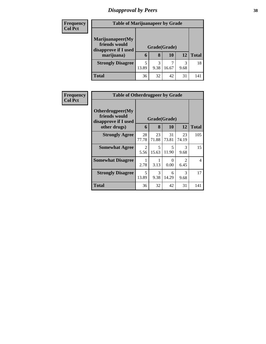# *Disapproval by Peers* **38**

| <b>Frequency</b> | <b>Table of Marijuanapeer by Grade</b>                    |              |      |       |      |              |
|------------------|-----------------------------------------------------------|--------------|------|-------|------|--------------|
| <b>Col Pct</b>   |                                                           |              |      |       |      |              |
|                  | Marijuanapeer(My<br>friends would<br>disapprove if I used | Grade(Grade) |      |       |      |              |
|                  | marijuana)                                                | 6            | 8    | 10    | 12   | <b>Total</b> |
|                  | <b>Strongly Disagree</b>                                  | 5            | 3    | ⇁     | 3    | 18           |
|                  |                                                           | 13.89        | 9.38 | 16.67 | 9.68 |              |
|                  | <b>Total</b>                                              | 36           | 32   | 42    | 31   | 141          |

| <b>Frequency</b> | <b>Table of Otherdrugpeer by Grade</b>                                    |             |                                   |                  |                        |                |
|------------------|---------------------------------------------------------------------------|-------------|-----------------------------------|------------------|------------------------|----------------|
| <b>Col Pct</b>   | Otherdrugpeer(My<br>friends would<br>disapprove if I used<br>other drugs) | 6           | Grade(Grade)<br>8                 | 10               | 12                     | <b>Total</b>   |
|                  | <b>Strongly Agree</b>                                                     | 28<br>77.78 | 23<br>71.88                       | 31<br>73.81      | 23<br>74.19            | 105            |
|                  | <b>Somewhat Agree</b>                                                     | 2<br>5.56   | $\overline{\phantom{0}}$<br>15.63 | 5<br>11.90       | 3<br>9.68              | 15             |
|                  | <b>Somewhat Disagree</b>                                                  | 2.78        | 3.13                              | $\Omega$<br>0.00 | $\mathfrak{D}$<br>6.45 | $\overline{4}$ |
|                  | <b>Strongly Disagree</b>                                                  | 5<br>13.89  | 3<br>9.38                         | 6<br>14.29       | 3<br>9.68              | 17             |
|                  | Total                                                                     | 36          | 32                                | 42               | 31                     | 141            |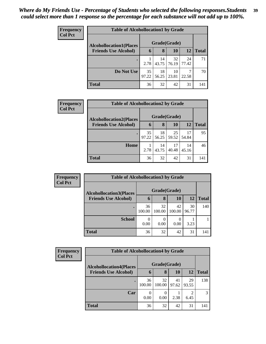| Frequency<br><b>Col Pct</b> | <b>Table of Alcohollocation1 by Grade</b> |              |             |             |             |              |  |  |
|-----------------------------|-------------------------------------------|--------------|-------------|-------------|-------------|--------------|--|--|
|                             | <b>Alcohollocation1(Places</b>            | Grade(Grade) |             |             |             |              |  |  |
|                             | <b>Friends Use Alcohol)</b>               | 6            | 8           | <b>10</b>   | <b>12</b>   | <b>Total</b> |  |  |
|                             |                                           | 2.78         | 14<br>43.75 | 32<br>76.19 | 24<br>77.42 | 71           |  |  |
|                             | Do Not Use                                | 35<br>97.22  | 18<br>56.25 | 10<br>23.81 | 7<br>22.58  | 70           |  |  |
|                             | <b>Total</b>                              | 36           | 32          | 42          | 31          | 141          |  |  |

| Frequency      | <b>Table of Alcohollocation2 by Grade</b> |              |             |                   |             |              |  |
|----------------|-------------------------------------------|--------------|-------------|-------------------|-------------|--------------|--|
| <b>Col Pct</b> | <b>Alcohollocation2(Places</b>            | Grade(Grade) |             |                   |             |              |  |
|                | <b>Friends Use Alcohol)</b>               | 6            | 8           | <b>10</b>         | <b>12</b>   | <b>Total</b> |  |
|                |                                           | 35<br>97.22  | 18          | 25<br>56.25 59.52 | 17<br>54.84 | 95           |  |
|                | Home                                      | 2.78         | 14<br>43.75 | 17<br>40.48       | 14<br>45.16 | 46           |  |
|                | <b>Total</b>                              | 36           | 32          | 42                | 31          | 141          |  |

| Frequency      | <b>Table of Alcohollocation3 by Grade</b> |              |              |              |             |              |  |  |
|----------------|-------------------------------------------|--------------|--------------|--------------|-------------|--------------|--|--|
| <b>Col Pct</b> | <b>Alcohollocation3(Places</b>            | Grade(Grade) |              |              |             |              |  |  |
|                | <b>Friends Use Alcohol)</b>               | b            | 8            | 10           | 12          | <b>Total</b> |  |  |
|                |                                           | 36<br>100.00 | 32<br>100.00 | 42<br>100.00 | 30<br>96.77 | 140          |  |  |
|                | <b>School</b>                             | 0<br>0.00    | 0<br>0.00    | 0.00         | 3.23        |              |  |  |
|                | <b>Total</b>                              | 36           | 32           | 42           | 31          | 141          |  |  |

| <b>Frequency</b><br><b>Col Pct</b> | <b>Table of Alcohollocation4 by Grade</b> |              |              |             |                        |              |  |  |
|------------------------------------|-------------------------------------------|--------------|--------------|-------------|------------------------|--------------|--|--|
|                                    | <b>Alcohollocation4(Places</b>            | Grade(Grade) |              |             |                        |              |  |  |
|                                    | <b>Friends Use Alcohol)</b>               | b            | 8            | <b>10</b>   | 12                     | <b>Total</b> |  |  |
|                                    |                                           | 36<br>100.00 | 32<br>100.00 | 41<br>97.62 | 29<br>93.55            | 138          |  |  |
|                                    | Car                                       | 0.00         | 0<br>0.00    | 2.38        | $\mathfrak{D}$<br>6.45 | 3            |  |  |
|                                    | <b>Total</b>                              | 36           | 32           | 42          | 31                     | 141          |  |  |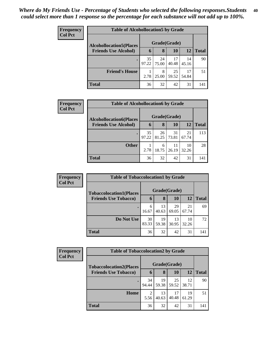| <b>Frequency</b><br><b>Col Pct</b> | <b>Table of Alcohollocation5 by Grade</b> |              |             |             |             |              |  |
|------------------------------------|-------------------------------------------|--------------|-------------|-------------|-------------|--------------|--|
|                                    | <b>Alcohollocation5(Places</b>            | Grade(Grade) |             |             |             |              |  |
|                                    | <b>Friends Use Alcohol)</b>               | 6            | 8           | 10          | 12          | <b>Total</b> |  |
|                                    |                                           | 35<br>97.22  | 24<br>75.00 | 17<br>40.48 | 14<br>45.16 | 90           |  |
|                                    | <b>Friend's House</b>                     | 2.78         | 8<br>25.00  | 25<br>59.52 | 17<br>54.84 | 51           |  |
|                                    | <b>Total</b>                              | 36           | 32          | 42          | 31          | 141          |  |

I

| Frequency      | <b>Table of Alcohollocation6 by Grade</b> |              |             |             |             |              |  |
|----------------|-------------------------------------------|--------------|-------------|-------------|-------------|--------------|--|
| <b>Col Pct</b> | <b>Alcohollocation6(Places</b>            | Grade(Grade) |             |             |             |              |  |
|                | <b>Friends Use Alcohol)</b>               | 6            | 8           | <b>10</b>   | <b>12</b>   | <b>Total</b> |  |
|                |                                           | 35<br>97.22  | 26<br>81.25 | 31<br>73.81 | 21<br>67.74 | 113          |  |
|                | <b>Other</b>                              | 2.78         | 6<br>18.75  | 11<br>26.19 | 10<br>32.26 | 28           |  |
|                | <b>Total</b>                              | 36           | 32          | 42          | 31          | 141          |  |

| Frequency      |                                | <b>Table of Tobaccolocation1 by Grade</b> |             |             |             |              |  |  |  |
|----------------|--------------------------------|-------------------------------------------|-------------|-------------|-------------|--------------|--|--|--|
| <b>Col Pct</b> | <b>Tobaccolocation1(Places</b> | Grade(Grade)                              |             |             |             |              |  |  |  |
|                | <b>Friends Use Tobacco)</b>    | 6                                         | 8           | 10          | 12          | <b>Total</b> |  |  |  |
|                |                                | 6<br>16.67                                | 13<br>40.63 | 29<br>69.05 | 21<br>67.74 | 69           |  |  |  |
|                | Do Not Use                     | 30<br>83.33                               | 19<br>59.38 | 13<br>30.95 | 10<br>32.26 | 72           |  |  |  |
|                | <b>Total</b>                   | 36                                        | 32          | 42          | 31          | 141          |  |  |  |

| <b>Frequency</b> |                                | <b>Table of Tobaccolocation2 by Grade</b> |             |             |             |              |  |  |  |  |
|------------------|--------------------------------|-------------------------------------------|-------------|-------------|-------------|--------------|--|--|--|--|
| <b>Col Pct</b>   | <b>Tobaccolocation2(Places</b> | Grade(Grade)                              |             |             |             |              |  |  |  |  |
|                  | <b>Friends Use Tobacco)</b>    | 6                                         | 8           | 10          | 12          | <b>Total</b> |  |  |  |  |
|                  |                                | 34<br>94.44                               | 19<br>59.38 | 25<br>59.52 | 12<br>38.71 | 90           |  |  |  |  |
|                  | Home                           | 2<br>5.56                                 | 13<br>40.63 | 17<br>40.48 | 19<br>61.29 | 51           |  |  |  |  |
|                  | <b>Total</b>                   | 36                                        | 32          | 42          | 31          | 141          |  |  |  |  |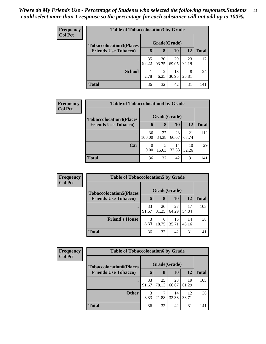| <b>Frequency</b><br><b>Col Pct</b> | <b>Table of Tobaccolocation 3 by Grade</b> |              |             |             |             |              |  |  |  |
|------------------------------------|--------------------------------------------|--------------|-------------|-------------|-------------|--------------|--|--|--|
|                                    | <b>Tobaccolocation3(Places</b>             | Grade(Grade) |             |             |             |              |  |  |  |
|                                    | <b>Friends Use Tobacco)</b>                | 6            | 8           | 10          | 12          | <b>Total</b> |  |  |  |
|                                    |                                            | 35<br>97.22  | 30<br>93.75 | 29<br>69.05 | 23<br>74.19 | 117          |  |  |  |
|                                    | <b>School</b>                              | 2.78         | 2<br>6.25   | 13<br>30.95 | 8<br>25.81  | 24           |  |  |  |
|                                    | <b>Total</b>                               | 36           | 32          | 42          | 31          | 141          |  |  |  |

| Frequency      |                                | <b>Table of Tobaccolocation4 by Grade</b> |             |             |             |              |  |  |  |
|----------------|--------------------------------|-------------------------------------------|-------------|-------------|-------------|--------------|--|--|--|
| <b>Col Pct</b> | <b>Tobaccolocation4(Places</b> | Grade(Grade)                              |             |             |             |              |  |  |  |
|                | <b>Friends Use Tobacco)</b>    | 6                                         | 8           | 10          | 12          | <b>Total</b> |  |  |  |
|                |                                | 36<br>100.00                              | 27<br>84.38 | 28<br>66.67 | 21<br>67.74 | 112          |  |  |  |
|                | Car                            | 0<br>0.00                                 | 5<br>15.63  | 14<br>33.33 | 10<br>32.26 | 29           |  |  |  |
|                | <b>Total</b>                   | 36                                        | 32          | 42          | 31          | 141          |  |  |  |

| Frequency      |                                | <b>Table of Tobaccolocation5 by Grade</b> |             |             |             |              |  |  |  |  |
|----------------|--------------------------------|-------------------------------------------|-------------|-------------|-------------|--------------|--|--|--|--|
| <b>Col Pct</b> | <b>Tobaccolocation5(Places</b> | Grade(Grade)                              |             |             |             |              |  |  |  |  |
|                | <b>Friends Use Tobacco)</b>    | 6                                         | 8           | 10          | 12          | <b>Total</b> |  |  |  |  |
|                |                                | 33<br>91.67                               | 26<br>81.25 | 27<br>64.29 | 17<br>54.84 | 103          |  |  |  |  |
|                | <b>Friend's House</b>          | 3<br>8.33                                 | 6<br>18.75  | 15<br>35.71 | 14<br>45.16 | 38           |  |  |  |  |
|                | <b>Total</b>                   | 36                                        | 32          | 42          | 31          | 141          |  |  |  |  |

| <b>Frequency</b> |                                | <b>Table of Tobaccolocation6 by Grade</b> |             |             |             |              |  |  |  |  |
|------------------|--------------------------------|-------------------------------------------|-------------|-------------|-------------|--------------|--|--|--|--|
| <b>Col Pct</b>   | <b>Tobaccolocation6(Places</b> | Grade(Grade)                              |             |             |             |              |  |  |  |  |
|                  | <b>Friends Use Tobacco)</b>    | 6                                         | 8           | 10          | 12          | <b>Total</b> |  |  |  |  |
|                  |                                | 33<br>91.67                               | 25<br>78.13 | 28<br>66.67 | 19<br>61.29 | 105          |  |  |  |  |
|                  | <b>Other</b>                   | 3<br>8.33                                 | 7<br>21.88  | 14<br>33.33 | 12<br>38.71 | 36           |  |  |  |  |
|                  | <b>Total</b>                   | 36                                        | 32          | 42          | 31          | 141          |  |  |  |  |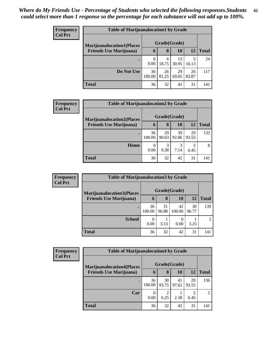| <b>Frequency</b> | <b>Table of Marijuanalocation1 by Grade</b> |                  |             |             |             |              |  |  |  |
|------------------|---------------------------------------------|------------------|-------------|-------------|-------------|--------------|--|--|--|
| <b>Col Pct</b>   | <b>Marijuanalocation1(Places)</b>           | Grade(Grade)     |             |             |             |              |  |  |  |
|                  | <b>Friends Use Marijuana</b> )              | 6                | 8           | 10          | 12          | <b>Total</b> |  |  |  |
|                  | $\bullet$                                   | $\theta$<br>0.00 | 6<br>18.75  | 13<br>30.95 | 5<br>16.13  | 24           |  |  |  |
|                  | Do Not Use                                  | 36<br>100.00     | 26<br>81.25 | 29<br>69.05 | 26<br>83.87 | 117          |  |  |  |
|                  | <b>Total</b>                                | 36               | 32          | 42          | 31          | 141          |  |  |  |

| Frequency      | <b>Table of Marijuanalocation2 by Grade</b> |        |              |       |       |              |  |  |  |
|----------------|---------------------------------------------|--------|--------------|-------|-------|--------------|--|--|--|
| <b>Col Pct</b> | <b>Marijuanalocation2(Places)</b>           |        | Grade(Grade) |       |       |              |  |  |  |
|                | <b>Friends Use Marijuana</b> )              | 6      | 8            | 10    | 12    | <b>Total</b> |  |  |  |
|                |                                             | 36     | 29           | 39    | 29    | 133          |  |  |  |
|                |                                             | 100.00 | 90.63        | 92.86 | 93.55 |              |  |  |  |
|                | Home                                        | 0      | 3            |       | 2     | 8            |  |  |  |
|                |                                             | 0.00   | 9.38         | 7.14  | 6.45  |              |  |  |  |
|                | <b>Total</b>                                | 36     | 32           | 42    | 31    | 141          |  |  |  |

| <b>Frequency</b> |                                   | <b>Table of Marijuanalocation3 by Grade</b> |             |              |             |                |  |  |  |
|------------------|-----------------------------------|---------------------------------------------|-------------|--------------|-------------|----------------|--|--|--|
| <b>Col Pct</b>   | <b>Marijuanalocation3(Places)</b> | Grade(Grade)                                |             |              |             |                |  |  |  |
|                  | <b>Friends Use Marijuana</b> )    | 6                                           | 8           | 10           | 12          | <b>Total</b>   |  |  |  |
|                  |                                   | 36<br>100.00                                | 31<br>96.88 | 42<br>100.00 | 30<br>96.77 | 139            |  |  |  |
|                  | <b>School</b>                     | 0<br>0.00                                   | 3.13        | 0.00         | 3.23        | $\overline{2}$ |  |  |  |
|                  | <b>Total</b>                      | 36                                          | 32          | 42           | 31          | 141            |  |  |  |

| Frequency<br><b>Col Pct</b> |                                  | <b>Table of Marijuanalocation4 by Grade</b> |                        |             |             |              |  |  |  |  |
|-----------------------------|----------------------------------|---------------------------------------------|------------------------|-------------|-------------|--------------|--|--|--|--|
|                             | <b>Marijuanalocation4(Places</b> | Grade(Grade)                                |                        |             |             |              |  |  |  |  |
|                             | <b>Friends Use Marijuana</b> )   | h                                           | 8                      | 10          | 12          | <b>Total</b> |  |  |  |  |
|                             |                                  | 36<br>100.00                                | 30<br>93.75            | 41<br>97.62 | 29<br>93.55 | 136          |  |  |  |  |
|                             | Car                              | 0<br>0.00                                   | $\overline{2}$<br>6.25 | 2.38        | っ<br>6.45   | 5            |  |  |  |  |
|                             | <b>Total</b>                     | 36                                          | 32                     | 42          | 31          | 141          |  |  |  |  |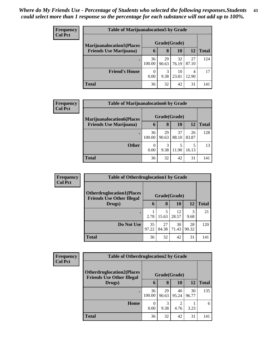| <b>Frequency</b> |                                   | <b>Table of Marijuanalocation5 by Grade</b> |             |             |             |              |  |  |  |  |
|------------------|-----------------------------------|---------------------------------------------|-------------|-------------|-------------|--------------|--|--|--|--|
| <b>Col Pct</b>   | <b>Marijuanalocation5</b> (Places | Grade(Grade)                                |             |             |             |              |  |  |  |  |
|                  | <b>Friends Use Marijuana</b> )    | 6                                           | 8           | 10          | 12          | <b>Total</b> |  |  |  |  |
|                  | $\bullet$                         | 36<br>100.00                                | 29<br>90.63 | 32<br>76.19 | 27<br>87.10 | 124          |  |  |  |  |
|                  | <b>Friend's House</b>             | $\theta$<br>0.00                            | 3<br>9.38   | 10<br>23.81 | 4<br>12.90  | 17           |  |  |  |  |
|                  | <b>Total</b>                      | 36                                          | 32          | 42          | 31          | 141          |  |  |  |  |

| Frequency      | <b>Table of Marijuanalocation6 by Grade</b> |              |       |       |           |              |
|----------------|---------------------------------------------|--------------|-------|-------|-----------|--------------|
| <b>Col Pct</b> | <b>Marijuanalocation6(Places)</b>           | Grade(Grade) |       |       |           |              |
|                | <b>Friends Use Marijuana</b> )              | 6            | 8     | 10    | <b>12</b> | <b>Total</b> |
|                |                                             | 36           | 29    | 37    | 26        | 128          |
|                |                                             | 100.00       | 90.63 | 88.10 | 83.87     |              |
|                | <b>Other</b>                                | $\Omega$     | 3     |       | 5         | 13           |
|                |                                             | 0.00         | 9.38  | 11.90 | 16.13     |              |
|                | <b>Total</b>                                | 36           | 32    | 42    | 31        | 141          |

| <b>Frequency</b> | <b>Table of Otherdruglocation1 by Grade</b>                          |              |             |             |             |       |  |  |  |
|------------------|----------------------------------------------------------------------|--------------|-------------|-------------|-------------|-------|--|--|--|
| <b>Col Pct</b>   | <b>Otherdruglocation1(Places</b><br><b>Friends Use Other Illegal</b> | Grade(Grade) |             |             |             |       |  |  |  |
|                  | Drugs)                                                               | 6            | 8           | <b>10</b>   | 12          | Total |  |  |  |
|                  | ٠                                                                    | 2.78         | 15.63       | 12<br>28.57 | 3<br>9.68   | 21    |  |  |  |
|                  | Do Not Use                                                           | 35<br>97.22  | 27<br>84.38 | 30<br>71.43 | 28<br>90.32 | 120   |  |  |  |
|                  | <b>Total</b>                                                         | 36           | 32          | 42          | 31          | 141   |  |  |  |

| <b>Frequency</b> |                                                                       | <b>Table of Otherdruglocation2 by Grade</b> |             |             |             |              |  |
|------------------|-----------------------------------------------------------------------|---------------------------------------------|-------------|-------------|-------------|--------------|--|
| <b>Col Pct</b>   | <b>Otherdruglocation2(Places)</b><br><b>Friends Use Other Illegal</b> | Grade(Grade)                                |             |             |             |              |  |
|                  | Drugs)                                                                |                                             | 8           | 10          | 12          | <b>Total</b> |  |
|                  |                                                                       | 36<br>100.00                                | 29<br>90.63 | 40<br>95.24 | 30<br>96.77 | 135          |  |
|                  | Home                                                                  | $\Omega$<br>0.00                            | 3<br>9.38   | っ<br>4.76   | 3.23        | 6            |  |
|                  | <b>Total</b>                                                          | 36                                          | 32          | 42          | 31          | 141          |  |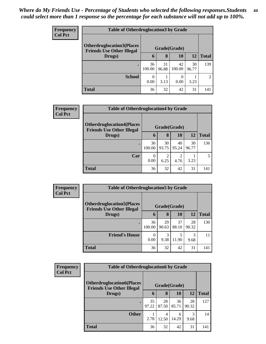| <b>Frequency</b> |                                                                                      | <b>Table of Otherdruglocation 3 by Grade</b> |             |                  |             |                |  |  |
|------------------|--------------------------------------------------------------------------------------|----------------------------------------------|-------------|------------------|-------------|----------------|--|--|
| <b>Col Pct</b>   | <b>Otherdruglocation3(Places</b><br>Grade(Grade)<br><b>Friends Use Other Illegal</b> |                                              |             |                  |             |                |  |  |
|                  | Drugs)                                                                               | $\mathbf b$                                  | 8           | 10               | 12          | <b>Total</b>   |  |  |
|                  |                                                                                      | 36<br>100.00                                 | 31<br>96.88 | 42<br>100.00     | 30<br>96.77 | 139            |  |  |
|                  | <b>School</b>                                                                        | $\Omega$<br>0.00                             | 3.13        | $\theta$<br>0.00 | 3.23        | $\overline{2}$ |  |  |
|                  | <b>Total</b>                                                                         | 36                                           | 32          | 42               | 31          | 141            |  |  |

| <b>Frequency</b> |                                                                       | <b>Table of Otherdruglocation4 by Grade</b> |             |             |             |              |  |  |
|------------------|-----------------------------------------------------------------------|---------------------------------------------|-------------|-------------|-------------|--------------|--|--|
| <b>Col Pct</b>   | <b>Otherdruglocation4(Places)</b><br><b>Friends Use Other Illegal</b> | Grade(Grade)                                |             |             |             |              |  |  |
|                  | Drugs)                                                                | 6                                           | 8           | 10          | 12          | <b>Total</b> |  |  |
|                  |                                                                       | 36<br>100.00                                | 30<br>93.75 | 40<br>95.24 | 30<br>96.77 | 136          |  |  |
|                  | Car                                                                   | $\Omega$<br>0.00                            | 6.25        | 4.76        | 3.23        |              |  |  |
|                  | <b>Total</b>                                                          | 36                                          | 32          | 42          | 31          | 141          |  |  |

| Frequency<br><b>Col Pct</b> | <b>Table of Otherdruglocation5 by Grade</b>                          |                  |                       |             |             |              |  |
|-----------------------------|----------------------------------------------------------------------|------------------|-----------------------|-------------|-------------|--------------|--|
|                             | <b>Otherdruglocation5(Places</b><br><b>Friends Use Other Illegal</b> | Grade(Grade)     |                       |             |             |              |  |
|                             | Drugs)                                                               | 6                | 8                     | 10          | 12          | <b>Total</b> |  |
|                             |                                                                      | 36<br>100.00     | 29<br>90.63           | 37<br>88.10 | 28<br>90.32 | 130          |  |
|                             | <b>Friend's House</b>                                                | $\Omega$<br>0.00 | $\mathcal{R}$<br>9.38 | 11.90       | 3<br>9.68   | 11           |  |
|                             | <b>Total</b>                                                         | 36               | 32                    | 42          | 31          | 141          |  |

| Frequency      | <b>Table of Otherdruglocation6 by Grade</b>                          |              |             |             |             |              |  |
|----------------|----------------------------------------------------------------------|--------------|-------------|-------------|-------------|--------------|--|
| <b>Col Pct</b> | <b>Otherdruglocation6(Places</b><br><b>Friends Use Other Illegal</b> | Grade(Grade) |             |             |             |              |  |
|                | Drugs)                                                               | 6            | 8           | 10          | <b>12</b>   | <b>Total</b> |  |
|                |                                                                      | 35<br>97.22  | 28<br>87.50 | 36<br>85.71 | 28<br>90.32 | 127          |  |
|                | <b>Other</b>                                                         | 2.78         | 4<br>12.50  | 6<br>14.29  | 3<br>9.68   | 14           |  |
|                | <b>Total</b>                                                         | 36           | 32          | 42          | 31          | 141          |  |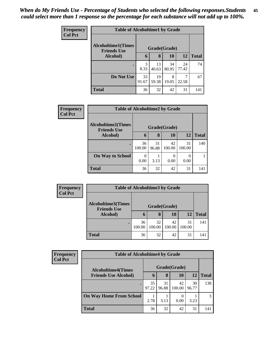| <b>Frequency</b> | <b>Table of Alcoholtime1 by Grade</b>           |             |              |             |             |              |  |  |
|------------------|-------------------------------------------------|-------------|--------------|-------------|-------------|--------------|--|--|
| <b>Col Pct</b>   | <b>Alcoholtime1(Times</b><br><b>Friends Use</b> |             | Grade(Grade) |             |             |              |  |  |
|                  | Alcohol)                                        | 6           | 8            | 10          | 12          | <b>Total</b> |  |  |
|                  |                                                 | 3<br>8.33   | 13<br>40.63  | 34<br>80.95 | 24<br>77.42 | 74           |  |  |
|                  | Do Not Use                                      | 33<br>91.67 | 19<br>59.38  | 8<br>19.05  | 22.58       | 67           |  |  |
|                  | <b>Total</b>                                    | 36          | 32           | 42          | 31          | 141          |  |  |

| Frequency      |                                                                 | <b>Table of Alcoholtime2 by Grade</b> |             |              |              |              |  |  |  |
|----------------|-----------------------------------------------------------------|---------------------------------------|-------------|--------------|--------------|--------------|--|--|--|
| <b>Col Pct</b> | <b>Alcoholtime2(Times</b><br>Grade(Grade)<br><b>Friends Use</b> |                                       |             |              |              |              |  |  |  |
|                | <b>Alcohol</b> )                                                | 6                                     | 8           | 10           | 12           | <b>Total</b> |  |  |  |
|                |                                                                 | 36<br>100.00                          | 31<br>96.88 | 42<br>100.00 | 31<br>100.00 | 140          |  |  |  |
|                | <b>On Way to School</b>                                         | 0.00                                  | 3.13        | 0<br>0.00    | 0.00         |              |  |  |  |
|                | <b>Total</b>                                                    | 36                                    | 32          | 42           | 31           | 141          |  |  |  |

| <b>Frequency</b><br><b>Col Pct</b> | <b>Table of Alcoholtime3 by Grade</b>           |              |              |              |              |              |  |
|------------------------------------|-------------------------------------------------|--------------|--------------|--------------|--------------|--------------|--|
|                                    | <b>Alcoholtime3(Times</b><br><b>Friends Use</b> |              | Grade(Grade) |              |              |              |  |
|                                    | Alcohol)                                        | 6            | 8            | 10           | 12           | <b>Total</b> |  |
|                                    | ٠                                               | 36<br>100.00 | 32<br>100.00 | 42<br>100.00 | 31<br>100.00 | 141          |  |
|                                    | <b>Total</b>                                    | 36           | 32           | 42           | 31           | 141          |  |

| Frequency      |                                | <b>Table of Alcoholtime4 by Grade</b> |             |              |             |              |  |  |
|----------------|--------------------------------|---------------------------------------|-------------|--------------|-------------|--------------|--|--|
| <b>Col Pct</b> | <b>Alcoholtime4(Times</b>      | Grade(Grade)                          |             |              |             |              |  |  |
|                | <b>Friends Use Alcohol)</b>    | 6                                     | 8           | 10           | 12          | <b>Total</b> |  |  |
|                | $\bullet$                      | 35<br>97.22                           | 31<br>96.88 | 42<br>100.00 | 30<br>96.77 | 138          |  |  |
|                | <b>On Way Home From School</b> | 2.78                                  | 3.13        | 0.00         | 3.23        | 3            |  |  |
|                | <b>Total</b>                   | 36                                    | 32          | 42           | 31          | 141          |  |  |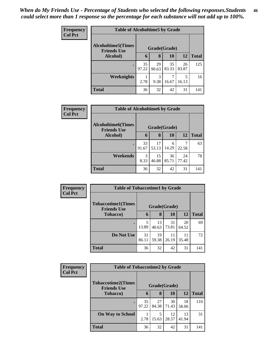| Frequency      | <b>Table of Alcoholtime5 by Grade</b>           |              |             |             |             |              |
|----------------|-------------------------------------------------|--------------|-------------|-------------|-------------|--------------|
| <b>Col Pct</b> | <b>Alcoholtime5(Times</b><br><b>Friends Use</b> | Grade(Grade) |             |             |             |              |
|                | Alcohol)                                        | 6            | 8           | 10          | 12          | <b>Total</b> |
|                |                                                 | 35<br>97.22  | 29<br>90.63 | 35<br>83.33 | 26<br>83.87 | 125          |
|                | <b>Weeknights</b>                               | 2.78         | 3<br>9.38   | 16.67       | 5<br>16.13  | 16           |
|                | <b>Total</b>                                    | 36           | 32          | 42          | 31          | 141          |

| Frequency      | <b>Table of Alcoholtime6 by Grade</b>           |              |             |             |             |              |  |  |
|----------------|-------------------------------------------------|--------------|-------------|-------------|-------------|--------------|--|--|
| <b>Col Pct</b> | <b>Alcoholtime6(Times</b><br><b>Friends Use</b> | Grade(Grade) |             |             |             |              |  |  |
|                | Alcohol)                                        | 6            | 8           | 10          | 12          | <b>Total</b> |  |  |
|                |                                                 | 33<br>91.67  | 17<br>53.13 | 6<br>14.29  | 22.58       | 63           |  |  |
|                | Weekends                                        | 3<br>8.33    | 15<br>46.88 | 36<br>85.71 | 24<br>77.42 | 78           |  |  |
|                | <b>Total</b>                                    | 36           | 32          | 42          | 31          | 141          |  |  |

| Frequency<br><b>Col Pct</b> | <b>Table of Tobaccotime1 by Grade</b>           |              |             |             |             |              |
|-----------------------------|-------------------------------------------------|--------------|-------------|-------------|-------------|--------------|
|                             | <b>Tobaccotime1(Times</b><br><b>Friends Use</b> | Grade(Grade) |             |             |             |              |
|                             | <b>Tobacco</b> )                                | 6            | 8           | 10          | 12          | <b>Total</b> |
|                             |                                                 | 5<br>13.89   | 13<br>40.63 | 31<br>73.81 | 20<br>64.52 | 69           |
|                             | Do Not Use                                      | 31<br>86.11  | 19<br>59.38 | 11<br>26.19 | 11<br>35.48 | 72           |
|                             | <b>Total</b>                                    | 36           | 32          | 42          | 31          | 141          |

| Frequency      | <b>Table of Tobaccotime2 by Grade</b>                           |             |             |             |             |              |  |  |  |
|----------------|-----------------------------------------------------------------|-------------|-------------|-------------|-------------|--------------|--|--|--|
| <b>Col Pct</b> | <b>Tobaccotime2(Times</b><br>Grade(Grade)<br><b>Friends Use</b> |             |             |             |             |              |  |  |  |
|                | <b>Tobacco</b> )                                                | 6           | 8           | 10          | 12          | <b>Total</b> |  |  |  |
|                |                                                                 | 35<br>97.22 | 27<br>84.38 | 30<br>71.43 | 18<br>58.06 | 110          |  |  |  |
|                | <b>On Way to School</b>                                         | 2.78        | 5<br>15.63  | 12<br>28.57 | 13<br>41.94 | 31           |  |  |  |
|                | <b>Total</b>                                                    | 36          | 32          | 42          | 31          | 141          |  |  |  |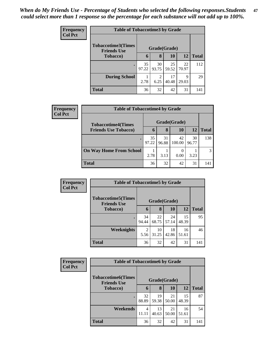| <b>Frequency</b> | <b>Table of Tobaccotime3 by Grade</b>                           |             |                        |             |             |              |  |  |  |
|------------------|-----------------------------------------------------------------|-------------|------------------------|-------------|-------------|--------------|--|--|--|
| <b>Col Pct</b>   | <b>Tobaccotime3(Times</b><br>Grade(Grade)<br><b>Friends Use</b> |             |                        |             |             |              |  |  |  |
|                  | Tobacco)                                                        | 6           | 8                      | 10          | 12          | <b>Total</b> |  |  |  |
|                  |                                                                 | 35<br>97.22 | 30<br>93.75            | 25<br>59.52 | 22<br>70.97 | 112          |  |  |  |
|                  | <b>During School</b>                                            | 2.78        | $\mathfrak{D}$<br>6.25 | 17<br>40.48 | 9<br>29.03  | 29           |  |  |  |
|                  | <b>Total</b>                                                    | 36          | 32                     | 42          | 31          | 141          |  |  |  |

| Frequency      | <b>Table of Tobaccotime4 by Grade</b> |              |             |              |             |              |  |
|----------------|---------------------------------------|--------------|-------------|--------------|-------------|--------------|--|
| <b>Col Pct</b> | <b>Tobaccotime4(Times</b>             | Grade(Grade) |             |              |             |              |  |
|                | <b>Friends Use Tobacco)</b>           | 6            | 8           | 10           | 12          | <b>Total</b> |  |
|                |                                       | 35<br>97.22  | 31<br>96.88 | 42<br>100.00 | 30<br>96.77 | 138          |  |
|                | <b>On Way Home From School</b>        | 2.78         | 3.13        | 0.00         | 3.23        | 3            |  |
|                | <b>Total</b>                          | 36           | 32          | 42           | 31          | 141          |  |

| <b>Frequency</b> | <b>Table of Tobaccotime5 by Grade</b>                           |             |             |             |             |              |
|------------------|-----------------------------------------------------------------|-------------|-------------|-------------|-------------|--------------|
| <b>Col Pct</b>   | <b>Tobaccotime5(Times</b><br>Grade(Grade)<br><b>Friends Use</b> |             |             |             |             |              |
|                  | <b>Tobacco</b> )                                                | 6           | 8           | 10          | 12          | <b>Total</b> |
|                  |                                                                 | 34<br>94.44 | 22<br>68.75 | 24<br>57.14 | 15<br>48.39 | 95           |
|                  | <b>Weeknights</b>                                               | 2<br>5.56   | 10<br>31.25 | 18<br>42.86 | 16<br>51.61 | 46           |
|                  | <b>Total</b>                                                    | 36          | 32          | 42          | 31          | 141          |

| <b>Frequency</b> | <b>Table of Tobaccotime6 by Grade</b>           |              |             |             |             |              |
|------------------|-------------------------------------------------|--------------|-------------|-------------|-------------|--------------|
| <b>Col Pct</b>   | <b>Tobaccotime6(Times</b><br><b>Friends Use</b> | Grade(Grade) |             |             |             |              |
|                  | Tobacco)                                        | 6            | 8           | 10          | 12          | <b>Total</b> |
|                  |                                                 | 32<br>88.89  | 19<br>59.38 | 21<br>50.00 | 15<br>48.39 | 87           |
|                  | Weekends                                        | 4<br>11.11   | 13<br>40.63 | 21<br>50.00 | 16<br>51.61 | 54           |
|                  | <b>Total</b>                                    | 36           | 32          | 42          | 31          | 141          |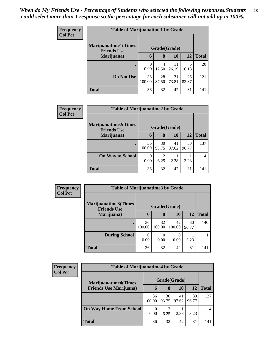| <b>Frequency</b> | <b>Table of Marijuanatime1 by Grade</b>                           |                  |             |             |             |              |  |  |
|------------------|-------------------------------------------------------------------|------------------|-------------|-------------|-------------|--------------|--|--|
| <b>Col Pct</b>   | <b>Marijuanatime1(Times</b><br>Grade(Grade)<br><b>Friends Use</b> |                  |             |             |             |              |  |  |
|                  | Marijuana)                                                        | 6                | 8           | <b>10</b>   | <b>12</b>   | <b>Total</b> |  |  |
|                  | $\bullet$                                                         | $\Omega$<br>0.00 | 4<br>12.50  | 11<br>26.19 | 5<br>16.13  | 20           |  |  |
|                  | Do Not Use                                                        | 36<br>100.00     | 28<br>87.50 | 31<br>73.81 | 26<br>83.87 | 121          |  |  |
|                  | <b>Total</b>                                                      | 36               | 32          | 42          | 31          | 141          |  |  |

| Frequency      | <b>Table of Marijuanatime2 by Grade</b>           |              |             |             |             |              |  |  |
|----------------|---------------------------------------------------|--------------|-------------|-------------|-------------|--------------|--|--|
| <b>Col Pct</b> | <b>Marijuanatime2(Times</b><br><b>Friends Use</b> | Grade(Grade) |             |             |             |              |  |  |
|                | Marijuana)                                        | 6            | 8           | 10          | 12          | <b>Total</b> |  |  |
|                |                                                   | 36<br>100.00 | 30<br>93.75 | 41<br>97.62 | 30<br>96.77 | 137          |  |  |
|                | <b>On Way to School</b>                           | 0<br>0.00    | 2<br>6.25   | 2.38        | 3.23        | 4            |  |  |
|                | <b>Total</b>                                      | 36           | 32          | 42          | 31          | 141          |  |  |

| <b>Frequency</b> | <b>Table of Marijuanatime3 by Grade</b>    |              |              |              |             |              |  |  |
|------------------|--------------------------------------------|--------------|--------------|--------------|-------------|--------------|--|--|
| <b>Col Pct</b>   | Marijuanatime3(Times<br><b>Friends Use</b> | Grade(Grade) |              |              |             |              |  |  |
|                  | Marijuana)                                 | 6            | 8            | 10           | 12          | <b>Total</b> |  |  |
|                  |                                            | 36<br>100.00 | 32<br>100.00 | 42<br>100.00 | 30<br>96.77 | 140          |  |  |
|                  | <b>During School</b>                       | 0<br>0.00    | 0.00         | 0.00         | 3.23        |              |  |  |
|                  | <b>Total</b>                               | 36           | 32           | 42           | 31          | 141          |  |  |

| <b>Frequency</b><br><b>Col Pct</b> | <b>Table of Marijuanatime4 by Grade</b> |              |             |             |             |              |  |
|------------------------------------|-----------------------------------------|--------------|-------------|-------------|-------------|--------------|--|
|                                    | <b>Marijuanatime4(Times</b>             | Grade(Grade) |             |             |             |              |  |
|                                    | <b>Friends Use Marijuana</b> )          | 6            | 8           | 10          | 12          | <b>Total</b> |  |
|                                    |                                         | 36<br>100.00 | 30<br>93.75 | 41<br>97.62 | 30<br>96.77 | 137          |  |
|                                    | <b>On Way Home From School</b>          | 0<br>0.00    | 6.25        | 2.38        | 3.23        | 4            |  |
|                                    | <b>Total</b>                            | 36           | 32          | 42          | 31          | 141          |  |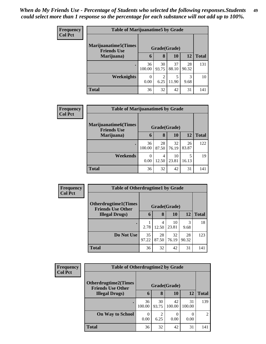| <b>Frequency</b> | <b>Table of Marijuanatime5 by Grade</b>                            |              |                        |             |             |              |  |
|------------------|--------------------------------------------------------------------|--------------|------------------------|-------------|-------------|--------------|--|
| <b>Col Pct</b>   | <b>Marijuanatime5</b> (Times<br>Grade(Grade)<br><b>Friends Use</b> |              |                        |             |             |              |  |
|                  | Marijuana)                                                         | 6            | 8                      | <b>10</b>   | <b>12</b>   | <b>Total</b> |  |
|                  | $\bullet$                                                          | 36<br>100.00 | 30<br>93.75            | 37<br>88.10 | 28<br>90.32 | 131          |  |
|                  | <b>Weeknights</b>                                                  | 0<br>0.00    | $\overline{c}$<br>6.25 | 5<br>11.90  | 3<br>9.68   | 10           |  |
|                  | <b>Total</b>                                                       | 36           | 32                     | 42          | 31          | 141          |  |

| Frequency | <b>Table of Marijuanatime6 by Grade</b>           |              |             |             |             |              |  |  |
|-----------|---------------------------------------------------|--------------|-------------|-------------|-------------|--------------|--|--|
| Col Pct   | <b>Marijuanatime6(Times</b><br><b>Friends Use</b> | Grade(Grade) |             |             |             |              |  |  |
|           | Marijuana)                                        | 6            | 8           | <b>10</b>   | 12          | <b>Total</b> |  |  |
|           | $\bullet$                                         | 36<br>100.00 | 28<br>87.50 | 32<br>76.19 | 26<br>83.87 | 122          |  |  |
|           | Weekends                                          | 0<br>0.00    | 4<br>12.50  | 10<br>23.81 | 5<br>16.13  | 19           |  |  |
|           | <b>Total</b>                                      | 36           | 32          | 42          | 31          | 141          |  |  |

| <b>Frequency</b> | <b>Table of Otherdrugtime1 by Grade</b>                 |             |             |              |             |              |  |
|------------------|---------------------------------------------------------|-------------|-------------|--------------|-------------|--------------|--|
| <b>Col Pct</b>   | <b>Otherdrugtime1(Times</b><br><b>Friends Use Other</b> |             |             | Grade(Grade) |             |              |  |
|                  | <b>Illegal Drugs</b> )                                  | 6           | 8           | <b>10</b>    | 12          | <b>Total</b> |  |
|                  |                                                         | 2.78        | 4<br>12.50  | 10<br>23.81  | 3<br>9.68   | 18           |  |
|                  | Do Not Use                                              | 35<br>97.22 | 28<br>87.50 | 32<br>76.19  | 28<br>90.32 | 123          |  |
|                  | <b>Total</b>                                            | 36          | 32          | 42           | 31          | 141          |  |

| <b>Frequency</b> |                                                         | <b>Table of Otherdrugtime2 by Grade</b> |             |                          |              |                |  |  |
|------------------|---------------------------------------------------------|-----------------------------------------|-------------|--------------------------|--------------|----------------|--|--|
| <b>Col Pct</b>   | <b>Otherdrugtime2(Times</b><br><b>Friends Use Other</b> | Grade(Grade)                            |             |                          |              |                |  |  |
|                  | <b>Illegal Drugs</b> )                                  | 6                                       | 8           | 10                       | 12           | <b>Total</b>   |  |  |
|                  |                                                         | 36<br>100.00                            | 30<br>93.75 | 42<br>100.00             | 31<br>100.00 | 139            |  |  |
|                  | <b>On Way to School</b>                                 | $\Omega$<br>0.00                        | 2<br>6.25   | $\left( \right)$<br>0.00 | 0.00         | $\mathfrak{D}$ |  |  |
|                  | <b>Total</b>                                            | 36                                      | 32          | 42                       | 31           | 141            |  |  |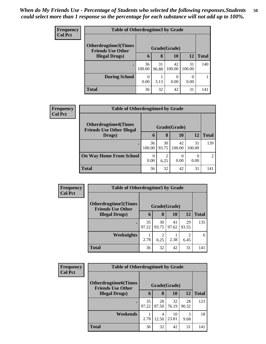| <b>Frequency</b> | <b>Table of Otherdrugtime3 by Grade</b>                  |              |             |              |              |              |
|------------------|----------------------------------------------------------|--------------|-------------|--------------|--------------|--------------|
| <b>Col Pct</b>   | <b>Otherdrugtime3</b> (Times<br><b>Friends Use Other</b> |              |             | Grade(Grade) |              |              |
|                  | <b>Illegal Drugs</b> )                                   | $\mathbf b$  | 8           | 10           | 12           | <b>Total</b> |
|                  |                                                          | 36<br>100.00 | 31<br>96.88 | 42<br>100.00 | 31<br>100.00 | 140          |
|                  | <b>During School</b>                                     | 0.00         | 3.13        | 0<br>0.00    | 0<br>0.00    |              |
|                  | <b>Total</b>                                             | 36           | 32          | 42           | 31           | 141          |

| Frequency      |                                                                 | <b>Table of Otherdrugtime4 by Grade</b> |             |              |                  |                |  |  |
|----------------|-----------------------------------------------------------------|-----------------------------------------|-------------|--------------|------------------|----------------|--|--|
| <b>Col Pct</b> | <b>Otherdrugtime4(Times</b><br><b>Friends Use Other Illegal</b> | Grade(Grade)                            |             |              |                  |                |  |  |
|                | Drugs)                                                          |                                         | 8           | <b>10</b>    | 12               | <b>Total</b>   |  |  |
|                |                                                                 | 36<br>100.00                            | 30<br>93.75 | 42<br>100.00 | 31<br>100.00     | 139            |  |  |
|                | <b>On Way Home From School</b>                                  | $\theta$<br>0.00                        | 2<br>6.25   | 0.00         | $\Omega$<br>0.00 | $\overline{2}$ |  |  |
|                | <b>Total</b>                                                    | 36                                      | 32          | 42           | 31               | 141            |  |  |

| <b>Frequency</b> | <b>Table of Otherdrugtime5 by Grade</b>                  |              |                        |             |             |              |
|------------------|----------------------------------------------------------|--------------|------------------------|-------------|-------------|--------------|
| <b>Col Pct</b>   | <b>Otherdrugtime5</b> (Times<br><b>Friends Use Other</b> | Grade(Grade) |                        |             |             |              |
|                  | <b>Illegal Drugs</b> )                                   | 6            | 8                      | 10          | 12          | <b>Total</b> |
|                  |                                                          | 35<br>97.22  | 30<br>93.75            | 41<br>97.62 | 29<br>93.55 | 135          |
|                  | Weeknights                                               | 2.78         | $\overline{c}$<br>6.25 | 2.38        | 2<br>6.45   | 6            |
|                  | <b>Total</b>                                             | 36           | 32                     | 42          | 31          | 141          |

| Frequency      | <b>Table of Otherdrugtime6 by Grade</b>                  |              |             |             |             |              |
|----------------|----------------------------------------------------------|--------------|-------------|-------------|-------------|--------------|
| <b>Col Pct</b> | <b>Otherdrugtime6</b> (Times<br><b>Friends Use Other</b> | Grade(Grade) |             |             |             |              |
|                | <b>Illegal Drugs</b> )                                   | $\mathbf b$  | 8           | 10          | 12          | <b>Total</b> |
|                | $\bullet$                                                | 35<br>97.22  | 28<br>87.50 | 32<br>76.19 | 28<br>90.32 | 123          |
|                | Weekends                                                 | 2.78         | 4<br>12.50  | 10<br>23.81 | 3<br>9.68   | 18           |
|                | <b>Total</b>                                             | 36           | 32          | 42          | 31          | 141          |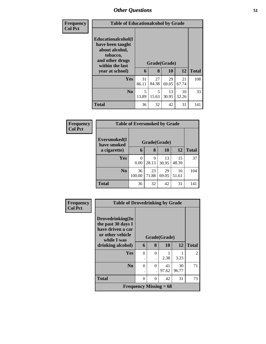| <b>Frequency</b> | <b>Table of Educationalcohol by Grade</b>                                                                                     |             |             |                    |             |              |
|------------------|-------------------------------------------------------------------------------------------------------------------------------|-------------|-------------|--------------------|-------------|--------------|
| <b>Col Pct</b>   | Educationalcohol(I<br>have been taught<br>about alcohol,<br>tobacco,<br>and other drugs<br>within the last<br>year at school) | 6           | 8           | Grade(Grade)<br>10 | 12          | <b>Total</b> |
|                  | Yes                                                                                                                           | 31<br>86.11 | 27<br>84.38 | 29<br>69.05        | 21<br>67.74 | 108          |
|                  | N <sub>0</sub>                                                                                                                | 5<br>13.89  | 5<br>15.63  | 13<br>30.95        | 10<br>32.26 | 33           |
|                  | <b>Total</b>                                                                                                                  | 36          | 32          | 42                 | 31          | 141          |

| <b>Frequency</b> |                              | <b>Table of Eversmoked by Grade</b> |              |             |             |              |  |  |
|------------------|------------------------------|-------------------------------------|--------------|-------------|-------------|--------------|--|--|
| <b>Col Pct</b>   | Eversmoked(I)<br>have smoked |                                     | Grade(Grade) |             |             |              |  |  |
|                  | a cigarette)                 | 6                                   | 8            | 10          | 12          | <b>Total</b> |  |  |
|                  | <b>Yes</b>                   | 0<br>0.00                           | 9<br>28.13   | 13<br>30.95 | 15<br>48.39 | 37           |  |  |
|                  | N <sub>0</sub>               | 36<br>100.00                        | 23<br>71.88  | 29<br>69.05 | 16<br>51.61 | 104          |  |  |
|                  | <b>Total</b>                 | 36                                  | 32           | 42          | 31          | 141          |  |  |

| <b>Frequency</b> | <b>Table of Drovedrinking by Grade</b>                                          |               |                                  |                          |             |                |
|------------------|---------------------------------------------------------------------------------|---------------|----------------------------------|--------------------------|-------------|----------------|
| <b>Col Pct</b>   | Drovedrinking(In<br>the past 30 days I<br>have driven a car<br>or other vehicle |               | Grade(Grade)                     |                          |             |                |
|                  | while I was<br>drinking alcohol)                                                | 6             | 8                                | 10                       | 12          | <b>Total</b>   |
|                  | Yes                                                                             | $\Omega$<br>٠ | $\theta$<br>٠                    | 2.38                     | 3.23        | $\mathfrak{D}$ |
|                  | N <sub>0</sub>                                                                  | $\Omega$<br>٠ | $\Omega$<br>$\ddot{\phantom{0}}$ | 41<br>97.62              | 30<br>96.77 | 71             |
|                  | <b>Total</b>                                                                    | $\Omega$      | 0                                | 42                       | 31          | 73             |
|                  |                                                                                 |               |                                  | Frequency Missing $= 68$ |             |                |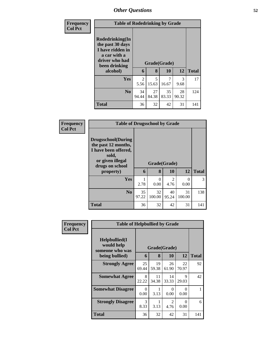| <b>Frequency</b> |                                                                                                                        | <b>Table of Rodedrinking by Grade</b> |             |                    |             |              |  |  |  |
|------------------|------------------------------------------------------------------------------------------------------------------------|---------------------------------------|-------------|--------------------|-------------|--------------|--|--|--|
| <b>Col Pct</b>   | Rodedrinking(In<br>the past 30 days<br>I have ridden in<br>a car with a<br>driver who had<br>been drinking<br>alcohol) | 6                                     | 8           | Grade(Grade)<br>10 | 12          | <b>Total</b> |  |  |  |
|                  | <b>Yes</b>                                                                                                             | 2<br>5.56                             | 5<br>15.63  | 7<br>16.67         | 3<br>9.68   | 17           |  |  |  |
|                  | N <sub>0</sub>                                                                                                         | 34<br>94.44                           | 27<br>84.38 | 35<br>83.33        | 28<br>90.32 | 124          |  |  |  |
|                  | <b>Total</b>                                                                                                           | 36                                    | 32          | 42                 | 31          | 141          |  |  |  |

| <b>Frequency</b> | <b>Table of Drugsschool by Grade</b>                                                                                                   |             |                   |                                     |              |              |
|------------------|----------------------------------------------------------------------------------------------------------------------------------------|-------------|-------------------|-------------------------------------|--------------|--------------|
| <b>Col Pct</b>   | <b>Drugsschool</b> (During<br>the past 12 months,<br>I have been offered,<br>sold,<br>or given illegal<br>drugs on school<br>property) | 6           | Grade(Grade)<br>8 | <b>10</b>                           | 12           | <b>Total</b> |
|                  | <b>Yes</b>                                                                                                                             | 2.78        | 0<br>0.00         | $\mathcal{D}_{\mathcal{L}}$<br>4.76 | 0<br>0.00    | 3            |
|                  | No.                                                                                                                                    | 35<br>97.22 | 32<br>100.00      | 40<br>95.24                         | 31<br>100.00 | 138          |
|                  | <b>Total</b>                                                                                                                           | 36          | 32                | 42                                  | 31           | 141          |

| <b>Frequency</b> | <b>Table of Helpbullied by Grade</b>                              |                       |                                    |                  |                  |                    |  |
|------------------|-------------------------------------------------------------------|-----------------------|------------------------------------|------------------|------------------|--------------------|--|
| <b>Col Pct</b>   | Helpbullied(I)<br>would help<br>someone who was<br>being bullied) |                       | Grade(Grade)<br>8<br>10<br>12<br>6 |                  |                  |                    |  |
|                  | <b>Strongly Agree</b>                                             | 25                    | 19                                 | 26               | 22               | <b>Total</b><br>92 |  |
|                  |                                                                   | 69.44                 | 59.38                              | 61.90            | 70.97            |                    |  |
|                  | <b>Somewhat Agree</b>                                             | 8<br>22.22            | 11<br>34.38                        | 14<br>33.33      | 9<br>29.03       | 42                 |  |
|                  | <b>Somewhat Disagree</b>                                          | 0<br>0.00             | 3.13                               | $\Omega$<br>0.00 | $\Omega$<br>0.00 |                    |  |
|                  | <b>Strongly Disagree</b>                                          | $\mathcal{F}$<br>8.33 | 3.13                               | 2<br>4.76        | 0<br>0.00        | 6                  |  |
|                  | Total                                                             | 36                    | 32                                 | 42               | 31               | 141                |  |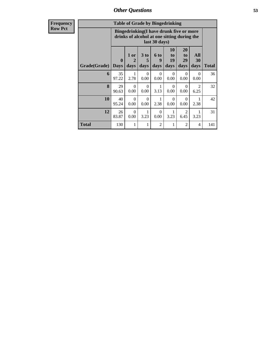| <b>Frequency</b> |              |                             | <b>Table of Grade by Bingedrinking</b>                                                 |                              |                   |                        |                        |                        |              |
|------------------|--------------|-----------------------------|----------------------------------------------------------------------------------------|------------------------------|-------------------|------------------------|------------------------|------------------------|--------------|
| <b>Row Pct</b>   |              |                             | Bingedrinking(I have drunk five or more<br>drinks of alcohol at one sitting during the |                              | last 30 days)     |                        |                        |                        |              |
|                  | Grade(Grade) | $\mathbf{0}$<br><b>Days</b> | 1 or<br>$\overline{2}$<br>days                                                         | 3 <sub>to</sub><br>5<br>days | 6 to<br>9<br>days | 10<br>to<br>19<br>days | 20<br>to<br>29<br>days | All<br>30<br>days      | <b>Total</b> |
|                  | 6            | 35<br>97.22                 | 1<br>2.78                                                                              | $\Omega$<br>0.00             | $\Omega$<br>0.00  | $\Omega$<br>0.00       | $\Omega$<br>0.00       | $\Omega$<br>0.00       | 36           |
|                  | 8            | 29<br>90.63                 | $\Omega$<br>0.00                                                                       | $\Omega$<br>0.00             | 1<br>3.13         | $\Omega$<br>0.00       | $\Omega$<br>0.00       | $\mathfrak{D}$<br>6.25 | 32           |
|                  | 10           | 40<br>95.24                 | $\Omega$<br>0.00                                                                       | $\Omega$<br>0.00             | 1<br>2.38         | $\Omega$<br>0.00       | $\Omega$<br>0.00       | 1<br>2.38              | 42           |
|                  | 12           | 26<br>83.87                 | $\Omega$<br>0.00                                                                       | 1<br>3.23                    | $\Omega$<br>0.00  | 3.23                   | $\overline{2}$<br>6.45 | 3.23                   | 31           |
|                  | <b>Total</b> | 130                         | 1                                                                                      | 1                            | $\overline{2}$    | 1                      | 2                      | 4                      | 141          |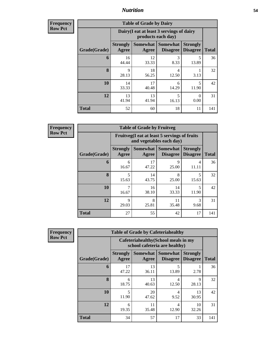**Frequency Row Pct**

| <b>Table of Grade by Dairy</b> |                          |                                                                 |                                    |                                    |              |  |  |
|--------------------------------|--------------------------|-----------------------------------------------------------------|------------------------------------|------------------------------------|--------------|--|--|
|                                |                          | Dairy (I eat at least 3 servings of dairy<br>products each day) |                                    |                                    |              |  |  |
| Grade(Grade)                   | <b>Strongly</b><br>Agree | <b>Somewhat</b><br>Agree                                        | <b>Somewhat</b><br><b>Disagree</b> | <b>Strongly</b><br><b>Disagree</b> | <b>Total</b> |  |  |
| 6                              | 16<br>44.44              | 12<br>33.33                                                     | 3<br>8.33                          | 5<br>13.89                         | 36           |  |  |
| 8                              | 9<br>28.13               | 18<br>56.25                                                     | 4<br>12.50                         | 3.13                               | 32           |  |  |
| 10                             | 14<br>33.33              | 17<br>40.48                                                     | 6<br>14.29                         | 5<br>11.90                         | 42           |  |  |
| 12                             | 13<br>41.94              | 13<br>41.94                                                     | 5<br>16.13                         | 0<br>0.00                          | 31           |  |  |
| <b>Total</b>                   | 52                       | 60                                                              | 18                                 | 11                                 | 141          |  |  |

**Frequency Row Pct**

Г

| <b>Table of Grade by Fruitveg</b> |                          |                                                                          |                                    |                                    |              |  |  |  |
|-----------------------------------|--------------------------|--------------------------------------------------------------------------|------------------------------------|------------------------------------|--------------|--|--|--|
|                                   |                          | Fruitveg(I eat at least 5 servings of fruits<br>and vegetables each day) |                                    |                                    |              |  |  |  |
| Grade(Grade)                      | <b>Strongly</b><br>Agree | Somewhat<br>Agree                                                        | <b>Somewhat</b><br><b>Disagree</b> | <b>Strongly</b><br><b>Disagree</b> | <b>Total</b> |  |  |  |
| 6                                 | 6<br>16.67               | 17<br>47.22                                                              | 9<br>25.00                         | 4<br>11.11                         | 36           |  |  |  |
| 8                                 | 5<br>15.63               | 14<br>43.75                                                              | 8<br>25.00                         | 5<br>15.63                         | 32           |  |  |  |
| 10                                | 7<br>16.67               | 16<br>38.10                                                              | 14<br>33.33                        | $\overline{\phantom{0}}$<br>11.90  | 42           |  |  |  |
| 12                                | 9<br>29.03               | 8<br>25.81                                                               | 11<br>35.48                        | $\mathcal{R}$<br>9.68              | 31           |  |  |  |
| <b>Total</b>                      | 27                       | 55                                                                       | 42                                 | 17                                 | 141          |  |  |  |

| <b>Table of Grade by Cafeteriahealthy</b> |                          |                                                                      |                                    |                                    |              |  |  |  |
|-------------------------------------------|--------------------------|----------------------------------------------------------------------|------------------------------------|------------------------------------|--------------|--|--|--|
|                                           |                          | Cafeteriahealthy(School meals in my<br>school cafeteria are healthy) |                                    |                                    |              |  |  |  |
| Grade(Grade)                              | <b>Strongly</b><br>Agree | <b>Somewhat</b><br>Agree                                             | <b>Somewhat</b><br><b>Disagree</b> | <b>Strongly</b><br><b>Disagree</b> | <b>Total</b> |  |  |  |
| 6                                         | 17<br>47.22              | 13<br>36.11                                                          | 5<br>13.89                         | 2.78                               | 36           |  |  |  |
| 8                                         | 6<br>18.75               | 13<br>40.63                                                          | 4<br>12.50                         | 9<br>28.13                         | 32           |  |  |  |
| 10                                        | 5<br>11.90               | 20<br>47.62                                                          | 4<br>9.52                          | 13<br>30.95                        | 42           |  |  |  |
| 12                                        | 6<br>19.35               | 11<br>35.48                                                          | 4<br>12.90                         | 10<br>32.26                        | 31           |  |  |  |
| <b>Total</b>                              | 34                       | 57                                                                   | 17                                 | 33                                 | 141          |  |  |  |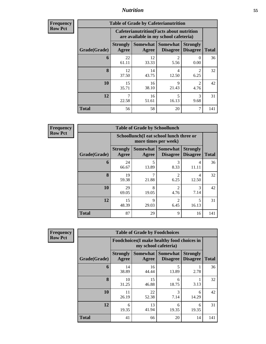| Frequency<br><b>Row Pct</b> |  |
|-----------------------------|--|
|                             |  |

| <b>Table of Grade by Cafeterianutrition</b> |                          |                                                                                           |                                               |                                    |              |  |  |
|---------------------------------------------|--------------------------|-------------------------------------------------------------------------------------------|-----------------------------------------------|------------------------------------|--------------|--|--|
|                                             |                          | <b>Cafeterianutrition</b> (Facts about nutrition<br>are available in my school cafeteria) |                                               |                                    |              |  |  |
| Grade(Grade)                                | <b>Strongly</b><br>Agree | Agree                                                                                     | <b>Somewhat   Somewhat</b><br><b>Disagree</b> | <b>Strongly</b><br><b>Disagree</b> | <b>Total</b> |  |  |
| 6                                           | 22<br>61.11              | 12<br>33.33                                                                               | 2<br>5.56                                     | $\mathbf{0}$<br>0.00               | 36           |  |  |
| 8                                           | 12<br>37.50              | 14<br>43.75                                                                               | 4<br>12.50                                    | $\mathfrak{D}$<br>6.25             | 32           |  |  |
| 10                                          | 15<br>35.71              | 16<br>38.10                                                                               | 9<br>21.43                                    | $\mathfrak{D}$<br>4.76             | 42           |  |  |
| 12                                          | 22.58                    | 16<br>51.61                                                                               | 5<br>16.13                                    | 3<br>9.68                          | 31           |  |  |
| <b>Total</b>                                | 56                       | 58                                                                                        | 20                                            | 7                                  | 141          |  |  |

**Frequency Row Pct**

| <b>Table of Grade by Schoollunch</b> |                                 |                                                                 |                                          |                                    |              |  |  |
|--------------------------------------|---------------------------------|-----------------------------------------------------------------|------------------------------------------|------------------------------------|--------------|--|--|
|                                      |                                 | Schoollunch(I eat school lunch three or<br>more times per week) |                                          |                                    |              |  |  |
| Grade(Grade)                         | <b>Strongly</b><br><b>Agree</b> | Agree                                                           | Somewhat   Somewhat  <br><b>Disagree</b> | <b>Strongly</b><br><b>Disagree</b> | <b>Total</b> |  |  |
| 6                                    | 24<br>66.67                     | 5<br>13.89                                                      | 3<br>8.33                                | 4<br>11.11                         | 36           |  |  |
| 8                                    | 19<br>59.38                     | 21.88                                                           | $\mathfrak{D}$<br>6.25                   | 4<br>12.50                         | 32           |  |  |
| 10                                   | 29<br>69.05                     | 8<br>19.05                                                      | $\mathfrak{D}$<br>4.76                   | 3<br>7.14                          | 42           |  |  |
| 12                                   | 15<br>48.39                     | $\mathbf Q$<br>29.03                                            | $\overline{2}$<br>6.45                   | 5<br>16.13                         | 31           |  |  |
| <b>Total</b>                         | 87                              | 29                                                              | 9                                        | 16                                 | 141          |  |  |

| <b>Table of Grade by Foodchoices</b> |                          |                                                                    |                                    |                                    |              |  |  |
|--------------------------------------|--------------------------|--------------------------------------------------------------------|------------------------------------|------------------------------------|--------------|--|--|
|                                      |                          | Foodchoices(I make healthy food choices in<br>my school cafeteria) |                                    |                                    |              |  |  |
| Grade(Grade)                         | <b>Strongly</b><br>Agree | <b>Somewhat</b><br>Agree                                           | <b>Somewhat</b><br><b>Disagree</b> | <b>Strongly</b><br><b>Disagree</b> | <b>Total</b> |  |  |
| 6                                    | 14<br>38.89              | 16<br>44.44                                                        | 5<br>13.89                         | 2.78                               | 36           |  |  |
| 8                                    | 10<br>31.25              | 15<br>46.88                                                        | 6<br>18.75                         | 3.13                               | 32           |  |  |
| 10                                   | 11<br>26.19              | 22<br>52.38                                                        | 3<br>7.14                          | 6<br>14.29                         | 42           |  |  |
| 12                                   | 6<br>19.35               | 13<br>41.94                                                        | 6<br>19.35                         | 6<br>19.35                         | 31           |  |  |
| <b>Total</b>                         | 41                       | 66                                                                 | 20                                 | 14                                 | 141          |  |  |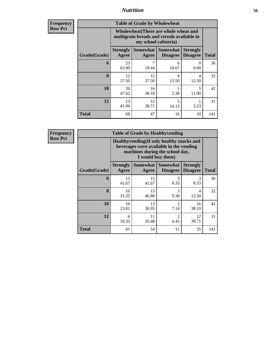| <b>Frequency</b><br>Row Pct |
|-----------------------------|
|                             |

| <b>Table of Grade by Wholewheat</b> |                                                                                                             |                     |                             |                                    |              |  |  |  |
|-------------------------------------|-------------------------------------------------------------------------------------------------------------|---------------------|-----------------------------|------------------------------------|--------------|--|--|--|
|                                     | Wholewheat (There are whole wheat and<br>multigrain breads and cereals available in<br>my school cafeteria) |                     |                             |                                    |              |  |  |  |
| Grade(Grade)                        | <b>Strongly</b><br>Agree                                                                                    | Somewhat  <br>Agree | Somewhat<br><b>Disagree</b> | <b>Strongly</b><br><b>Disagree</b> | <b>Total</b> |  |  |  |
| 6                                   | 23<br>63.89                                                                                                 | 7<br>19.44          | 6<br>16.67                  | ∩<br>0.00                          | 36           |  |  |  |
| 8                                   | 12<br>37.50                                                                                                 | 12<br>37.50         | 4<br>12.50                  | 4<br>12.50                         | 32           |  |  |  |
| 10                                  | 20<br>47.62                                                                                                 | 16<br>38.10         | 2.38                        | $\overline{\phantom{0}}$<br>11.90  | 42           |  |  |  |
| 12                                  | 13<br>41.94                                                                                                 | 12<br>38.71         | 5<br>16.13                  | 3.23                               | 31           |  |  |  |
| <b>Total</b>                        | 68                                                                                                          | 47                  | 16                          | 10                                 | 141          |  |  |  |

| <b>Table of Grade by Healthyvending</b> |                                                                                                                          |             |                                             |                                    |              |  |  |
|-----------------------------------------|--------------------------------------------------------------------------------------------------------------------------|-------------|---------------------------------------------|------------------------------------|--------------|--|--|
|                                         | Healthyvending (If only healthy snacks and<br>beverages were available in the vending<br>machines during the school day, |             |                                             |                                    |              |  |  |
| Grade(Grade)                            | <b>Strongly</b><br>Agree                                                                                                 | Agree       | <b>Somewhat Somewhat</b><br><b>Disagree</b> | <b>Strongly</b><br><b>Disagree</b> | <b>Total</b> |  |  |
| 6                                       | 15<br>41.67                                                                                                              | 15<br>41.67 | 3<br>8.33                                   | $\mathcal{R}$<br>8.33              | 36           |  |  |
| 8                                       | 10<br>31.25                                                                                                              | 15<br>46.88 | 3<br>9.38                                   | 4<br>12.50                         | 32           |  |  |
| 10                                      | 10<br>23.81                                                                                                              | 13<br>30.95 | 3<br>7.14                                   | 16<br>38.10                        | 42           |  |  |
| 12                                      | 6<br>19.35                                                                                                               | 11<br>35.48 | $\mathfrak{D}$<br>6.45                      | 12<br>38.71                        | 31           |  |  |
| <b>Total</b>                            | 41                                                                                                                       | 54          | 11                                          | 35                                 | 141          |  |  |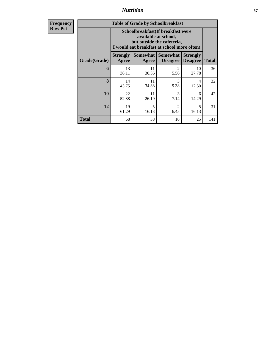| <b>Table of Grade by Schoolbreakfast</b> |                                                                                                                                         |             |                                        |                                    |              |  |  |
|------------------------------------------|-----------------------------------------------------------------------------------------------------------------------------------------|-------------|----------------------------------------|------------------------------------|--------------|--|--|
|                                          | Schoolbreakfast (If breakfast were<br>available at school,<br>but outside the cafeteria,<br>I would eat breakfast at school more often) |             |                                        |                                    |              |  |  |
| Grade(Grade)                             | <b>Strongly</b><br>Agree                                                                                                                | Agree       | Somewhat   Somewhat<br><b>Disagree</b> | <b>Strongly</b><br><b>Disagree</b> | <b>Total</b> |  |  |
| 6                                        | 13<br>36.11                                                                                                                             | 11<br>30.56 | $\mathfrak{D}$<br>5.56                 | 10<br>27.78                        | 36           |  |  |
| 8                                        | 14<br>43.75                                                                                                                             | 11<br>34.38 | 3<br>9.38                              | 4<br>12.50                         | 32           |  |  |
| 10                                       | 22<br>52.38                                                                                                                             | 11<br>26.19 | 3<br>7.14                              | 6<br>14.29                         | 42           |  |  |
| 12                                       | 19<br>61.29                                                                                                                             | 5<br>16.13  | $\mathfrak{D}$<br>6.45                 | 5<br>16.13                         | 31           |  |  |
| Total                                    | 68                                                                                                                                      | 38          | 10                                     | 25                                 | 141          |  |  |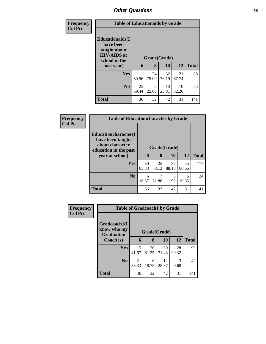| <b>Frequency</b> |                                                                                                           | <b>Table of Educationaids by Grade</b> |                   |             |             |              |  |  |
|------------------|-----------------------------------------------------------------------------------------------------------|----------------------------------------|-------------------|-------------|-------------|--------------|--|--|
| <b>Col Pct</b>   | <b>Educationaids</b> (I<br>have been<br>taught about<br><b>HIV/AIDS</b> at<br>school in the<br>past year) | 6                                      | Grade(Grade)<br>8 | 10          | 12          | <b>Total</b> |  |  |
|                  | <b>Yes</b>                                                                                                | 11                                     | 24                | 32          | 21          | 88           |  |  |
|                  |                                                                                                           | 30.56                                  | 75.00             | 76.19       | 67.74       |              |  |  |
|                  | N <sub>0</sub>                                                                                            | 25<br>69.44                            | 8<br>25.00        | 10<br>23.81 | 10<br>32.26 | 53           |  |  |
|                  | <b>Total</b>                                                                                              | 36                                     | 32                | 42          | 31          | 141          |  |  |

| Frequency      |                                                                                                                 | <b>Table of Educationcharacter by Grade</b> |             |              |             |     |  |  |  |
|----------------|-----------------------------------------------------------------------------------------------------------------|---------------------------------------------|-------------|--------------|-------------|-----|--|--|--|
| <b>Col Pct</b> | <b>Educationcharacter</b> (I<br>have been taught<br>about character<br>education in the past<br>year at school) | Grade(Grade)<br>6                           | <b>12</b>   | <b>Total</b> |             |     |  |  |  |
|                | <b>Yes</b>                                                                                                      | 30<br>83.33                                 | 25<br>78.13 | 37<br>88.10  | 25<br>80.65 | 117 |  |  |  |
|                | No.                                                                                                             | 6<br>16.67                                  | 7<br>21.88  | 5<br>11.90   | 6<br>19.35  | 24  |  |  |  |
|                | <b>Total</b>                                                                                                    | 36                                          | 32          | 42           | 31          | 141 |  |  |  |

| Frequency      |                                                  | <b>Table of Gradcoach1 by Grade</b> |              |             |             |              |  |  |
|----------------|--------------------------------------------------|-------------------------------------|--------------|-------------|-------------|--------------|--|--|
| <b>Col Pct</b> | Gradcoach1(I<br>know who my<br><b>Graduation</b> |                                     | Grade(Grade) |             |             |              |  |  |
|                | Coach is)                                        | 6                                   | 8            | 10          | 12          | <b>Total</b> |  |  |
|                | Yes                                              | 15<br>41.67                         | 26<br>81.25  | 30<br>71.43 | 28<br>90.32 | 99           |  |  |
|                | N <sub>0</sub>                                   | 21<br>58.33                         | 6<br>18.75   | 12<br>28.57 | 3<br>9.68   | 42           |  |  |
|                | <b>Total</b>                                     | 36                                  | 32           | 42          | 31          | 141          |  |  |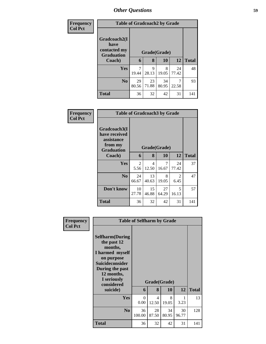| Frequency<br><b>Col Pct</b> |                                                           | <b>Table of Gradcoach2 by Grade</b> |             |             |             |              |  |  |  |
|-----------------------------|-----------------------------------------------------------|-------------------------------------|-------------|-------------|-------------|--------------|--|--|--|
|                             | Gradcoach2(I<br>have<br>contacted my<br><b>Graduation</b> | Grade(Grade)                        |             |             |             |              |  |  |  |
|                             | Coach)                                                    | 6                                   | 8           | 10          | <b>12</b>   | <b>Total</b> |  |  |  |
|                             | <b>Yes</b>                                                | 7<br>19.44                          | 9<br>28.13  | 8<br>19.05  | 24<br>77.42 | 48           |  |  |  |
|                             | N <sub>0</sub>                                            | 29<br>80.56                         | 23<br>71.88 | 34<br>80.95 | 7<br>22.58  | 93           |  |  |  |
|                             | <b>Total</b>                                              | 36                                  | 32          | 42          | 31          | 141          |  |  |  |

| Frequency      |                                                                             | <b>Table of Gradcoach3 by Grade</b> |             |             |             |              |  |  |
|----------------|-----------------------------------------------------------------------------|-------------------------------------|-------------|-------------|-------------|--------------|--|--|
| <b>Col Pct</b> | Gradcoach3(I<br>have received<br>assistance<br>from my<br><b>Graduation</b> | Grade(Grade)                        |             |             |             |              |  |  |
|                | <b>Coach</b> )                                                              | 6                                   | 8           | 10          | 12          | <b>Total</b> |  |  |
|                | Yes                                                                         | $\overline{2}$<br>5.56              | 4<br>12.50  | 7<br>16.67  | 24<br>77.42 | 37           |  |  |
|                | N <sub>0</sub>                                                              | 24<br>66.67                         | 13<br>40.63 | 8<br>19.05  | 2<br>6.45   | 47           |  |  |
|                | Don't know                                                                  | 10<br>27.78                         | 15<br>46.88 | 27<br>64.29 | 5<br>16.13  | 57           |  |  |
|                | <b>Total</b>                                                                | 36                                  | 32          | 42          | 31          | 141          |  |  |

| Frequency<br><b>Col Pct</b> |                                                                                                                                                                                        | <b>Table of Selfharm by Grade</b> |                                   |                           |             |              |
|-----------------------------|----------------------------------------------------------------------------------------------------------------------------------------------------------------------------------------|-----------------------------------|-----------------------------------|---------------------------|-------------|--------------|
|                             | <b>Selfharm</b> (During<br>the past 12<br>months,<br>I harmed myself<br>on purpose<br><b>Suicideconsider</b><br>During the past<br>12 months,<br>I seriously<br>considered<br>suicide) | 6                                 | 8                                 | Grade(Grade)<br><b>10</b> | 12          | <b>Total</b> |
|                             | Yes                                                                                                                                                                                    | $\Omega$<br>0.00                  | $\overline{\mathcal{A}}$<br>12.50 | 8<br>19.05                | 1<br>3.23   | 13           |
|                             | N <sub>0</sub>                                                                                                                                                                         | 36<br>100.00                      | 28<br>87.50                       | 34<br>80.95               | 30<br>96.77 | 128          |
|                             | <b>Total</b>                                                                                                                                                                           | 36                                | 32                                | 42                        | 31          | 141          |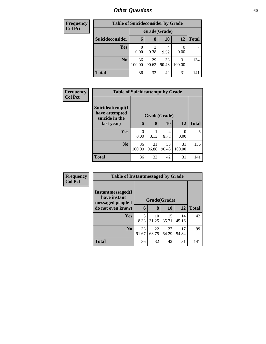| <b>Frequency</b> | <b>Table of Suicideconsider by Grade</b> |              |              |             |              |              |  |  |  |
|------------------|------------------------------------------|--------------|--------------|-------------|--------------|--------------|--|--|--|
| <b>Col Pct</b>   |                                          |              | Grade(Grade) |             |              |              |  |  |  |
|                  | Suicideconsider                          | 6            | 8            | 10          | 12           | <b>Total</b> |  |  |  |
|                  | Yes                                      | 0.00         | 3<br>9.38    | 4<br>9.52   | 0.00         | 7            |  |  |  |
|                  | N <sub>0</sub>                           | 36<br>100.00 | 29<br>90.63  | 38<br>90.48 | 31<br>100.00 | 134          |  |  |  |
|                  | <b>Total</b>                             | 36           | 32           | 42          | 31           | 141          |  |  |  |

| <b>Frequency</b> | <b>Table of Suicideattempt by Grade</b>              |              |             |             |              |              |
|------------------|------------------------------------------------------|--------------|-------------|-------------|--------------|--------------|
| <b>Col Pct</b>   | Suicideattempt(I<br>have attempted<br>suicide in the | Grade(Grade) |             |             |              |              |
|                  | last year)                                           | 6            | 8           | <b>10</b>   | 12           | <b>Total</b> |
|                  | <b>Yes</b>                                           | 0<br>0.00    | 3.13        | 4<br>9.52   | 0<br>0.00    | 5            |
|                  | N <sub>0</sub>                                       | 36<br>100.00 | 31<br>96.88 | 38<br>90.48 | 31<br>100.00 | 136          |
|                  | <b>Total</b>                                         | 36           | 32          | 42          | 31           | 141          |

| Frequency      | <b>Table of Instantmessaged by Grade</b>               |                       |             |             |             |              |
|----------------|--------------------------------------------------------|-----------------------|-------------|-------------|-------------|--------------|
| <b>Col Pct</b> | Instantmessaged(I<br>have instant<br>messaged people I | Grade(Grade)          |             |             |             |              |
|                | do not even know)                                      | 6                     | 8           | 10          | 12          | <b>Total</b> |
|                | <b>Yes</b>                                             | $\mathcal{R}$<br>8.33 | 10<br>31.25 | 15<br>35.71 | 14<br>45.16 | 42           |
|                | N <sub>0</sub>                                         | 33<br>91.67           | 22<br>68.75 | 27<br>64.29 | 17<br>54.84 | 99           |
|                | <b>Total</b>                                           | 36                    | 32          | 42          | 31          | 141          |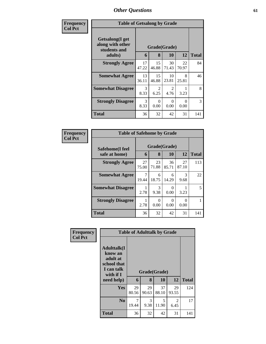| Frequency      | <b>Table of Getsalong by Grade</b>                  |              |                        |                                     |                  |              |  |
|----------------|-----------------------------------------------------|--------------|------------------------|-------------------------------------|------------------|--------------|--|
| <b>Col Pct</b> | Getsalong(I get<br>along with other<br>students and | Grade(Grade) |                        |                                     |                  |              |  |
|                | adults)                                             | 6            | 8                      | 10                                  | 12               | <b>Total</b> |  |
|                | <b>Strongly Agree</b>                               | 17<br>47.22  | 15<br>46.88            | 30<br>71.43                         | 22<br>70.97      | 84           |  |
|                | <b>Somewhat Agree</b>                               | 13<br>36.11  | 15<br>46.88            | 10<br>23.81                         | 8<br>25.81       | 46           |  |
|                | <b>Somewhat Disagree</b>                            | 3<br>8.33    | $\overline{2}$<br>6.25 | $\mathcal{D}_{\mathcal{L}}$<br>4.76 | 3.23             | 8            |  |
|                | <b>Strongly Disagree</b>                            | 3<br>8.33    | $\Omega$<br>0.00       | 0<br>0.00                           | $\Omega$<br>0.00 | 3            |  |
|                | Total                                               | 36           | 32                     | 42                                  | 31               | 141          |  |

| Frequency      | <b>Table of Safehome by Grade</b> |              |             |             |                       |              |  |  |
|----------------|-----------------------------------|--------------|-------------|-------------|-----------------------|--------------|--|--|
| <b>Col Pct</b> | Safehome(I feel                   | Grade(Grade) |             |             |                       |              |  |  |
|                | safe at home)                     | 6            | 8           | 10          | 12                    | <b>Total</b> |  |  |
|                | <b>Strongly Agree</b>             | 27<br>75.00  | 23<br>71.88 | 36<br>85.71 | 27<br>87.10           | 113          |  |  |
|                | <b>Somewhat Agree</b>             | 19.44        | 6<br>18.75  | 6<br>14.29  | $\mathcal{R}$<br>9.68 | 22           |  |  |
|                | <b>Somewhat Disagree</b>          | 2.78         | 3<br>9.38   | 0<br>0.00   | 3.23                  | 5            |  |  |
|                | <b>Strongly Disagree</b>          | 2.78         | 0<br>0.00   | 0<br>0.00   | 0.00                  |              |  |  |
|                | <b>Total</b>                      | 36           | 32          | 42          | 31                    | 141          |  |  |

| Frequency      |                                                                                                   | <b>Table of Adulttalk by Grade</b> |                   |             |             |              |
|----------------|---------------------------------------------------------------------------------------------------|------------------------------------|-------------------|-------------|-------------|--------------|
| <b>Col Pct</b> | <b>Adulttalk(I</b><br>know an<br>adult at<br>school that<br>I can talk<br>with if I<br>need help) | 6                                  | Grade(Grade)<br>8 | 10          | 12          | <b>Total</b> |
|                |                                                                                                   |                                    |                   |             |             |              |
|                | <b>Yes</b>                                                                                        | 29<br>80.56                        | 29<br>90.63       | 37<br>88.10 | 29<br>93.55 | 124          |
|                | N <sub>0</sub>                                                                                    | 7<br>19.44                         | 3<br>9.38         | 5<br>11.90  | 2<br>6.45   | 17           |
|                | <b>Total</b>                                                                                      | 36                                 | 32                | 42          | 31          | 141          |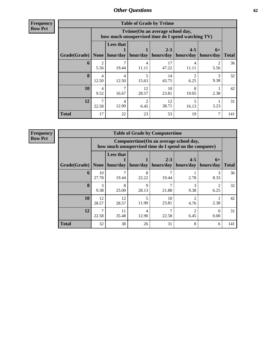**Frequency Row Pct**

| <b>Table of Grade by Tvtime</b> |                         |                                                                                        |             |                      |                      |                   |              |  |  |  |
|---------------------------------|-------------------------|----------------------------------------------------------------------------------------|-------------|----------------------|----------------------|-------------------|--------------|--|--|--|
|                                 |                         | Tvtime(On an average school day,<br>how much unsupervised time do I spend watching TV) |             |                      |                      |                   |              |  |  |  |
| Grade(Grade)                    | None                    | <b>Less that</b><br>hour/day                                                           | hour/day    | $2 - 3$<br>hours/day | $4 - 5$<br>hours/day | $6+$<br>hours/day | <b>Total</b> |  |  |  |
| 6                               | 5.56                    | 19.44                                                                                  | 4<br>11.11  | 17<br>47.22          | 4<br>11.11           | 5.56              | 36           |  |  |  |
| 8                               | $\overline{4}$<br>12.50 | 4<br>12.50                                                                             | 15.63       | 14<br>43.75          | っ<br>6.25            | 3<br>9.38         | 32           |  |  |  |
| 10                              | 4<br>9.52               | 7<br>16.67                                                                             | 12<br>28.57 | 10<br>23.81          | 8<br>19.05           | 2.38              | 42           |  |  |  |
| 12                              | 7<br>22.58              | 4<br>12.90                                                                             | 2<br>6.45   | 12<br>38.71          | 5<br>16.13           | 3.23              | 31           |  |  |  |
| <b>Total</b>                    | 17                      | 22                                                                                     | 23          | 53                   | 19                   | 7                 | 141          |  |  |  |

| <b>Table of Grade by Computertime</b> |             |                                                                                                                                  |            |             |           |           |     |  |  |  |
|---------------------------------------|-------------|----------------------------------------------------------------------------------------------------------------------------------|------------|-------------|-----------|-----------|-----|--|--|--|
|                                       |             | Computertime(On an average school day,<br>how much unsupervised time do I spend on the computer)                                 |            |             |           |           |     |  |  |  |
| Grade(Grade)                          | <b>None</b> | <b>Less that</b><br>$2 - 3$<br>$4 - 5$<br>$6+$<br>hour/day   hour/day<br>  hours/day  <br>hours/day<br>hours/day<br><b>Total</b> |            |             |           |           |     |  |  |  |
| 6                                     | 10<br>27.78 | 7<br>19.44                                                                                                                       | 8<br>22.22 | 19.44       | 2.78      | 3<br>8.33 | 36  |  |  |  |
| $\bf{8}$                              | 3<br>9.38   | 8<br>25.00                                                                                                                       | 9<br>28.13 | 21.88       | 3<br>9.38 | っ<br>6.25 | 32  |  |  |  |
| 10                                    | 12<br>28.57 | 12<br>28.57                                                                                                                      | 5<br>11.90 | 10<br>23.81 | 2<br>4.76 | 2.38      | 42  |  |  |  |
| 12                                    | ⇁<br>22.58  | 11<br>っ<br>4<br>35.48<br>22.58<br>6.45<br>0.00<br>12.90                                                                          |            |             |           |           |     |  |  |  |
| <b>Total</b>                          | 32          | 38                                                                                                                               | 26         | 31          | 8         | 6         | 141 |  |  |  |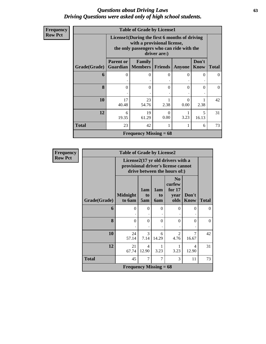### *Questions about Driving Laws* **63** *Driving Questions were asked only of high school students.*

| Frequency<br>Row Pct |
|----------------------|

| <b>Table of Grade by License1</b> |                                                                                                                                           |                                            |                |        |               |              |  |  |
|-----------------------------------|-------------------------------------------------------------------------------------------------------------------------------------------|--------------------------------------------|----------------|--------|---------------|--------------|--|--|
|                                   | License1(During the first 6 months of driving<br>with a provisional license,<br>the only passengers who can ride with the<br>driver are:) |                                            |                |        |               |              |  |  |
| Grade(Grade)                      | <b>Parent or</b>                                                                                                                          | Family<br><b>Guardian</b>   Members        | <b>Friends</b> | Anyone | Don't<br>Know | <b>Total</b> |  |  |
| 6                                 | 0                                                                                                                                         | 0                                          | 0              | 0      | 0             | 0            |  |  |
| 8                                 | 0                                                                                                                                         | $\Omega$                                   | $\theta$       | 0      | 0             | $\Omega$     |  |  |
| 10                                | 17<br>40.48                                                                                                                               | 23<br>0<br>0.00<br>2.38<br>2.38<br>54.76   |                |        |               |              |  |  |
| 12                                | 5<br>19<br>$\Omega$<br>6<br>3.23<br>0.00<br>19.35<br>61.29<br>16.13                                                                       |                                            |                |        |               |              |  |  |
| <b>Total</b>                      | 23<br>42<br>1<br>6                                                                                                                        |                                            |                |        |               |              |  |  |
|                                   |                                                                                                                                           | <b>Frequency Missing = <math>68</math></b> |                |        |               |              |  |  |

| <b>Frequency</b> | <b>Table of Grade by License2</b> |                                            |                                                                                                          |                         |                                                    |               |              |  |  |
|------------------|-----------------------------------|--------------------------------------------|----------------------------------------------------------------------------------------------------------|-------------------------|----------------------------------------------------|---------------|--------------|--|--|
| <b>Row Pct</b>   |                                   |                                            | License2(17 yr old drivers with a<br>provisional driver's license cannot<br>drive between the hours of:) |                         |                                                    |               |              |  |  |
|                  | Grade(Grade)                      | <b>Midnight</b><br>to 6am                  | 1am<br>to<br>5am                                                                                         | 1am<br>to<br><b>6am</b> | N <sub>0</sub><br>curfew<br>for 17<br>year<br>olds | Don't<br>Know | <b>Total</b> |  |  |
|                  | 6                                 | $\Omega$                                   | $\theta$                                                                                                 | $\Omega$                | $\Omega$                                           | 0             | $\theta$     |  |  |
|                  | $\mathbf{8}$                      | $\theta$                                   | $\theta$                                                                                                 | $\theta$                | $\theta$                                           | $\Omega$      | $\Omega$     |  |  |
|                  | 10                                | 24<br>57.14                                | 3<br>7.14                                                                                                | 6<br>14.29              | $\overline{2}$<br>4.76                             | 7<br>16.67    | 42           |  |  |
|                  | 12                                | 21<br>67.74                                | $\overline{4}$<br>12.90                                                                                  | 1<br>3.23               | 3.23                                               | 4<br>12.90    | 31           |  |  |
|                  | <b>Total</b>                      | 45                                         | 7                                                                                                        | 7                       | 3                                                  | 11            | 73           |  |  |
|                  |                                   | <b>Frequency Missing = <math>68</math></b> |                                                                                                          |                         |                                                    |               |              |  |  |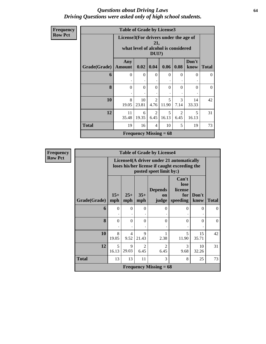### *Questions about Driving Laws* **64** *Driving Questions were asked only of high school students.*

| Frequency      |              | <b>Table of Grade by License3</b> |                                                                                                 |                        |            |           |               |              |  |
|----------------|--------------|-----------------------------------|-------------------------------------------------------------------------------------------------|------------------------|------------|-----------|---------------|--------------|--|
| <b>Row Pct</b> |              |                                   | License3(For drivers under the age of<br>21,<br>what level of alcohol is considered<br>$DUI$ ?) |                        |            |           |               |              |  |
|                | Grade(Grade) | Any<br><b>Amount</b>              | 0.02                                                                                            | 0.04                   | 0.06       | 0.08      | Don't<br>know | <b>Total</b> |  |
|                | 6            | $\Omega$                          | $\Omega$                                                                                        | $\Omega$               | $\Omega$   | $\Omega$  | $\theta$      | $\Omega$     |  |
|                | 8            | $\theta$                          | $\Omega$                                                                                        | $\Omega$               | $\theta$   | $\theta$  | $\theta$      | $\Omega$     |  |
|                | 10           | 8<br>19.05                        | 10<br>23.81                                                                                     | $\overline{2}$<br>4.76 | 5<br>11.90 | 3<br>7.14 | 14<br>33.33   | 42           |  |
|                | 12           | 11<br>35.48                       | 6<br>19.35                                                                                      | $\mathfrak{D}$<br>6.45 | 5<br>16.13 | 2<br>6.45 | 5<br>16.13    | 31           |  |
|                | <b>Total</b> | 5<br>19<br>19<br>16<br>10<br>4    |                                                                                                 |                        |            |           |               |              |  |
|                |              |                                   | <b>Frequency Missing = <math>68</math></b>                                                      |                        |            |           |               |              |  |

| <b>Frequency</b> |                                                |                |                        |                      | <b>Table of Grade by License4</b>          |                                                                                           |               |              |  |
|------------------|------------------------------------------------|----------------|------------------------|----------------------|--------------------------------------------|-------------------------------------------------------------------------------------------|---------------|--------------|--|
| <b>Row Pct</b>   |                                                |                |                        |                      | posted speet limit by:)                    | License4(A driver under 21 automatically<br>loses his/her license if caught exceeding the |               |              |  |
|                  | <b>Grade(Grade)</b>                            | $15+$<br>mph   | $25+$<br>mph           | $35+$<br>mph         | <b>Depends</b><br>on<br>judge              | Can't<br>lose<br>license<br>for<br>speeding                                               | Don't<br>know | <b>Total</b> |  |
|                  | 6                                              | $\overline{0}$ | $\theta$               | $\Omega$             | $\Omega$                                   | $\theta$                                                                                  | $\theta$      | $\Omega$     |  |
|                  | 8                                              | $\theta$       | $\theta$               | $\Omega$             | $\Omega$                                   | $\theta$                                                                                  | $\Omega$      | $\Omega$     |  |
|                  | 10                                             | 8<br>19.05     | $\overline{4}$<br>9.52 | $\mathbf Q$<br>21.43 | 2.38                                       | 5<br>11.90                                                                                | 15<br>35.71   | 42           |  |
|                  | 12                                             | 5<br>16.13     | 9<br>29.03             | 2<br>6.45            | $\overline{2}$<br>6.45                     | 3<br>9.68                                                                                 | 10<br>32.26   | 31           |  |
|                  | <b>Total</b><br>3<br>13<br>8<br>13<br>11<br>25 |                |                        |                      |                                            |                                                                                           |               |              |  |
|                  |                                                |                |                        |                      | <b>Frequency Missing = <math>68</math></b> |                                                                                           |               |              |  |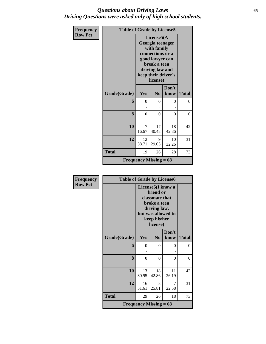### *Questions about Driving Laws* **65** *Driving Questions were asked only of high school students.*

| Frequency      | <b>Table of Grade by License5</b> |                                            |                                                                                                                                                            |                |                |
|----------------|-----------------------------------|--------------------------------------------|------------------------------------------------------------------------------------------------------------------------------------------------------------|----------------|----------------|
| <b>Row Pct</b> |                                   |                                            | License5(A<br>Georgia teenager<br>with family<br>connections or a<br>good lawyer can<br>break a teen<br>driving law and<br>keep their driver's<br>license) |                |                |
|                | Grade(Grade)                      | Yes                                        | N <sub>0</sub>                                                                                                                                             | Don't<br>know  | <b>Total</b>   |
|                | 6                                 | $\theta$                                   | $\theta$                                                                                                                                                   | $\theta$       | $\Omega$       |
|                | 8                                 | $\overline{0}$                             | $\theta$                                                                                                                                                   | $\overline{0}$ | $\overline{0}$ |
|                | 10                                | 7<br>16.67                                 | 17<br>40.48                                                                                                                                                | 18<br>42.86    | 42             |
|                | 12                                | 12<br>38.71                                | 9<br>29.03                                                                                                                                                 | 10<br>32.26    | 31             |
|                | <b>Total</b>                      | 19                                         | 26                                                                                                                                                         | 28             | 73             |
|                |                                   | <b>Frequency Missing = <math>68</math></b> |                                                                                                                                                            |                |                |

| <b>Frequency</b> | <b>Table of Grade by License6</b> |             |                                                                                                                                                 |               |              |
|------------------|-----------------------------------|-------------|-------------------------------------------------------------------------------------------------------------------------------------------------|---------------|--------------|
| <b>Row Pct</b>   |                                   |             | License <sub>6</sub> (I know a<br>friend or<br>classmate that<br>broke a teen<br>driving law,<br>but was allowed to<br>keep his/her<br>license) |               |              |
|                  | Grade(Grade)                      | Yes         | N <sub>0</sub>                                                                                                                                  | Don't<br>know | <b>Total</b> |
|                  | 6                                 | $\theta$    | 0                                                                                                                                               | 0             | 0            |
|                  | 8                                 | $\theta$    | $\theta$                                                                                                                                        | $\theta$      | $\theta$     |
|                  | 10                                | 13<br>30.95 | 18<br>42.86                                                                                                                                     | 11<br>26.19   | 42           |
|                  | 12                                | 16<br>51.61 | 8<br>25.81                                                                                                                                      | 7<br>22.58    | 31           |
|                  | <b>Total</b>                      | 29          | 26                                                                                                                                              | 18            | 73           |
|                  |                                   |             | <b>Frequency Missing = <math>68</math></b>                                                                                                      |               |              |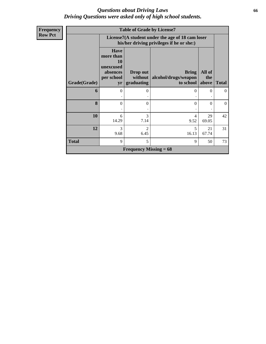### *Questions about Driving Laws* **66** *Driving Questions were asked only of high school students.*

| <b>Frequency</b> |              |                                                                              | <b>Table of Grade by License7</b>                                                             |                                      |               |                |  |  |  |
|------------------|--------------|------------------------------------------------------------------------------|-----------------------------------------------------------------------------------------------|--------------------------------------|---------------|----------------|--|--|--|
| <b>Row Pct</b>   |              |                                                                              | License7(A student under the age of 18 cam loser<br>his/her driving privileges if he or she:) |                                      |               |                |  |  |  |
|                  |              | <b>Have</b><br>more than<br><b>10</b><br>unexcused<br>absences<br>per school | Drop out<br>without                                                                           | <b>Bring</b><br>alcohol/drugs/weapon | All of<br>the |                |  |  |  |
|                  | Grade(Grade) | yr                                                                           | graduating                                                                                    | to school above                      |               | <b>Total</b>   |  |  |  |
|                  | 6            | 0                                                                            | $\theta$                                                                                      | $\Omega$                             | 0             | $\overline{0}$ |  |  |  |
|                  | 8            | 0                                                                            | 0                                                                                             | $\Omega$                             | 0             | $\overline{0}$ |  |  |  |
|                  | 10           | 6<br>14.29                                                                   | 3<br>7.14                                                                                     | 4<br>9.52                            | 29<br>69.05   | 42             |  |  |  |
|                  | 12           | 3<br>9.68                                                                    | $\mathfrak{D}$<br>6.45                                                                        | 5<br>16.13                           | 21<br>67.74   | 31             |  |  |  |
|                  | <b>Total</b> | 9                                                                            | 5                                                                                             | 9                                    | 50            | 73             |  |  |  |
|                  |              |                                                                              | <b>Frequency Missing = <math>68</math></b>                                                    |                                      |               |                |  |  |  |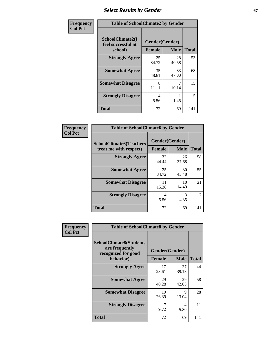## **Select Results by Gender 67**

| Frequency      | <b>Table of SchoolClimate2 by Gender</b>          |                                 |             |              |  |  |
|----------------|---------------------------------------------------|---------------------------------|-------------|--------------|--|--|
| <b>Col Pct</b> | SchoolClimate2(I<br>feel successful at<br>school) | Gender(Gender)<br><b>Female</b> | <b>Male</b> | <b>Total</b> |  |  |
|                | <b>Strongly Agree</b>                             | 25<br>34.72                     | 28<br>40.58 | 53           |  |  |
|                | <b>Somewhat Agree</b>                             | 35<br>48.61                     | 33<br>47.83 | 68           |  |  |
|                | <b>Somewhat Disagree</b>                          | 8<br>11.11                      | 7<br>10.14  | 15           |  |  |
|                | <b>Strongly Disagree</b>                          | 4<br>5.56                       | 1.45        | 5            |  |  |
|                | <b>Total</b>                                      | 72                              | 69          | 141          |  |  |

| Frequency      | <b>Table of SchoolClimate6 by Gender</b>                 |                                 |             |              |  |  |  |  |
|----------------|----------------------------------------------------------|---------------------------------|-------------|--------------|--|--|--|--|
| <b>Col Pct</b> | <b>SchoolClimate6(Teachers</b><br>treat me with respect) | Gender(Gender)<br><b>Female</b> | <b>Male</b> | <b>Total</b> |  |  |  |  |
|                | <b>Strongly Agree</b>                                    | 32<br>44.44                     | 26<br>37.68 | 58           |  |  |  |  |
|                | <b>Somewhat Agree</b>                                    | 25<br>34.72                     | 30<br>43.48 | 55           |  |  |  |  |
|                | <b>Somewhat Disagree</b>                                 | 11<br>15.28                     | 10<br>14.49 | 21           |  |  |  |  |
|                | <b>Strongly Disagree</b>                                 | 4<br>5.56                       | 3<br>4.35   |              |  |  |  |  |
|                | <b>Total</b>                                             | 72                              | 69          | 141          |  |  |  |  |

| <b>Frequency</b> | <b>Table of SchoolClimate8 by Gender</b>                                             |               |                               |              |
|------------------|--------------------------------------------------------------------------------------|---------------|-------------------------------|--------------|
| <b>Col Pct</b>   | <b>SchoolClimate8(Students</b><br>are frequently<br>recognized for good<br>behavior) | <b>Female</b> | Gender(Gender)<br><b>Male</b> | <b>Total</b> |
|                  | <b>Strongly Agree</b>                                                                | 17<br>23.61   | 27<br>39.13                   | 44           |
|                  | <b>Somewhat Agree</b>                                                                | 29<br>40.28   | 29<br>42.03                   | 58           |
|                  | <b>Somewhat Disagree</b>                                                             | 19<br>26.39   | 9<br>13.04                    | 28           |
|                  | <b>Strongly Disagree</b>                                                             | 7<br>9.72     | 4<br>5.80                     | 11           |
|                  | Total                                                                                | 72            | 69                            | 141          |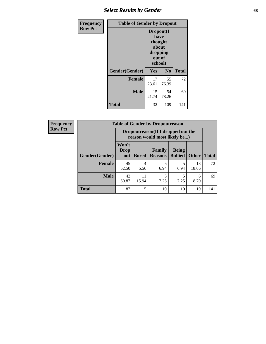## *Select Results by Gender* **68**

| Frequency      | <b>Table of Gender by Dropout</b> |                                                                        |                |              |
|----------------|-----------------------------------|------------------------------------------------------------------------|----------------|--------------|
| <b>Row Pct</b> |                                   | Dropout(I<br>have<br>thought<br>about<br>dropping<br>out of<br>school) |                |              |
|                | Gender(Gender)                    | Yes                                                                    | N <sub>0</sub> | <b>Total</b> |
|                | <b>Female</b>                     | 17<br>23.61                                                            | 55<br>76.39    | 72           |
|                | <b>Male</b>                       | 15<br>21.74                                                            | 54<br>78.26    | 69           |
|                | <b>Total</b>                      | 32                                                                     | 109            | 141          |

| <b>Frequency</b> | <b>Table of Gender by Dropoutreason</b> |                                                                    |              |                          |                                |              |              |
|------------------|-----------------------------------------|--------------------------------------------------------------------|--------------|--------------------------|--------------------------------|--------------|--------------|
| <b>Row Pct</b>   |                                         | Dropoutreason(If I dropped out the<br>reason would most likely be) |              |                          |                                |              |              |
|                  | Gender(Gender)                          | Won't<br><b>Drop</b><br>out                                        | <b>Bored</b> | Family<br><b>Reasons</b> | <b>Being</b><br><b>Bullied</b> | <b>Other</b> | <b>Total</b> |
|                  | <b>Female</b>                           | 45<br>62.50                                                        | 4<br>5.56    | 6.94                     | 6.94                           | 13<br>18.06  | 72           |
|                  | <b>Male</b>                             | 42<br>60.87                                                        | 11<br>15.94  | 7.25                     | 7.25                           | 6<br>8.70    | 69           |
|                  | <b>Total</b>                            | 87                                                                 | 15           | 10                       | 10                             | 19           | 141          |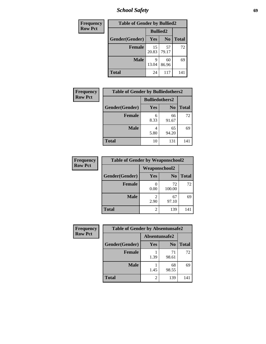*School Safety* **69**

| Frequency      | <b>Table of Gender by Bullied2</b> |                 |                |              |
|----------------|------------------------------------|-----------------|----------------|--------------|
| <b>Row Pct</b> |                                    | <b>Bullied2</b> |                |              |
|                | Gender(Gender)                     | <b>Yes</b>      | N <sub>0</sub> | <b>Total</b> |
|                | <b>Female</b>                      | 15<br>20.83     | 57<br>79.17    | 72           |
|                | <b>Male</b>                        | Q<br>13.04      | 60<br>86.96    | 69           |
|                | <b>Total</b>                       | 24              | 117            | 141          |

| <b>Frequency</b> | <b>Table of Gender by Bulliedothers2</b> |                       |                |              |
|------------------|------------------------------------------|-----------------------|----------------|--------------|
| <b>Row Pct</b>   |                                          | <b>Bulliedothers2</b> |                |              |
|                  | Gender(Gender)                           | <b>Yes</b>            | N <sub>0</sub> | <b>Total</b> |
|                  | <b>Female</b>                            | 6<br>8.33             | 66<br>91.67    | 72           |
|                  | <b>Male</b>                              | 4<br>5.80             | 65<br>94.20    | 69           |
|                  | Total                                    | 10                    | 131            | 141          |

| Frequency      | <b>Table of Gender by Weaponschool2</b> |                      |                |              |
|----------------|-----------------------------------------|----------------------|----------------|--------------|
| <b>Row Pct</b> |                                         | <b>Weaponschool2</b> |                |              |
|                | Gender(Gender)                          | Yes                  | N <sub>0</sub> | <b>Total</b> |
|                | <b>Female</b>                           | 0.00                 | 72<br>100.00   | 72           |
|                | <b>Male</b>                             | 2.90                 | 67<br>97.10    | 69           |
|                | <b>Total</b>                            | 2                    | 139            | 141          |

| Frequency      | <b>Table of Gender by Absentunsafe2</b> |               |                |              |
|----------------|-----------------------------------------|---------------|----------------|--------------|
| <b>Row Pct</b> |                                         | Absentunsafe2 |                |              |
|                | Gender(Gender)                          | Yes           | N <sub>0</sub> | <b>Total</b> |
|                | <b>Female</b>                           | 1.39          | 71<br>98.61    | 72           |
|                | <b>Male</b>                             | 1.45          | 68<br>98.55    | 69           |
|                | <b>Total</b>                            | 2             | 139            | 141          |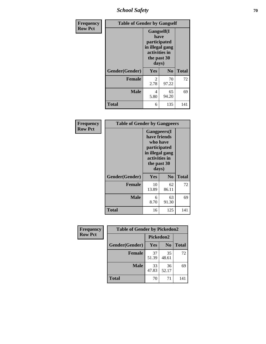*School Safety* **70**

| Frequency      | <b>Table of Gender by Gangself</b> |                                                                                                |                |              |
|----------------|------------------------------------|------------------------------------------------------------------------------------------------|----------------|--------------|
| <b>Row Pct</b> |                                    | Gangself(I<br>have<br>participated<br>in illegal gang<br>activities in<br>the past 30<br>days) |                |              |
|                | Gender(Gender)                     | Yes                                                                                            | N <sub>0</sub> | <b>Total</b> |
|                | <b>Female</b>                      | $\overline{c}$<br>2.78                                                                         | 70<br>97.22    | 72           |
|                | <b>Male</b>                        | 4<br>5.80                                                                                      | 65<br>94.20    | 69           |
|                | <b>Total</b>                       | 6                                                                                              | 135            | 141          |

| Frequency      | <b>Table of Gender by Gangpeers</b> |                                                                                                                             |                |              |
|----------------|-------------------------------------|-----------------------------------------------------------------------------------------------------------------------------|----------------|--------------|
| <b>Row Pct</b> |                                     | <b>Gangpeers</b> (I<br>have friends<br>who have<br>participated<br>in illegal gang<br>activities in<br>the past 30<br>days) |                |              |
|                | Gender(Gender)                      | Yes                                                                                                                         | N <sub>0</sub> | <b>Total</b> |
|                | <b>Female</b>                       | 10<br>13.89                                                                                                                 | 62<br>86.11    | 72           |
|                | <b>Male</b>                         | 6<br>8.70                                                                                                                   | 63<br>91.30    | 69           |
|                | <b>Total</b>                        | 16                                                                                                                          | 125            | 141          |

| Frequency      | <b>Table of Gender by Pickedon2</b> |             |                |              |
|----------------|-------------------------------------|-------------|----------------|--------------|
| <b>Row Pct</b> |                                     | Pickedon2   |                |              |
|                | Gender(Gender)                      | <b>Yes</b>  | N <sub>0</sub> | <b>Total</b> |
|                | Female                              | 37<br>51.39 | 35<br>48.61    | 72           |
|                | <b>Male</b>                         | 33<br>47.83 | 36<br>52.17    | 69           |
|                | <b>Total</b>                        | 70          | 71             | 141          |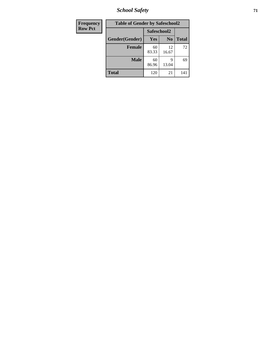*School Safety* **71**

| Frequency      | <b>Table of Gender by Safeschool2</b> |             |                |              |
|----------------|---------------------------------------|-------------|----------------|--------------|
| <b>Row Pct</b> | Safeschool2                           |             |                |              |
|                | Gender(Gender)                        | <b>Yes</b>  | N <sub>0</sub> | <b>Total</b> |
|                | <b>Female</b>                         | 60<br>83.33 | 12<br>16.67    | 72           |
|                | <b>Male</b>                           | 60<br>86.96 | q<br>13.04     | 69           |
|                | <b>Total</b>                          | 120         | 21             | 141          |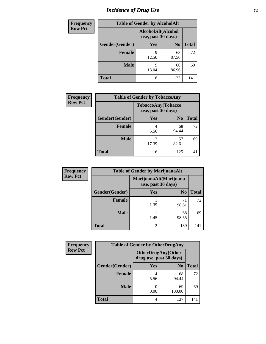# *Incidence of Drug Use 72*

| <b>Frequency</b> | <b>Table of Gender by AlcoholAlt</b> |            |                                          |              |  |
|------------------|--------------------------------------|------------|------------------------------------------|--------------|--|
| <b>Row Pct</b>   |                                      |            | AlcoholAlt(Alcohol<br>use, past 30 days) |              |  |
|                  | Gender(Gender)                       | <b>Yes</b> | N <sub>0</sub>                           | <b>Total</b> |  |
|                  | <b>Female</b>                        | q<br>12.50 | 63<br>87.50                              | 72           |  |
|                  | <b>Male</b>                          | Q<br>13.04 | 60<br>86.96                              | 69           |  |
|                  | <b>Total</b>                         | 18         | 123                                      | 141          |  |

| <b>Frequency</b> | <b>Table of Gender by TobaccoAny</b> |             |                                          |              |  |
|------------------|--------------------------------------|-------------|------------------------------------------|--------------|--|
| <b>Row Pct</b>   |                                      |             | TobaccoAny(Tobacco<br>use, past 30 days) |              |  |
|                  | Gender(Gender)                       | Yes         | N <sub>0</sub>                           | <b>Total</b> |  |
|                  | <b>Female</b>                        | 4<br>5.56   | 68<br>94.44                              | 72           |  |
|                  | <b>Male</b>                          | 12<br>17.39 | 57<br>82.61                              | 69           |  |
|                  | <b>Total</b>                         | 16          | 125                                      | 141          |  |

| <b>Frequency</b> | <b>Table of Gender by MarijuanaAlt</b> |                                              |                |              |
|------------------|----------------------------------------|----------------------------------------------|----------------|--------------|
| <b>Row Pct</b>   |                                        | MarijuanaAlt(Marijuana<br>use, past 30 days) |                |              |
|                  | Gender(Gender)                         | <b>Yes</b>                                   | N <sub>0</sub> | <b>Total</b> |
|                  | <b>Female</b>                          | 1.39                                         | 71<br>98.61    | 72           |
|                  | <b>Male</b>                            | 1.45                                         | 68<br>98.55    | 69           |
|                  | <b>Total</b>                           | 2                                            | 139            | 141          |

| <b>Frequency</b> | <b>Table of Gender by OtherDrugAny</b> |                                                      |                |              |
|------------------|----------------------------------------|------------------------------------------------------|----------------|--------------|
| <b>Row Pct</b>   |                                        | <b>OtherDrugAny(Other</b><br>drug use, past 30 days) |                |              |
|                  | Gender(Gender)                         | <b>Yes</b>                                           | N <sub>0</sub> | <b>Total</b> |
|                  | <b>Female</b>                          | 5.56                                                 | 68<br>94.44    | 72           |
|                  | <b>Male</b>                            | 0.00                                                 | 69<br>100.00   | 69           |
|                  | <b>Total</b>                           | 4                                                    | 137            | 141          |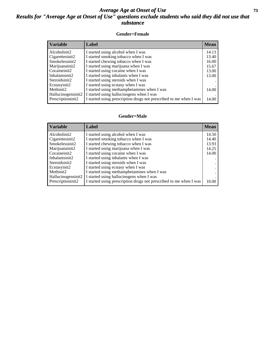## *Average Age at Onset of Use* **73** *Results for "Average Age at Onset of Use" questions exclude students who said they did not use that substance*

### **Gender=Female**

| <b>Variable</b>    | <b>Label</b>                                                       | <b>Mean</b> |
|--------------------|--------------------------------------------------------------------|-------------|
| Alcoholinit2       | I started using alcohol when I was                                 | 14.13       |
| Cigarettesinit2    | I started smoking tobacco when I was                               | 13.40       |
| Smokelessinit2     | I started chewing tobacco when I was                               | 16.00       |
| Marijuanainit2     | I started using marijuana when I was                               | 15.67       |
| Cocaineinit2       | I started using cocaine when I was                                 | 13.00       |
| Inhalantsinit2     | I started using inhalants when I was                               | 13.00       |
| Steroidsinit2      | I started using steroids when I was                                |             |
| Ecstasyinit2       | I started using ecstasy when I was                                 |             |
| Methinit2          | I started using methamphetamines when I was                        | 14.00       |
| Hallucinogensinit2 | I started using hallucinogens when I was                           |             |
| Prescription in t2 | I started using prescription drugs not prescribed to me when I was | 14.00       |

#### **Gender=Male**

| <b>Variable</b>                 | Label                                                              | <b>Mean</b> |
|---------------------------------|--------------------------------------------------------------------|-------------|
| Alcoholinit2                    | I started using alcohol when I was                                 | 14.50       |
| Cigarettesinit2                 | I started smoking tobacco when I was                               | 14.40       |
| Smokelessinit2                  | I started chewing tobacco when I was                               | 13.93       |
| Marijuanainit2                  | I started using marijuana when I was                               | 14.25       |
| Cocaineinit2                    | I started using cocaine when I was                                 | 14.00       |
| Inhalantsinit2                  | I started using inhalants when I was                               |             |
| Steroidsinit2                   | I started using steroids when I was                                |             |
| Ecstasyinit2                    | I started using ecstasy when I was                                 |             |
| Methinit2                       | I started using methamphetamines when I was                        |             |
| Hallucinogensinit2              | I started using hallucinogens when I was                           |             |
| Prescription in it <sub>2</sub> | I started using prescription drugs not prescribed to me when I was | 10.00       |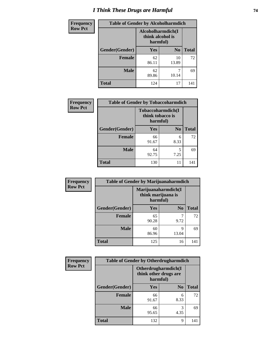# *I Think These Drugs are Harmful* **74**

| <b>Frequency</b> | <b>Table of Gender by Alcoholharmdich</b> |                                                   |                |              |
|------------------|-------------------------------------------|---------------------------------------------------|----------------|--------------|
| <b>Row Pct</b>   |                                           | Alcoholharmdich(I<br>think alcohol is<br>harmful) |                |              |
|                  | Gender(Gender)                            | <b>Yes</b>                                        | N <sub>0</sub> | <b>Total</b> |
|                  | <b>Female</b>                             | 62<br>86.11                                       | 10<br>13.89    | 72           |
|                  | <b>Male</b>                               | 62<br>89.86                                       | 10.14          | 69           |
|                  | <b>Total</b>                              | 124                                               | 17             | 141          |

| Frequency      | <b>Table of Gender by Tobaccoharmdich</b> |                  |                               |              |
|----------------|-------------------------------------------|------------------|-------------------------------|--------------|
| <b>Row Pct</b> |                                           | think tobacco is | Tobaccoharmdich(I<br>harmful) |              |
|                | Gender(Gender)                            | <b>Yes</b>       | N <sub>0</sub>                | <b>Total</b> |
|                | <b>Female</b>                             | 66<br>91.67      | 6<br>8.33                     | 72           |
|                | <b>Male</b>                               | 64<br>92.75      | 5<br>7.25                     | 69           |
|                | <b>Total</b>                              | 130              | 11                            | 141          |

| Frequency      | <b>Table of Gender by Marijuanaharmdich</b> |                                |                     |              |
|----------------|---------------------------------------------|--------------------------------|---------------------|--------------|
| <b>Row Pct</b> |                                             | think marijuana is<br>harmful) | Marijuanaharmdich(I |              |
|                | Gender(Gender)                              | <b>Yes</b>                     | N <sub>0</sub>      | <b>Total</b> |
|                | <b>Female</b>                               | 65<br>90.28                    | 9.72                | 72           |
|                | <b>Male</b>                                 | 60<br>86.96                    | Q<br>13.04          | 69           |
|                | <b>Total</b>                                | 125                            | 16                  | 141          |

| Frequency      | <b>Table of Gender by Otherdrugharmdich</b> |                                   |                     |              |
|----------------|---------------------------------------------|-----------------------------------|---------------------|--------------|
| <b>Row Pct</b> |                                             | think other drugs are<br>harmful) | Otherdrugharmdich(I |              |
|                | Gender(Gender)                              | <b>Yes</b>                        | N <sub>0</sub>      | <b>Total</b> |
|                | <b>Female</b>                               | 66<br>91.67                       | 6<br>8.33           | 72           |
|                | <b>Male</b>                                 | 66<br>95.65                       | 3<br>4.35           | 69           |
|                | <b>Total</b>                                | 132                               | 9                   | 141          |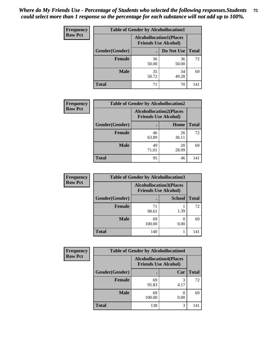| <b>Frequency</b> | <b>Table of Gender by Alcohollocation1</b>                    |             |             |              |
|------------------|---------------------------------------------------------------|-------------|-------------|--------------|
| <b>Row Pct</b>   | <b>Alcohollocation1(Places</b><br><b>Friends Use Alcohol)</b> |             |             |              |
|                  | Gender(Gender)                                                |             | Do Not Use  | <b>Total</b> |
|                  | <b>Female</b>                                                 | 36<br>50.00 | 36<br>50.00 | 72           |
|                  | <b>Male</b>                                                   | 35<br>50.72 | 34<br>49.28 | 69           |
|                  | <b>Total</b>                                                  | 71          | 70          | 141          |

| <b>Frequency</b> | <b>Table of Gender by Alcohollocation2</b> |                                                               |             |              |
|------------------|--------------------------------------------|---------------------------------------------------------------|-------------|--------------|
| <b>Row Pct</b>   |                                            | <b>Alcohollocation2(Places</b><br><b>Friends Use Alcohol)</b> |             |              |
|                  | Gender(Gender)                             |                                                               | Home        | <b>Total</b> |
|                  | <b>Female</b>                              | 46<br>63.89                                                   | 26<br>36.11 | 72           |
|                  | <b>Male</b>                                | 49<br>71.01                                                   | 20<br>28.99 | 69           |
|                  | <b>Total</b>                               | 95                                                            | 46          | 141          |

| Frequency      | <b>Table of Gender by Alcohollocation3</b> |                                                               |               |              |
|----------------|--------------------------------------------|---------------------------------------------------------------|---------------|--------------|
| <b>Row Pct</b> |                                            | <b>Alcohollocation3(Places</b><br><b>Friends Use Alcohol)</b> |               |              |
|                | Gender(Gender)                             |                                                               | <b>School</b> | <b>Total</b> |
|                | <b>Female</b>                              | 71<br>98.61                                                   | 1.39          | 72           |
|                | <b>Male</b>                                | 69<br>100.00                                                  | 0.00          | 69           |
|                | <b>Total</b>                               | 140                                                           |               | 141          |

| <b>Frequency</b> | <b>Table of Gender by Alcohollocation4</b> |                                                               |      |              |
|------------------|--------------------------------------------|---------------------------------------------------------------|------|--------------|
| <b>Row Pct</b>   |                                            | <b>Alcohollocation4(Places</b><br><b>Friends Use Alcohol)</b> |      |              |
|                  | Gender(Gender)                             |                                                               | Car  | <b>Total</b> |
|                  | <b>Female</b>                              | 69<br>95.83                                                   | 4.17 | 72           |
|                  | <b>Male</b>                                | 69<br>100.00                                                  | 0.00 | 69           |
|                  | <b>Total</b>                               | 138                                                           |      | 141          |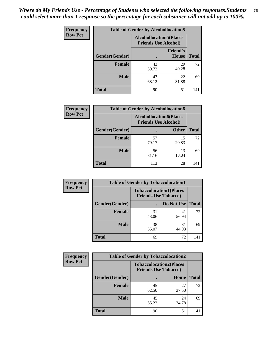| <b>Frequency</b> | <b>Table of Gender by Alcohollocation5</b> |                                                                |                                 |              |
|------------------|--------------------------------------------|----------------------------------------------------------------|---------------------------------|--------------|
| <b>Row Pct</b>   |                                            | <b>Alcohollocation5</b> (Places<br><b>Friends Use Alcohol)</b> |                                 |              |
|                  | Gender(Gender)                             |                                                                | <b>Friend's</b><br><b>House</b> | <b>Total</b> |
|                  | <b>Female</b>                              | 43<br>59.72                                                    | 29<br>40.28                     | 72           |
|                  | <b>Male</b>                                | 47<br>68.12                                                    | 22<br>31.88                     | 69           |
|                  | <b>Total</b>                               | 90                                                             | 51                              | 141          |

| <b>Frequency</b> | <b>Table of Gender by Alcohollocation6</b> |                                                               |              |              |
|------------------|--------------------------------------------|---------------------------------------------------------------|--------------|--------------|
| <b>Row Pct</b>   |                                            | <b>Alcohollocation6(Places</b><br><b>Friends Use Alcohol)</b> |              |              |
|                  | Gender(Gender)                             |                                                               | <b>Other</b> | <b>Total</b> |
|                  | <b>Female</b>                              | 57<br>79.17                                                   | 15<br>20.83  | 72           |
|                  | <b>Male</b>                                | 56<br>81.16                                                   | 13<br>18.84  | 69           |
|                  | <b>Total</b>                               | 113                                                           | 28           | 141          |

| Frequency      | <b>Table of Gender by Tobaccolocation1</b> |                                                               |             |              |
|----------------|--------------------------------------------|---------------------------------------------------------------|-------------|--------------|
| <b>Row Pct</b> |                                            | <b>Tobaccolocation1(Places</b><br><b>Friends Use Tobacco)</b> |             |              |
|                | Gender(Gender)                             |                                                               | Do Not Use  | <b>Total</b> |
|                | Female                                     | 31<br>43.06                                                   | 41<br>56.94 | 72           |
|                | <b>Male</b>                                | 38<br>55.07                                                   | 31<br>44.93 | 69           |
|                | <b>Total</b>                               | 69                                                            | 72          | 141          |

| <b>Frequency</b> | <b>Table of Gender by Tobaccolocation2</b> |                                                               |             |              |
|------------------|--------------------------------------------|---------------------------------------------------------------|-------------|--------------|
| <b>Row Pct</b>   |                                            | <b>Tobaccolocation2(Places</b><br><b>Friends Use Tobacco)</b> |             |              |
|                  | Gender(Gender)                             |                                                               | Home        | <b>Total</b> |
|                  | Female                                     | 45<br>62.50                                                   | 27<br>37.50 | 72           |
|                  | <b>Male</b>                                | 45<br>65.22                                                   | 24<br>34.78 | 69           |
|                  | <b>Total</b>                               | 90                                                            | 51          | 141          |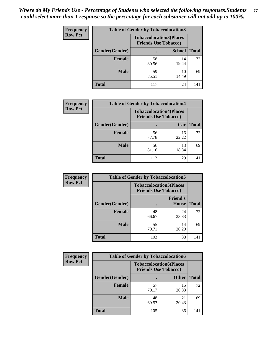| <b>Frequency</b> | <b>Table of Gender by Tobaccolocation3</b> |                                                               |               |              |
|------------------|--------------------------------------------|---------------------------------------------------------------|---------------|--------------|
| <b>Row Pct</b>   |                                            | <b>Tobaccolocation3(Places</b><br><b>Friends Use Tobacco)</b> |               |              |
|                  | Gender(Gender)                             |                                                               | <b>School</b> | <b>Total</b> |
|                  | <b>Female</b>                              | 58<br>80.56                                                   | 14<br>19.44   | 72           |
|                  | <b>Male</b>                                | 59<br>85.51                                                   | 10<br>14.49   | 69           |
|                  | Total                                      | 117                                                           | 24            | 141          |

| <b>Frequency</b> | <b>Table of Gender by Tobaccolocation4</b> |                             |                                |              |
|------------------|--------------------------------------------|-----------------------------|--------------------------------|--------------|
| <b>Row Pct</b>   |                                            | <b>Friends Use Tobacco)</b> | <b>Tobaccolocation4(Places</b> |              |
|                  | Gender(Gender)                             |                             | Car                            | <b>Total</b> |
|                  | Female                                     | 56<br>77.78                 | 16<br>22.22                    | 72           |
|                  | <b>Male</b>                                | 56<br>81.16                 | 13<br>18.84                    | 69           |
|                  | <b>Total</b>                               | 112                         | 29                             | 141          |

| <b>Frequency</b> | <b>Table of Gender by Tobaccolocation5</b> |                                                               |                                 |              |
|------------------|--------------------------------------------|---------------------------------------------------------------|---------------------------------|--------------|
| <b>Row Pct</b>   |                                            | <b>Tobaccolocation5(Places</b><br><b>Friends Use Tobacco)</b> |                                 |              |
|                  | Gender(Gender)                             |                                                               | <b>Friend's</b><br><b>House</b> | <b>Total</b> |
|                  | <b>Female</b>                              | 48<br>66.67                                                   | 24<br>33.33                     | 72           |
|                  | <b>Male</b>                                | 55<br>79.71                                                   | 14<br>20.29                     | 69           |
|                  | <b>Total</b>                               | 103                                                           | 38                              | 141          |

| <b>Frequency</b> | <b>Table of Gender by Tobaccolocation6</b> |                                                               |              |              |
|------------------|--------------------------------------------|---------------------------------------------------------------|--------------|--------------|
| <b>Row Pct</b>   |                                            | <b>Tobaccolocation6(Places</b><br><b>Friends Use Tobacco)</b> |              |              |
|                  | Gender(Gender)                             |                                                               | <b>Other</b> | <b>Total</b> |
|                  | <b>Female</b>                              | 57<br>79.17                                                   | 15<br>20.83  | 72           |
|                  | <b>Male</b>                                | 48<br>69.57                                                   | 21<br>30.43  | 69           |
|                  | <b>Total</b>                               | 105                                                           | 36           | 141          |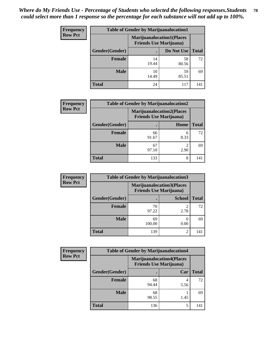| <b>Frequency</b> | <b>Table of Gender by Marijuanalocation1</b> |                                                                    |             |              |
|------------------|----------------------------------------------|--------------------------------------------------------------------|-------------|--------------|
| <b>Row Pct</b>   |                                              | <b>Marijuanalocation1(Places</b><br><b>Friends Use Marijuana</b> ) |             |              |
|                  | Gender(Gender)                               |                                                                    | Do Not Use  | <b>Total</b> |
|                  | <b>Female</b>                                | 14<br>19.44                                                        | 58<br>80.56 | 72           |
|                  | <b>Male</b>                                  | 10<br>14.49                                                        | 59<br>85.51 | 69           |
|                  | <b>Total</b>                                 | 24                                                                 | 117         | 141          |

| <b>Frequency</b> | <b>Table of Gender by Marijuanalocation2</b> |                                                                    |           |              |
|------------------|----------------------------------------------|--------------------------------------------------------------------|-----------|--------------|
| <b>Row Pct</b>   |                                              | <b>Marijuanalocation2(Places</b><br><b>Friends Use Marijuana</b> ) |           |              |
|                  | Gender(Gender)                               |                                                                    | Home      | <b>Total</b> |
|                  | <b>Female</b>                                | 66<br>91.67                                                        | 6<br>8.33 | 72           |
|                  | <b>Male</b>                                  | 67<br>97.10                                                        | 2.90      | 69           |
|                  | <b>Total</b>                                 | 133                                                                | 8         | 141          |

| Frequency      | <b>Table of Gender by Marijuanalocation3</b> |                                                                    |                        |              |
|----------------|----------------------------------------------|--------------------------------------------------------------------|------------------------|--------------|
| <b>Row Pct</b> |                                              | <b>Marijuanalocation3(Places</b><br><b>Friends Use Marijuana</b> ) |                        |              |
|                | Gender(Gender)                               |                                                                    | <b>School</b>          | <b>Total</b> |
|                | Female                                       | 70<br>97.22                                                        | $\mathfrak{D}$<br>2.78 | 72           |
|                | <b>Male</b>                                  | 69<br>100.00                                                       | 0.00                   | 69           |
|                | <b>Total</b>                                 | 139                                                                | 2                      | 141          |

| <b>Frequency</b> | <b>Table of Gender by Marijuanalocation4</b> |                                                                     |      |              |
|------------------|----------------------------------------------|---------------------------------------------------------------------|------|--------------|
| <b>Row Pct</b>   |                                              | <b>Marijuanalocation4(Places)</b><br><b>Friends Use Marijuana</b> ) |      |              |
|                  | Gender(Gender)                               |                                                                     | Car  | <b>Total</b> |
|                  | Female                                       | 68<br>94.44                                                         | 5.56 | 72           |
|                  | <b>Male</b>                                  | 68<br>98.55                                                         | 1.45 | 69           |
|                  | <b>Total</b>                                 | 136                                                                 | 5    | 141          |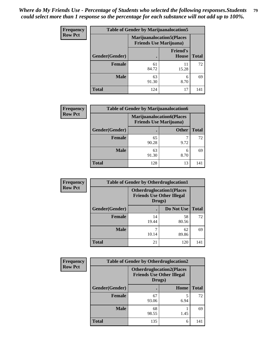| <b>Frequency</b> | <b>Table of Gender by Marijuanalocation5</b> |                                |                                   |              |
|------------------|----------------------------------------------|--------------------------------|-----------------------------------|--------------|
| <b>Row Pct</b>   |                                              | <b>Friends Use Marijuana</b> ) | <b>Marijuanalocation5</b> (Places |              |
|                  | Gender(Gender)                               |                                | <b>Friend's</b><br>House          | <b>Total</b> |
|                  | <b>Female</b>                                | 61<br>84.72                    | 11<br>15.28                       | 72           |
|                  | <b>Male</b>                                  | 63<br>91.30                    | 6<br>8.70                         | 69           |
|                  | <b>Total</b>                                 | 124                            | 17                                | 141          |

| <b>Frequency</b> |                | <b>Table of Gender by Marijuanalocation6</b>                        |              |              |
|------------------|----------------|---------------------------------------------------------------------|--------------|--------------|
| <b>Row Pct</b>   |                | <b>Marijuanalocation6(Places)</b><br><b>Friends Use Marijuana</b> ) |              |              |
|                  | Gender(Gender) |                                                                     | <b>Other</b> | <b>Total</b> |
|                  | <b>Female</b>  | 65<br>90.28                                                         | 9.72         | 72           |
|                  | <b>Male</b>    | 63<br>91.30                                                         | 6<br>8.70    | 69           |
|                  | <b>Total</b>   | 128                                                                 | 13           | 141          |

| <b>Frequency</b> | <b>Table of Gender by Otherdruglocation1</b> |             |                                                                      |              |
|------------------|----------------------------------------------|-------------|----------------------------------------------------------------------|--------------|
| <b>Row Pct</b>   |                                              | Drugs)      | <b>Otherdruglocation1(Places</b><br><b>Friends Use Other Illegal</b> |              |
|                  | Gender(Gender)                               |             | Do Not Use                                                           | <b>Total</b> |
|                  | <b>Female</b>                                | 14<br>19.44 | 58<br>80.56                                                          | 72           |
|                  | <b>Male</b>                                  | 10.14       | 62<br>89.86                                                          | 69           |
|                  | <b>Total</b>                                 | 21          | 120                                                                  | 141          |

| Frequency      | <b>Table of Gender by Otherdruglocation2</b> |                                                                                |      |              |
|----------------|----------------------------------------------|--------------------------------------------------------------------------------|------|--------------|
| <b>Row Pct</b> |                                              | <b>Otherdruglocation2(Places</b><br><b>Friends Use Other Illegal</b><br>Drugs) |      |              |
|                | Gender(Gender)                               |                                                                                | Home | <b>Total</b> |
|                | <b>Female</b>                                | 67<br>93.06                                                                    | 6.94 | 72           |
|                | <b>Male</b>                                  | 68<br>98.55                                                                    | 1.45 | 69           |
|                | <b>Total</b>                                 | 135                                                                            | 6    | 141          |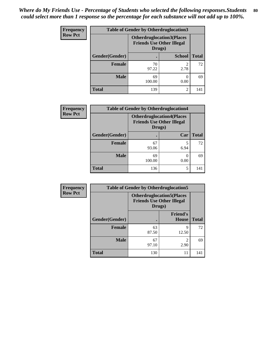| <b>Frequency</b> | <b>Table of Gender by Otherdruglocation3</b> |                                            |                                  |              |
|------------------|----------------------------------------------|--------------------------------------------|----------------------------------|--------------|
| <b>Row Pct</b>   |                                              | <b>Friends Use Other Illegal</b><br>Drugs) | <b>Otherdruglocation3(Places</b> |              |
|                  | Gender(Gender)                               |                                            | <b>School</b>                    | <b>Total</b> |
|                  | <b>Female</b>                                | 70<br>97.22                                | 2.78                             | 72           |
|                  | <b>Male</b>                                  | 69<br>100.00                               | 0.00                             | 69           |
|                  | <b>Total</b>                                 | 139                                        | $\mathfrak{D}$                   | 141          |

| Frequency      | <b>Table of Gender by Otherdruglocation4</b> |                                                                                 |           |              |  |
|----------------|----------------------------------------------|---------------------------------------------------------------------------------|-----------|--------------|--|
| <b>Row Pct</b> |                                              | <b>Otherdruglocation4(Places)</b><br><b>Friends Use Other Illegal</b><br>Drugs) |           |              |  |
|                | Gender(Gender)                               |                                                                                 | Car       | <b>Total</b> |  |
|                | <b>Female</b>                                | 67<br>93.06                                                                     | 5<br>6.94 | 72           |  |
|                | <b>Male</b>                                  | 69<br>100.00                                                                    | 0.00      | 69           |  |
|                | <b>Total</b>                                 | 136                                                                             | 5         | 141          |  |

| Frequency      | <b>Table of Gender by Otherdruglocation5</b> |                                                                                |                                 |              |
|----------------|----------------------------------------------|--------------------------------------------------------------------------------|---------------------------------|--------------|
| <b>Row Pct</b> |                                              | <b>Otherdruglocation5(Places</b><br><b>Friends Use Other Illegal</b><br>Drugs) |                                 |              |
|                | Gender(Gender)                               |                                                                                | <b>Friend's</b><br><b>House</b> | <b>Total</b> |
|                | <b>Female</b>                                | 63<br>87.50                                                                    | q<br>12.50                      | 72           |
|                | <b>Male</b>                                  | 67<br>97.10                                                                    | 2<br>2.90                       | 69           |
|                | <b>Total</b>                                 | 130                                                                            | 11                              | 141          |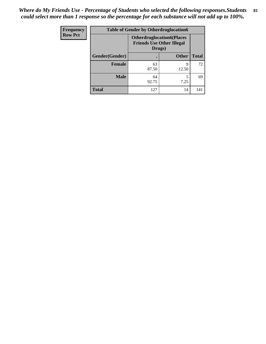| <b>Frequency</b> | <b>Table of Gender by Otherdruglocation6</b> |                                                                                |              |              |
|------------------|----------------------------------------------|--------------------------------------------------------------------------------|--------------|--------------|
| <b>Row Pct</b>   |                                              | <b>Otherdruglocation6(Places</b><br><b>Friends Use Other Illegal</b><br>Drugs) |              |              |
|                  | Gender(Gender)                               |                                                                                | <b>Other</b> | <b>Total</b> |
|                  | Female                                       | 63<br>87.50                                                                    | q<br>12.50   | 72           |
|                  | <b>Male</b>                                  | 64<br>92.75                                                                    | 7.25         | 69           |
|                  | <b>Total</b>                                 | 127                                                                            | 14           | 141          |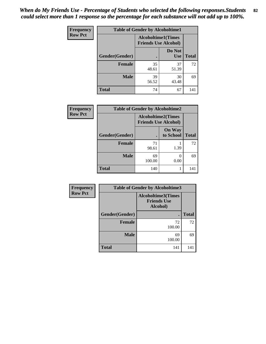| <b>Frequency</b> | <b>Table of Gender by Alcoholtime1</b> |                                                          |                      |              |
|------------------|----------------------------------------|----------------------------------------------------------|----------------------|--------------|
| <b>Row Pct</b>   |                                        | <b>Alcoholtime1(Times</b><br><b>Friends Use Alcohol)</b> |                      |              |
|                  | Gender(Gender)                         | $\bullet$                                                | Do Not<br><b>Use</b> | <b>Total</b> |
|                  | <b>Female</b>                          | 35<br>48.61                                              | 37<br>51.39          | 72           |
|                  | <b>Male</b>                            | 39<br>56.52                                              | 30<br>43.48          | 69           |
|                  | <b>Total</b>                           | 74                                                       | 67                   | 141          |

| <b>Frequency</b> | <b>Table of Gender by Alcoholtime2</b> |                                                          |                            |              |
|------------------|----------------------------------------|----------------------------------------------------------|----------------------------|--------------|
| <b>Row Pct</b>   |                                        | <b>Alcoholtime2(Times</b><br><b>Friends Use Alcohol)</b> |                            |              |
|                  | Gender(Gender)                         |                                                          | <b>On Way</b><br>to School | <b>Total</b> |
|                  | <b>Female</b>                          | 71<br>98.61                                              | 1.39                       | 72           |
|                  | <b>Male</b>                            | 69<br>100.00                                             | 0.00                       | 69           |
|                  | <b>Total</b>                           | 140                                                      |                            | 141          |

| <b>Frequency</b> | <b>Table of Gender by Alcoholtime3</b> |                                                             |              |  |
|------------------|----------------------------------------|-------------------------------------------------------------|--------------|--|
| <b>Row Pct</b>   |                                        | <b>Alcoholtime3(Times</b><br><b>Friends Use</b><br>Alcohol) |              |  |
|                  | Gender(Gender)                         |                                                             | <b>Total</b> |  |
|                  | <b>Female</b>                          | 72<br>100.00                                                | 72           |  |
|                  | <b>Male</b>                            | 69<br>100.00                                                | 69           |  |
|                  | <b>Total</b>                           | 141                                                         | 141          |  |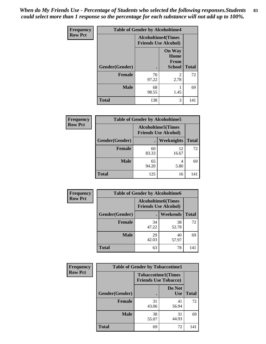*When do My Friends Use - Percentage of Students who selected the following responses.Students could select more than 1 response so the percentage for each substance will not add up to 100%.* **83**

| <b>Frequency</b> | <b>Table of Gender by Alcoholtime4</b> |                                                          |                                                |              |
|------------------|----------------------------------------|----------------------------------------------------------|------------------------------------------------|--------------|
| <b>Row Pct</b>   |                                        | <b>Alcoholtime4(Times</b><br><b>Friends Use Alcohol)</b> |                                                |              |
|                  | Gender(Gender)                         |                                                          | <b>On Way</b><br>Home<br>From<br><b>School</b> | <b>Total</b> |
|                  | <b>Female</b>                          | 70<br>97.22                                              | 2<br>2.78                                      | 72           |
|                  | <b>Male</b>                            | 68<br>98.55                                              | 1.45                                           | 69           |
|                  | <b>Total</b>                           | 138                                                      | 3                                              | 141          |

| <b>Frequency</b> | <b>Table of Gender by Alcoholtime5</b> |             |                                                           |              |
|------------------|----------------------------------------|-------------|-----------------------------------------------------------|--------------|
| <b>Row Pct</b>   |                                        |             | <b>Alcoholtime5</b> (Times<br><b>Friends Use Alcohol)</b> |              |
|                  | Gender(Gender)                         |             | <b>Weeknights</b>                                         | <b>Total</b> |
|                  | <b>Female</b>                          | 60<br>83.33 | 12<br>16.67                                               | 72           |
|                  | <b>Male</b>                            | 65<br>94.20 | 4<br>5.80                                                 | 69           |
|                  | <b>Total</b>                           | 125         | 16                                                        | 141          |

| <b>Frequency</b> | <b>Table of Gender by Alcoholtime6</b> |             |                                                          |              |
|------------------|----------------------------------------|-------------|----------------------------------------------------------|--------------|
| <b>Row Pct</b>   |                                        |             | <b>Alcoholtime6(Times</b><br><b>Friends Use Alcohol)</b> |              |
|                  | Gender(Gender)                         |             | <b>Weekends</b>                                          | <b>Total</b> |
|                  | Female                                 | 34<br>47.22 | 38<br>52.78                                              | 72           |
|                  | <b>Male</b>                            | 29<br>42.03 | 40<br>57.97                                              | 69           |
|                  | <b>Total</b>                           | 63          | 78                                                       | 141          |

| <b>Frequency</b> | <b>Table of Gender by Tobaccotime1</b> |                                                          |                      |              |
|------------------|----------------------------------------|----------------------------------------------------------|----------------------|--------------|
| <b>Row Pct</b>   |                                        | <b>Tobaccotime1(Times</b><br><b>Friends Use Tobacco)</b> |                      |              |
|                  | Gender(Gender)                         |                                                          | Do Not<br><b>Use</b> | <b>Total</b> |
|                  | Female                                 | 31<br>43.06                                              | 41<br>56.94          | 72           |
|                  | <b>Male</b>                            | 38<br>55.07                                              | 31<br>44.93          | 69           |
|                  | <b>Total</b>                           | 69                                                       | 72                   | 141          |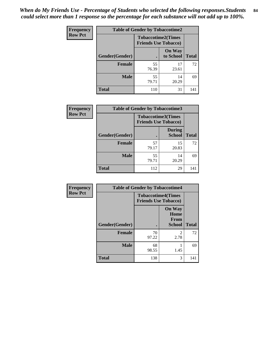*When do My Friends Use - Percentage of Students who selected the following responses.Students could select more than 1 response so the percentage for each substance will not add up to 100%.* **84**

| Frequency      | <b>Table of Gender by Tobaccotime2</b> |                                                          |                            |              |
|----------------|----------------------------------------|----------------------------------------------------------|----------------------------|--------------|
| <b>Row Pct</b> |                                        | <b>Tobaccotime2(Times</b><br><b>Friends Use Tobacco)</b> |                            |              |
|                | Gender(Gender)                         | $\bullet$                                                | <b>On Way</b><br>to School | <b>Total</b> |
|                | <b>Female</b>                          | 55<br>76.39                                              | 17<br>23.61                | 72           |
|                | <b>Male</b>                            | 55<br>79.71                                              | 14<br>20.29                | 69           |
|                | <b>Total</b>                           | 110                                                      | 31                         | 141          |

| Frequency      | <b>Table of Gender by Tobaccotime3</b> |                             |                                |              |
|----------------|----------------------------------------|-----------------------------|--------------------------------|--------------|
| <b>Row Pct</b> |                                        | <b>Friends Use Tobacco)</b> | <b>Tobaccotime3(Times</b>      |              |
|                | Gender(Gender)                         |                             | <b>During</b><br><b>School</b> | <b>Total</b> |
|                | <b>Female</b>                          | 57<br>79.17                 | 15<br>20.83                    | 72           |
|                | <b>Male</b>                            | 55<br>79.71                 | 14<br>20.29                    | 69           |
|                | <b>Total</b>                           | 112                         | 29                             | 141          |

| Frequency      | <b>Table of Gender by Tobaccotime4</b> |                                                          |                                                |              |
|----------------|----------------------------------------|----------------------------------------------------------|------------------------------------------------|--------------|
| <b>Row Pct</b> |                                        | <b>Tobaccotime4(Times</b><br><b>Friends Use Tobacco)</b> |                                                |              |
|                | Gender(Gender)                         |                                                          | <b>On Way</b><br>Home<br>From<br><b>School</b> | <b>Total</b> |
|                | Female                                 | 70<br>97.22                                              | $\mathfrak{D}$<br>2.78                         | 72           |
|                | <b>Male</b>                            | 68<br>98.55                                              | 1.45                                           | 69           |
|                | <b>Total</b>                           | 138                                                      | 3                                              | 141          |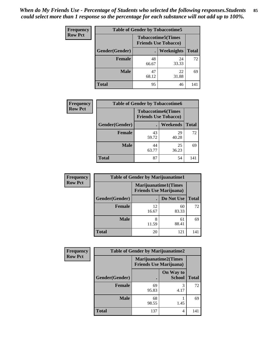| <b>Frequency</b> | <b>Table of Gender by Tobaccotime5</b> |             |                                                          |              |  |
|------------------|----------------------------------------|-------------|----------------------------------------------------------|--------------|--|
| <b>Row Pct</b>   |                                        |             | <b>Tobaccotime5(Times</b><br><b>Friends Use Tobacco)</b> |              |  |
|                  | Gender(Gender)                         |             | <b>Weeknights</b>                                        | <b>Total</b> |  |
|                  | <b>Female</b>                          | 48<br>66.67 | 24<br>33.33                                              | 72           |  |
|                  | <b>Male</b>                            | 47<br>68.12 | 22<br>31.88                                              | 69           |  |
|                  | Total                                  | 95          | 46                                                       | 141          |  |

| <b>Frequency</b> |                | <b>Table of Gender by Tobaccotime6</b> |                           |              |
|------------------|----------------|----------------------------------------|---------------------------|--------------|
| <b>Row Pct</b>   |                | <b>Friends Use Tobacco)</b>            | <b>Tobaccotime6(Times</b> |              |
|                  | Gender(Gender) |                                        | <b>Weekends</b>           | <b>Total</b> |
|                  | Female         | 43<br>59.72                            | 29<br>40.28               | 72           |
|                  | <b>Male</b>    | 44<br>63.77                            | 25<br>36.23               | 69           |
|                  | <b>Total</b>   | 87                                     | 54                        | 141          |

| <b>Frequency</b> | <b>Table of Gender by Marijuanatime1</b> |                                |                             |              |
|------------------|------------------------------------------|--------------------------------|-----------------------------|--------------|
| <b>Row Pct</b>   |                                          | <b>Friends Use Marijuana</b> ) | <b>Marijuanatime1(Times</b> |              |
|                  | Gender(Gender)                           |                                | Do Not Use                  | <b>Total</b> |
|                  | <b>Female</b>                            | 12<br>16.67                    | 60<br>83.33                 | 72           |
|                  | <b>Male</b>                              | 8<br>11.59                     | 61<br>88.41                 | 69           |
|                  | <b>Total</b>                             | 20                             | 121                         | 141          |

| <b>Frequency</b> | <b>Table of Gender by Marijuanatime2</b> |                                                               |                            |              |
|------------------|------------------------------------------|---------------------------------------------------------------|----------------------------|--------------|
| <b>Row Pct</b>   |                                          | <b>Marijuanatime2(Times</b><br><b>Friends Use Marijuana</b> ) |                            |              |
|                  | Gender(Gender)                           |                                                               | On Way to<br><b>School</b> | <b>Total</b> |
|                  | <b>Female</b>                            | 69<br>95.83                                                   | 3<br>4.17                  | 72           |
|                  | <b>Male</b>                              | 68<br>98.55                                                   | 1.45                       | 69           |
|                  | <b>Total</b>                             | 137                                                           | 4                          | 141          |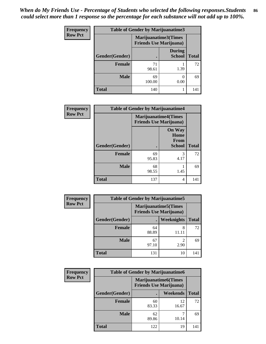| Frequency      | <b>Table of Gender by Marijuanatime3</b> |                                                        |                                |              |
|----------------|------------------------------------------|--------------------------------------------------------|--------------------------------|--------------|
| <b>Row Pct</b> |                                          | Marijuanatime3(Times<br><b>Friends Use Marijuana</b> ) |                                |              |
|                | Gender(Gender)                           |                                                        | <b>During</b><br><b>School</b> | <b>Total</b> |
|                | <b>Female</b>                            | 71<br>98.61                                            | 1.39                           | 72           |
|                | <b>Male</b>                              | 69<br>100.00                                           | 0<br>0.00                      | 69           |
|                | <b>Total</b>                             | 140                                                    |                                | 141          |

| <b>Frequency</b> |                | <b>Table of Gender by Marijuanatime4</b> |                                                               |              |  |
|------------------|----------------|------------------------------------------|---------------------------------------------------------------|--------------|--|
| <b>Row Pct</b>   |                |                                          | <b>Marijuanatime4(Times</b><br><b>Friends Use Marijuana</b> ) |              |  |
|                  | Gender(Gender) |                                          | <b>On Way</b><br>Home<br>From<br><b>School</b>                | <b>Total</b> |  |
|                  | <b>Female</b>  | 69<br>95.83                              | 3<br>4.17                                                     | 72           |  |
|                  | <b>Male</b>    | 68<br>98.55                              | 1.45                                                          | 69           |  |
|                  | <b>Total</b>   | 137                                      | 4                                                             | 141          |  |

| Frequency      | <b>Table of Gender by Marijuanatime5</b> |                                                                |                        |              |  |
|----------------|------------------------------------------|----------------------------------------------------------------|------------------------|--------------|--|
| <b>Row Pct</b> |                                          | <b>Marijuanatime5</b> (Times<br><b>Friends Use Marijuana</b> ) |                        |              |  |
|                | Gender(Gender)                           |                                                                | Weeknights             | <b>Total</b> |  |
|                | Female                                   | 64<br>88.89                                                    | 8<br>11.11             | 72           |  |
|                | <b>Male</b>                              | 67<br>97.10                                                    | $\mathfrak{D}$<br>2.90 | 69           |  |
|                | <b>Total</b>                             | 131                                                            | 10                     | 141          |  |

| <b>Frequency</b> | <b>Table of Gender by Marijuanatime6</b> |                                                               |             |              |
|------------------|------------------------------------------|---------------------------------------------------------------|-------------|--------------|
| <b>Row Pct</b>   |                                          | <b>Marijuanatime6(Times</b><br><b>Friends Use Marijuana</b> ) |             |              |
|                  | Gender(Gender)                           |                                                               | Weekends    | <b>Total</b> |
|                  | Female                                   | 60<br>83.33                                                   | 12<br>16.67 | 72           |
|                  | <b>Male</b>                              | 62<br>89.86                                                   | 10.14       | 69           |
|                  | <b>Total</b>                             | 122                                                           | 19          | 141          |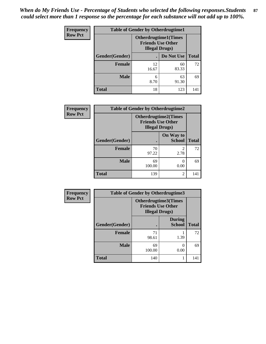| <b>Frequency</b> | <b>Table of Gender by Otherdrugtime1</b> |                                                                                    |             |              |  |  |
|------------------|------------------------------------------|------------------------------------------------------------------------------------|-------------|--------------|--|--|
| <b>Row Pct</b>   |                                          | <b>Otherdrugtime1</b> (Times<br><b>Friends Use Other</b><br><b>Illegal Drugs</b> ) |             |              |  |  |
|                  | Gender(Gender)                           |                                                                                    | Do Not Use  | <b>Total</b> |  |  |
|                  | <b>Female</b>                            | 12<br>16.67                                                                        | 60<br>83.33 | 72           |  |  |
|                  | <b>Male</b>                              | 6<br>8.70                                                                          | 63<br>91.30 | 69           |  |  |
|                  | <b>Total</b>                             | 18                                                                                 | 123         | 141          |  |  |

| Frequency      | <b>Table of Gender by Otherdrugtime2</b> |                                                                                   |                            |              |  |
|----------------|------------------------------------------|-----------------------------------------------------------------------------------|----------------------------|--------------|--|
| <b>Row Pct</b> |                                          | <b>Otherdrugtime2(Times</b><br><b>Friends Use Other</b><br><b>Illegal Drugs</b> ) |                            |              |  |
|                | Gender(Gender)                           |                                                                                   | On Way to<br><b>School</b> | <b>Total</b> |  |
|                | <b>Female</b>                            | 70<br>97.22                                                                       | $\mathfrak{D}$<br>2.78     | 72           |  |
|                | <b>Male</b>                              | 69<br>100.00                                                                      | 0.00                       | 69           |  |
|                | <b>Total</b>                             | 139                                                                               | $\overline{2}$             | 141          |  |

| Frequency      | <b>Table of Gender by Otherdrugtime3</b> |                                                                            |                                |              |  |
|----------------|------------------------------------------|----------------------------------------------------------------------------|--------------------------------|--------------|--|
| <b>Row Pct</b> |                                          | Otherdrugtime3(Times<br><b>Friends Use Other</b><br><b>Illegal Drugs</b> ) |                                |              |  |
|                | Gender(Gender)                           |                                                                            | <b>During</b><br><b>School</b> | <b>Total</b> |  |
|                | <b>Female</b>                            | 71<br>98.61                                                                | 1.39                           | 72           |  |
|                | <b>Male</b>                              | 69<br>100.00                                                               | 0<br>0.00                      | 69           |  |
|                | <b>Total</b>                             | 140                                                                        |                                | 141          |  |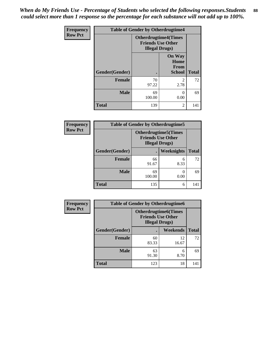*When do My Friends Use - Percentage of Students who selected the following responses.Students could select more than 1 response so the percentage for each substance will not add up to 100%.* **88**

| <b>Frequency</b> | <b>Table of Gender by Otherdrugtime4</b> |                                                                                   |                                                       |              |  |
|------------------|------------------------------------------|-----------------------------------------------------------------------------------|-------------------------------------------------------|--------------|--|
| <b>Row Pct</b>   |                                          | <b>Otherdrugtime4(Times</b><br><b>Friends Use Other</b><br><b>Illegal Drugs</b> ) |                                                       |              |  |
|                  | Gender(Gender)                           |                                                                                   | <b>On Way</b><br>Home<br><b>From</b><br><b>School</b> | <b>Total</b> |  |
|                  | <b>Female</b>                            | 70<br>97.22                                                                       | $\mathfrak{D}$<br>2.78                                | 72           |  |
|                  | <b>Male</b>                              | 69<br>100.00                                                                      | 0<br>0.00                                             | 69           |  |
|                  | <b>Total</b>                             | 139                                                                               | $\overline{2}$                                        | 141          |  |

| Frequency      | <b>Table of Gender by Otherdrugtime5</b> |                                                                                    |            |              |  |  |
|----------------|------------------------------------------|------------------------------------------------------------------------------------|------------|--------------|--|--|
| <b>Row Pct</b> |                                          | <b>Otherdrugtime5</b> (Times<br><b>Friends Use Other</b><br><b>Illegal Drugs</b> ) |            |              |  |  |
|                | Gender(Gender)                           |                                                                                    | Weeknights | <b>Total</b> |  |  |
|                | <b>Female</b>                            | 66<br>91.67                                                                        | 6<br>8.33  | 72           |  |  |
|                | <b>Male</b>                              | 69<br>100.00                                                                       | 0.00       | 69           |  |  |
|                | <b>Total</b>                             | 135                                                                                | 6          | 141          |  |  |

| Frequency      | <b>Table of Gender by Otherdrugtime6</b> |                                                                                   |             |              |  |  |
|----------------|------------------------------------------|-----------------------------------------------------------------------------------|-------------|--------------|--|--|
| <b>Row Pct</b> |                                          | <b>Otherdrugtime6(Times</b><br><b>Friends Use Other</b><br><b>Illegal Drugs</b> ) |             |              |  |  |
|                | Gender(Gender)                           |                                                                                   | Weekends    | <b>Total</b> |  |  |
|                | <b>Female</b>                            | 60<br>83.33                                                                       | 12<br>16.67 | 72           |  |  |
|                | <b>Male</b>                              | 63<br>91.30                                                                       | 6<br>8.70   | 69           |  |  |
|                | <b>Total</b>                             | 123                                                                               | 18          | 141          |  |  |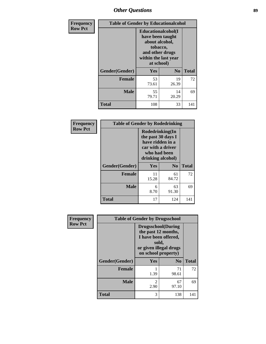## *Other Questions* **89**

| Frequency      |                | <b>Table of Gender by Educationalcohol</b>                                                                                    |                |              |  |  |
|----------------|----------------|-------------------------------------------------------------------------------------------------------------------------------|----------------|--------------|--|--|
| <b>Row Pct</b> |                | Educationalcohol(I<br>have been taught<br>about alcohol,<br>tobacco,<br>and other drugs<br>within the last year<br>at school) |                |              |  |  |
|                | Gender(Gender) | <b>Yes</b>                                                                                                                    | N <sub>0</sub> | <b>Total</b> |  |  |
|                | <b>Female</b>  | 53<br>73.61                                                                                                                   | 19<br>26.39    | 72           |  |  |
|                | <b>Male</b>    | 55<br>79.71                                                                                                                   | 14<br>20.29    | 69           |  |  |
|                | <b>Total</b>   | 108                                                                                                                           | 33             | 141          |  |  |

| Frequency      | <b>Table of Gender by Rodedrinking</b> |                                                                                                                     |             |              |
|----------------|----------------------------------------|---------------------------------------------------------------------------------------------------------------------|-------------|--------------|
| <b>Row Pct</b> |                                        | Rodedrinking(In<br>the past 30 days I<br>have ridden in a<br>car with a driver<br>who had been<br>drinking alcohol) |             |              |
|                | Gender(Gender)                         | Yes                                                                                                                 | $\bf N_0$   | <b>Total</b> |
|                | <b>Female</b>                          | 11<br>15.28                                                                                                         | 61<br>84.72 | 72           |
|                | <b>Male</b>                            | 6<br>8.70                                                                                                           | 63<br>91.30 | 69           |
|                | <b>Total</b>                           | 17                                                                                                                  | 124         | 141          |

| Frequency      | <b>Table of Gender by Drugsschool</b> |                                                                                                                                     |                |              |  |
|----------------|---------------------------------------|-------------------------------------------------------------------------------------------------------------------------------------|----------------|--------------|--|
| <b>Row Pct</b> |                                       | <b>Drugsschool</b> (During<br>the past 12 months,<br>I have been offered,<br>sold,<br>or given illegal drugs<br>on school property) |                |              |  |
|                | Gender(Gender)                        | Yes                                                                                                                                 | N <sub>0</sub> | <b>Total</b> |  |
|                | <b>Female</b>                         | 1.39                                                                                                                                | 71<br>98.61    | 72           |  |
|                | <b>Male</b>                           | 2<br>2.90                                                                                                                           | 67<br>97.10    | 69           |  |
|                | <b>Total</b>                          | 3                                                                                                                                   | 138            | 141          |  |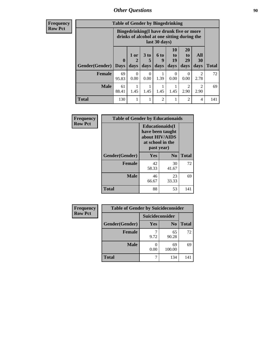## *Other Questions* **90**

**Frequency Row Pct**

| <b>Table of Gender by Bingedrinking</b> |                         |                                                                                                         |                              |                   |                               |                               |                        |              |
|-----------------------------------------|-------------------------|---------------------------------------------------------------------------------------------------------|------------------------------|-------------------|-------------------------------|-------------------------------|------------------------|--------------|
|                                         |                         | Bingedrinking(I have drunk five or more<br>drinks of alcohol at one sitting during the<br>last 30 days) |                              |                   |                               |                               |                        |              |
| <b>Gender</b> (Gender)                  | $\bf{0}$<br><b>Days</b> | $1$ or<br>days                                                                                          | 3 <sub>to</sub><br>5<br>days | 6 to<br>q<br>days | <b>10</b><br>to<br>19<br>days | <b>20</b><br>to<br>29<br>days | All<br>30<br>days      | <b>Total</b> |
| <b>Female</b>                           | 69<br>95.83             | 0<br>0.00                                                                                               | $\Omega$<br>0.00             | 1.39              | $\Omega$<br>0.00              | $\Omega$<br>0.00              | $\mathfrak{D}$<br>2.78 | 72           |
| <b>Male</b>                             | 61<br>88.41             | 1.45                                                                                                    | 1.45                         | 1.45              | 1.45                          | 2<br>2.90                     | $\mathfrak{D}$<br>2.90 | 69           |
| <b>Total</b>                            | 130                     |                                                                                                         | 1                            | $\mathfrak{D}$    | 1                             | $\mathfrak{D}$                | 4                      | 141          |

| Frequency      | <b>Table of Gender by Educationaids</b> |                                                                                                 |                |              |
|----------------|-----------------------------------------|-------------------------------------------------------------------------------------------------|----------------|--------------|
| <b>Row Pct</b> |                                         | <b>Educationaids</b> (I<br>have been taught<br>about HIV/AIDS<br>at school in the<br>past year) |                |              |
|                | Gender(Gender)                          | Yes                                                                                             | N <sub>0</sub> | <b>Total</b> |
|                | <b>Female</b>                           | 42<br>58.33                                                                                     | 30<br>41.67    | 72           |
|                | <b>Male</b>                             | 46<br>66.67                                                                                     | 23<br>33.33    | 69           |
|                | <b>Total</b>                            | 88                                                                                              | 53             | 141          |

| <b>Frequency</b> | <b>Table of Gender by Suicideconsider</b> |                 |                |       |
|------------------|-------------------------------------------|-----------------|----------------|-------|
| <b>Row Pct</b>   |                                           | Suicideconsider |                |       |
|                  | Gender(Gender)                            | Yes             | N <sub>0</sub> | Total |
|                  | <b>Female</b>                             | 9.72            | 65<br>90.28    | 72    |
|                  | <b>Male</b>                               | 0.00            | 69<br>100.00   | 69    |
|                  | <b>Total</b>                              |                 | 134            | 141   |